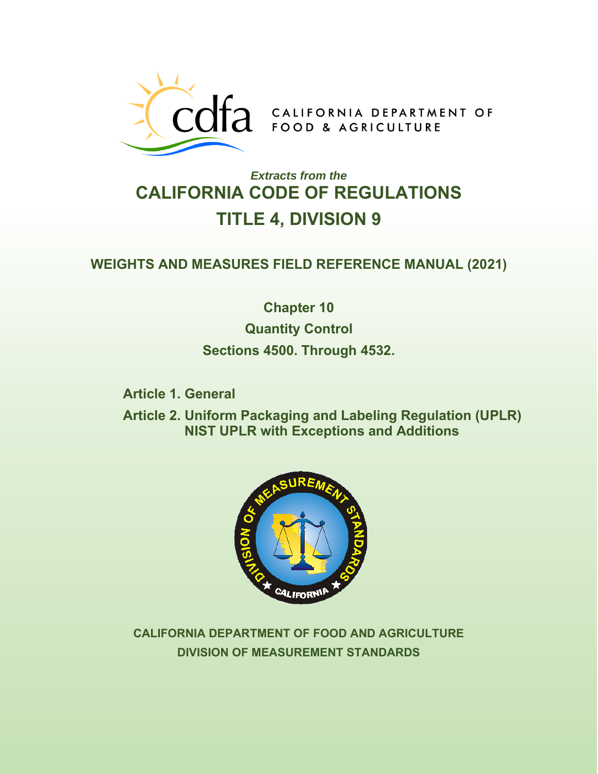

# *Extracts from the* **CALIFORNIA CODE OF REGULATIONS TITLE 4, DIVISION 9**

# **WEIGHTS AND MEASURES FIELD REFERENCE MANUAL (2021)**

**Chapter 10 Quantity Control Sections 4500. Through 4532.**

**Article 1. General** 

**Article 2. Uniform Packaging and Labeling Regulation (UPLR) NIST UPLR with Exceptions and Additions** 



**CALIFORNIA DEPARTMENT OF FOOD AND AGRICULTURE DIVISION OF MEASUREMENT STANDARDS**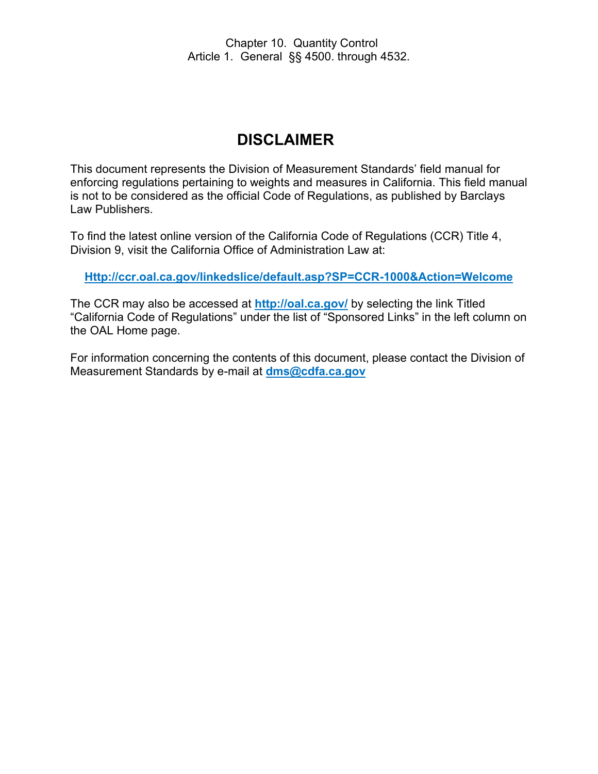# **DISCLAIMER**

This document represents the Division of Measurement Standards' field manual for enforcing regulations pertaining to weights and measures in California. This field manual is not to be considered as the official Code of Regulations, as published by Barclays Law Publishers.

To find the latest online version of the California Code of Regulations (CCR) Title 4, Division 9, visit the California Office of Administration Law at:

**[Http://ccr.oal.ca.gov/linkedslice/default.asp?SP=CCR-1000&Action=Welcome](http://ccr.oal.ca.gov/linkedslice/default.asp?SP=CCR-1000&Action=Welcome)**

The CCR may also be accessed at **<http://oal.ca.gov/>** by selecting the link Titled "California Code of Regulations" under the list of "Sponsored Links" in the left column on the OAL Home page.

For information concerning the contents of this document, please contact the Division of Measurement Standards by e-mail at **[dms@cdfa.ca.gov](mailto:dms@cdfa.ca.gov)**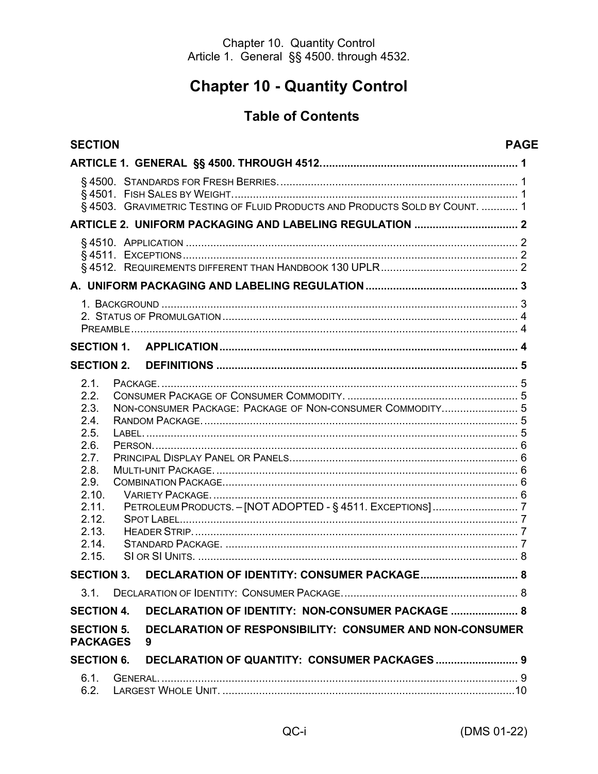# **Chapter 10 - Quantity Control**

# **Table of Contents**

| <b>SECTION</b>                                                                                                             |                                                                             | <b>PAGE</b> |
|----------------------------------------------------------------------------------------------------------------------------|-----------------------------------------------------------------------------|-------------|
|                                                                                                                            |                                                                             |             |
|                                                                                                                            | §4503. GRAVIMETRIC TESTING OF FLUID PRODUCTS AND PRODUCTS SOLD BY COUNT.  1 |             |
|                                                                                                                            |                                                                             |             |
|                                                                                                                            |                                                                             |             |
|                                                                                                                            |                                                                             |             |
|                                                                                                                            |                                                                             |             |
| <b>SECTION 1.</b>                                                                                                          |                                                                             |             |
| <b>SECTION 2.</b>                                                                                                          |                                                                             |             |
| 2.1.<br>2.2.<br>2.3.<br>2.4.<br>2.5.<br>2.6.<br>2.7.<br>2.8.<br>2.9.<br>2.10.<br>2.11.<br>2.12.<br>2.13.<br>2.14.<br>2.15. | NON-CONSUMER PACKAGE: PACKAGE OF NON-CONSUMER COMMODITY 5                   |             |
|                                                                                                                            | SECTION 3. DECLARATION OF IDENTITY: CONSUMER PACKAGE                        | <b>R</b>    |
| 31                                                                                                                         |                                                                             |             |
| <b>SECTION 4.</b>                                                                                                          | DECLARATION OF IDENTITY: NON-CONSUMER PACKAGE  8                            |             |
| <b>SECTION 5.</b><br><b>PACKAGES</b>                                                                                       | <b>DECLARATION OF RESPONSIBILITY: CONSUMER AND NON-CONSUMER</b><br>9        |             |
| <b>SECTION 6.</b>                                                                                                          |                                                                             |             |
| 6.1.<br>6.2.                                                                                                               |                                                                             |             |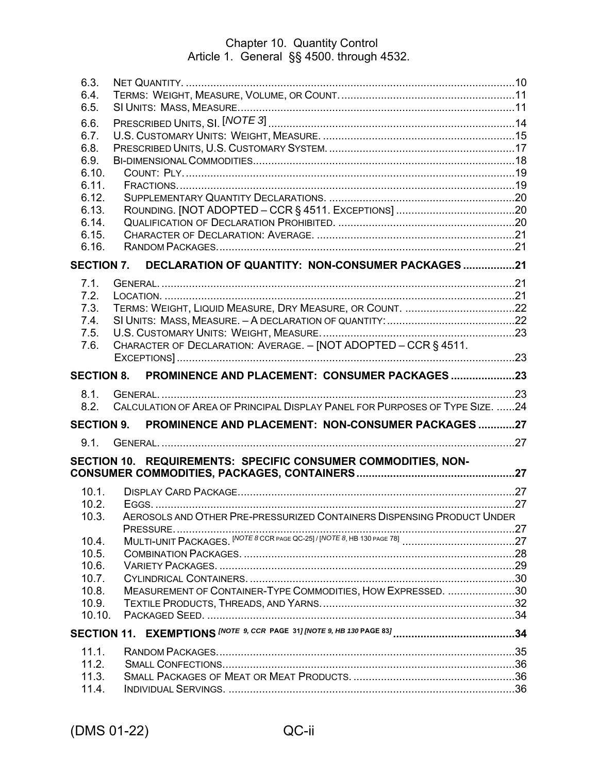| 6.3.              |                                                                              |  |
|-------------------|------------------------------------------------------------------------------|--|
| 6.4.<br>6.5.      |                                                                              |  |
|                   |                                                                              |  |
| 6.6.              |                                                                              |  |
| 6.7.<br>6.8.      |                                                                              |  |
| 6.9.              |                                                                              |  |
| 6.10.             |                                                                              |  |
| 6.11.             |                                                                              |  |
| 6.12.             |                                                                              |  |
| 6.13.             |                                                                              |  |
| 6.14.             |                                                                              |  |
| 6.15.             |                                                                              |  |
| 6.16.             |                                                                              |  |
| <b>SECTION 7.</b> | DECLARATION OF QUANTITY: NON-CONSUMER PACKAGES 21                            |  |
| 7.1.              |                                                                              |  |
| 7.2.              |                                                                              |  |
| 7.3.              |                                                                              |  |
| 7.4.              |                                                                              |  |
| 7.5.              |                                                                              |  |
| 7.6.              | CHARACTER OF DECLARATION: AVERAGE. - [NOT ADOPTED - CCR § 4511.              |  |
|                   |                                                                              |  |
| <b>SECTION 8.</b> | PROMINENCE AND PLACEMENT: CONSUMER PACKAGES 23                               |  |
|                   |                                                                              |  |
| 8.1.              |                                                                              |  |
| 8.2.              | CALCULATION OF AREA OF PRINCIPAL DISPLAY PANEL FOR PURPOSES OF TYPE SIZE. 24 |  |
| <b>SECTION 9.</b> | PROMINENCE AND PLACEMENT: NON-CONSUMER PACKAGES 27                           |  |
| 9.1.              |                                                                              |  |
|                   | SECTION 10. REQUIREMENTS: SPECIFIC CONSUMER COMMODITIES, NON-                |  |
|                   |                                                                              |  |
| 10.1.             |                                                                              |  |
| 10.2.             |                                                                              |  |
| 10.3.             | AEROSOLS AND OTHER PRE-PRESSURIZED CONTAINERS DISPENSING PRODUCT UNDER       |  |
|                   |                                                                              |  |
| 10.4.             |                                                                              |  |
| 10.5.             |                                                                              |  |
| 10.6.             |                                                                              |  |
| 10.7.             |                                                                              |  |
| 10.8.             | MEASUREMENT OF CONTAINER-TYPE COMMODITIES, HOW EXPRESSED. 30                 |  |
| 10.9.             |                                                                              |  |
| 10.10.            |                                                                              |  |
|                   |                                                                              |  |
| 11.1.             |                                                                              |  |
| 11.2.             |                                                                              |  |
| 11.3.<br>11.4.    |                                                                              |  |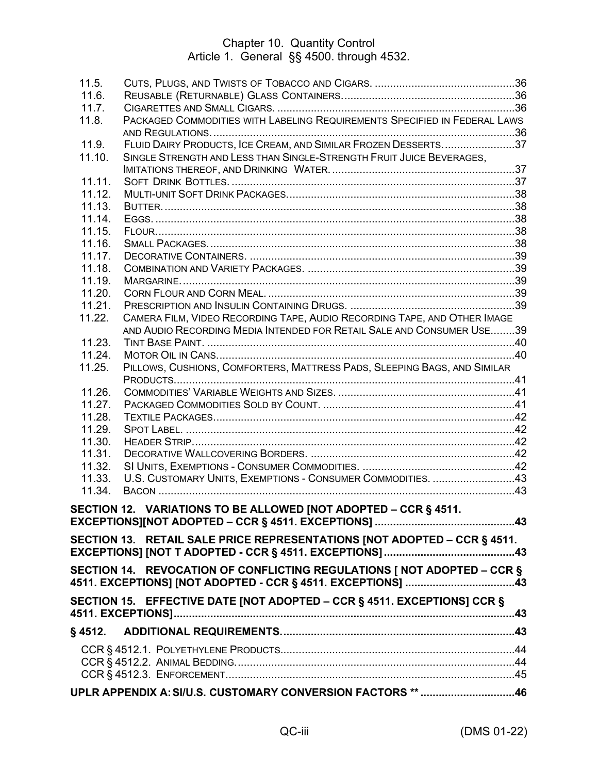| 11.5.            |                                                                           |  |
|------------------|---------------------------------------------------------------------------|--|
| 11.6.            |                                                                           |  |
| 11.7.            | PACKAGED COMMODITIES WITH LABELING REQUIREMENTS SPECIFIED IN FEDERAL LAWS |  |
| 11.8.            |                                                                           |  |
| 11.9.            | FLUID DAIRY PRODUCTS, ICE CREAM, AND SIMILAR FROZEN DESSERTS37            |  |
| 11.10.           | SINGLE STRENGTH AND LESS THAN SINGLE-STRENGTH FRUIT JUICE BEVERAGES,      |  |
|                  |                                                                           |  |
| 11.11.           |                                                                           |  |
| 11.12.           |                                                                           |  |
| 11.13.           |                                                                           |  |
| 11.14.           |                                                                           |  |
| 11.15.           |                                                                           |  |
| 11.16.           |                                                                           |  |
| 11.17.           |                                                                           |  |
| 11.18.           |                                                                           |  |
| 11.19.           |                                                                           |  |
| 11.20.           |                                                                           |  |
| 11.21.           |                                                                           |  |
| 11.22.           | CAMERA FILM, VIDEO RECORDING TAPE, AUDIO RECORDING TAPE, AND OTHER IMAGE  |  |
|                  | AND AUDIO RECORDING MEDIA INTENDED FOR RETAIL SALE AND CONSUMER USE39     |  |
| 11.23.           |                                                                           |  |
| 11.24.           |                                                                           |  |
| 11.25.           | PILLOWS, CUSHIONS, COMFORTERS, MATTRESS PADS, SLEEPING BAGS, AND SIMILAR  |  |
|                  |                                                                           |  |
| 11.26.           |                                                                           |  |
| 11.27.           |                                                                           |  |
| 11.28.           |                                                                           |  |
| 11.29.<br>11.30. |                                                                           |  |
| 11.31.           |                                                                           |  |
| 11.32.           |                                                                           |  |
| 11.33.           | U.S. CUSTOMARY UNITS, EXEMPTIONS - CONSUMER COMMODITIES. 43               |  |
| 11.34.           |                                                                           |  |
|                  |                                                                           |  |
|                  | SECTION 12. VARIATIONS TO BE ALLOWED [NOT ADOPTED - CCR § 4511.           |  |
|                  |                                                                           |  |
|                  | SECTION 13. RETAIL SALE PRICE REPRESENTATIONS [NOT ADOPTED – CCR § 4511.  |  |
|                  |                                                                           |  |
|                  | SECTION 14. REVOCATION OF CONFLICTING REGULATIONS [ NOT ADOPTED – CCR §   |  |
|                  | 4511. EXCEPTIONS] [NOT ADOPTED - CCR § 4511. EXCEPTIONS] ……………………………….43  |  |
|                  |                                                                           |  |
|                  | SECTION 15. EFFECTIVE DATE [NOT ADOPTED - CCR § 4511. EXCEPTIONS] CCR §   |  |
|                  |                                                                           |  |
|                  |                                                                           |  |
|                  |                                                                           |  |
|                  |                                                                           |  |
|                  |                                                                           |  |
|                  | UPLR APPENDIX A: SI/U.S. CUSTOMARY CONVERSION FACTORS ** 46               |  |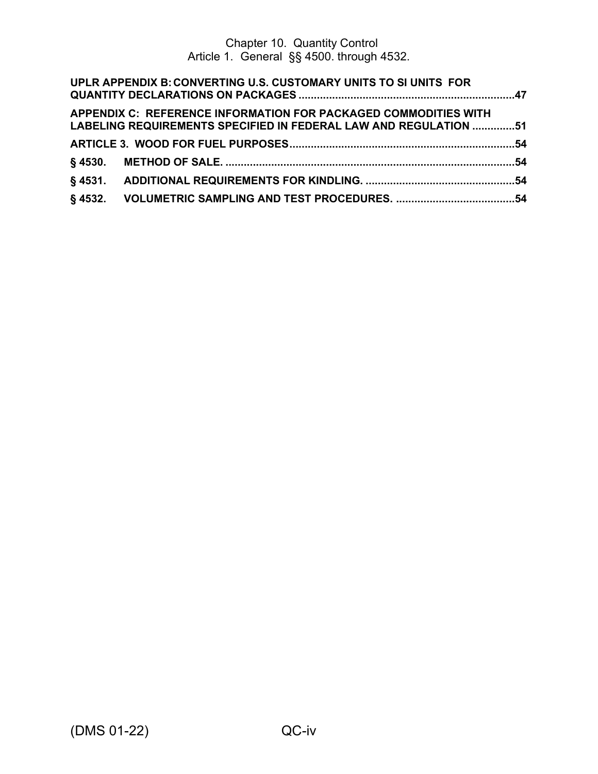| UPLR APPENDIX B: CONVERTING U.S. CUSTOMARY UNITS TO SI UNITS FOR                                                                    |  |
|-------------------------------------------------------------------------------------------------------------------------------------|--|
| APPENDIX C: REFERENCE INFORMATION FOR PACKAGED COMMODITIES WITH<br>LABELING REQUIREMENTS SPECIFIED IN FEDERAL LAW AND REGULATION 51 |  |
|                                                                                                                                     |  |
|                                                                                                                                     |  |
|                                                                                                                                     |  |
|                                                                                                                                     |  |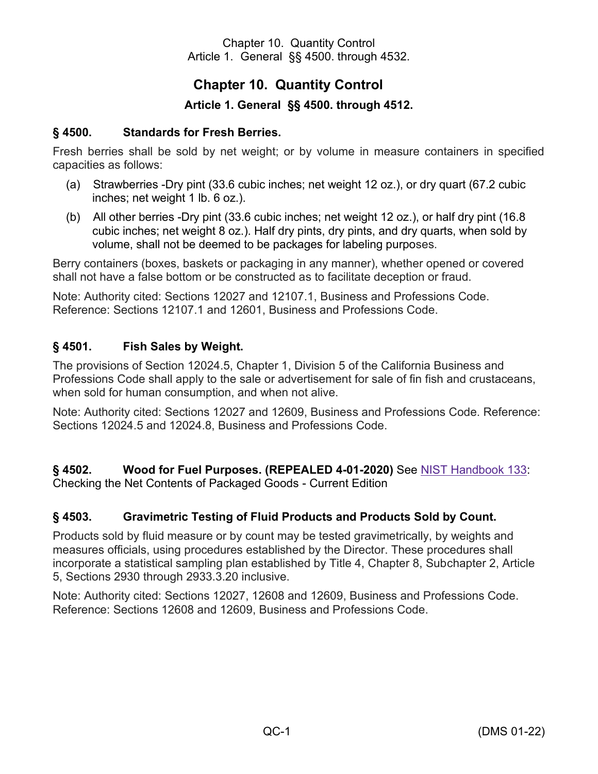# **Chapter 10. Quantity Control**

## **Article 1. General §§ 4500. through 4512.**

#### <span id="page-6-1"></span><span id="page-6-0"></span>**§ 4500. Standards for Fresh Berries.**

Fresh berries shall be sold by net weight; or by volume in measure containers in specified capacities as follows:

- (a) Strawberries -Dry pint (33.6 cubic inches; net weight 12 oz.), or dry quart (67.2 cubic inches; net weight 1 lb. 6 oz.).
- (b) All other berries -Dry pint (33.6 cubic inches; net weight 12 oz.), or half dry pint (16.8 cubic inches; net weight 8 oz.). Half dry pints, dry pints, and dry quarts, when sold by volume, shall not be deemed to be packages for labeling purposes.

Berry containers (boxes, baskets or packaging in any manner), whether opened or covered shall not have a false bottom or be constructed as to facilitate deception or fraud.

Note: Authority cited: Sections 12027 and 12107.1, Business and Professions Code. Reference: Sections 12107.1 and 12601, Business and Professions Code.

#### <span id="page-6-2"></span>**§ 4501. Fish Sales by Weight.**

The provisions of Section 12024.5, Chapter 1, Division 5 of the California Business and Professions Code shall apply to the sale or advertisement for sale of fin fish and crustaceans, when sold for human consumption, and when not alive.

Note: Authority cited: Sections 12027 and 12609, Business and Professions Code. Reference: Sections 12024.5 and 12024.8, Business and Professions Code.

**§ 4502. Wood for Fuel Purposes. (REPEALED 4-01-2020)** See [NIST Handbook 133:](https://www.nist.gov/pml/weights-and-measures/handbook-133-2020-current-version) Checking the Net Contents of Packaged Goods - Current Edition

#### <span id="page-6-3"></span>**§ 4503. Gravimetric Testing of Fluid Products and Products Sold by Count.**

Products sold by fluid measure or by count may be tested gravimetrically, by weights and measures officials, using procedures established by the Director. These procedures shall incorporate a statistical sampling plan established by Title 4, Chapter 8, Subchapter 2, Article 5, Sections 2930 through 2933.3.20 inclusive.

Note: Authority cited: Sections 12027, 12608 and 12609, Business and Professions Code. Reference: Sections 12608 and 12609, Business and Professions Code.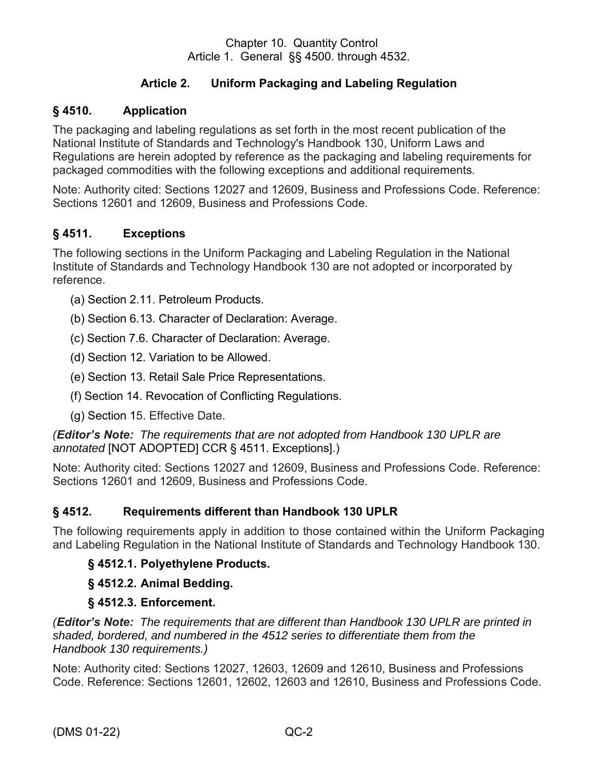# **Article 2. Uniform Packaging and Labeling Regulation**

## <span id="page-7-1"></span><span id="page-7-0"></span>**§ 4510. Application**

The packaging and labeling regulations as set forth in the most recent publication of the National Institute of Standards and Technology's Handbook 130, Uniform Laws and Regulations are herein adopted by reference as the packaging and labeling requirements for packaged commodities with the following exceptions and additional requirements.

Note: Authority cited: Sections 12027 and 12609, Business and Professions Code. Reference: Sections 12601 and 12609, Business and Professions Code.

## <span id="page-7-2"></span>**§ 4511. Exceptions**

The following sections in the Uniform Packaging and Labeling Regulation in the National Institute of Standards and Technology Handbook 130 are not adopted or incorporated by reference.

- (a) Section 2.11. Petroleum Products.
- (b) Section 6.13. Character of Declaration: Average.
- (c) Section 7.6. Character of Declaration: Average.
- (d) Section 12. Variation to be Allowed.
- (e) Section 13. Retail Sale Price Representations.
- (f) Section 14. Revocation of Conflicting Regulations.
- (g) Section 15. Effective Date.

*(Editor's Note: The requirements that are not adopted from Handbook 130 UPLR are annotated* [NOT ADOPTED] CCR § 4511. Exceptions].)

Note: Authority cited: Sections 12027 and 12609, Business and Professions Code. Reference: Sections 12601 and 12609, Business and Professions Code.

# <span id="page-7-3"></span>**§ 4512. Requirements different than Handbook 130 UPLR**

The following requirements apply in addition to those contained within the Uniform Packaging and Labeling Regulation in the National Institute of Standards and Technology Handbook 130.

# **§ 4512.1. Polyethylene Products.**

# **§ 4512.2. Animal Bedding.**

#### **§ 4512.3. Enforcement.**

*(Editor's Note: The requirements that are different than Handbook 130 UPLR are printed in shaded, bordered, and numbered in the 4512 series to differentiate them from the Handbook 130 requirements.)* 

Note: Authority cited: Sections 12027, 12603, 12609 and 12610, Business and Professions Code. Reference: Sections 12601, 12602, 12603 and 12610, Business and Professions Code.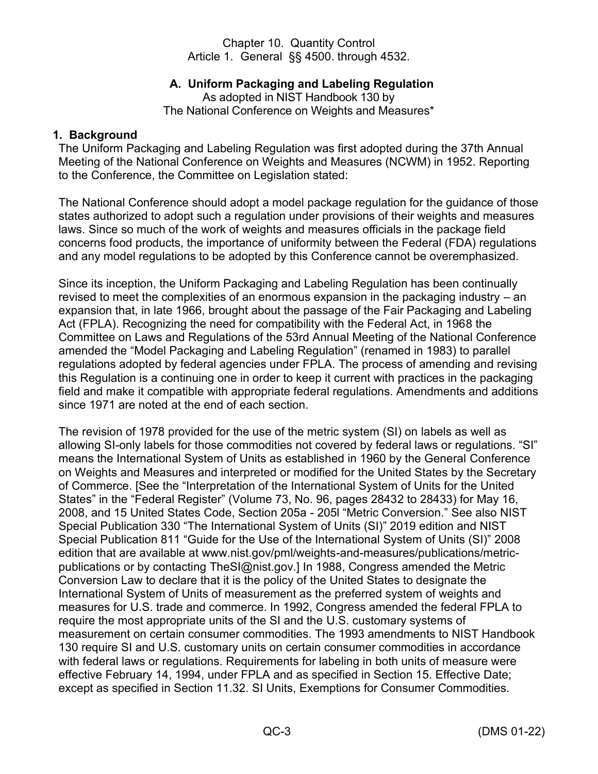## **A. Uniform Packaging and Labeling Regulation**

As adopted in NIST Handbook 130 by The National Conference on Weights and Measures\*

#### <span id="page-8-1"></span><span id="page-8-0"></span>**1. Background**

The Uniform Packaging and Labeling Regulation was first adopted during the 37th Annual Meeting of the National Conference on Weights and Measures (NCWM) in 1952. Reporting to the Conference, the Committee on Legislation stated:

The National Conference should adopt a model package regulation for the guidance of those states authorized to adopt such a regulation under provisions of their weights and measures laws. Since so much of the work of weights and measures officials in the package field concerns food products, the importance of uniformity between the Federal (FDA) regulations and any model regulations to be adopted by this Conference cannot be overemphasized.

Since its inception, the Uniform Packaging and Labeling Regulation has been continually revised to meet the complexities of an enormous expansion in the packaging industry – an expansion that, in late 1966, brought about the passage of the Fair Packaging and Labeling Act (FPLA). Recognizing the need for compatibility with the Federal Act, in 1968 the Committee on Laws and Regulations of the 53rd Annual Meeting of the National Conference amended the "Model Packaging and Labeling Regulation" (renamed in 1983) to parallel regulations adopted by federal agencies under FPLA. The process of amending and revising this Regulation is a continuing one in order to keep it current with practices in the packaging field and make it compatible with appropriate federal regulations. Amendments and additions since 1971 are noted at the end of each section.

The revision of 1978 provided for the use of the metric system (SI) on labels as well as allowing SI-only labels for those commodities not covered by federal laws or regulations. "SI" means the International System of Units as established in 1960 by the General Conference on Weights and Measures and interpreted or modified for the United States by the Secretary of Commerce. [See the "Interpretation of the International System of Units for the United States" in the "Federal Register" (Volume 73, No. 96, pages 28432 to 28433) for May 16, 2008, and 15 United States Code, Section 205a - 205l "Metric Conversion." See also NIST Special Publication 330 "The International System of Units (SI)" 2019 edition and NIST Special Publication 811 "Guide for the Use of the International System of Units (SI)" 2008 edition that are available at www.nist.gov/pml/weights-and-measures/publications/metricpublications or by contacting TheSI@nist.gov.] In 1988, Congress amended the Metric Conversion Law to declare that it is the policy of the United States to designate the International System of Units of measurement as the preferred system of weights and measures for U.S. trade and commerce. In 1992, Congress amended the federal FPLA to require the most appropriate units of the SI and the U.S. customary systems of measurement on certain consumer commodities. The 1993 amendments to NIST Handbook 130 require SI and U.S. customary units on certain consumer commodities in accordance with federal laws or regulations. Requirements for labeling in both units of measure were effective February 14, 1994, under FPLA and as specified in Section 15. Effective Date; except as specified in Section 11.32. SI Units, Exemptions for Consumer Commodities.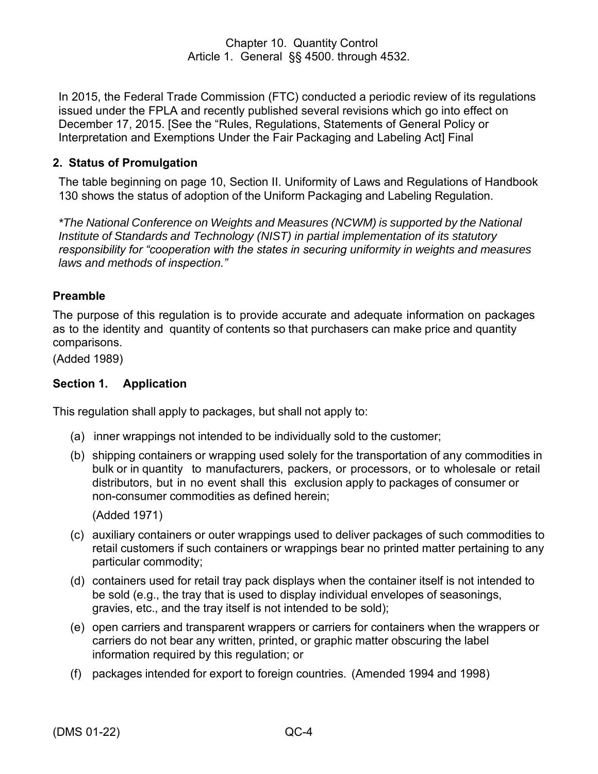In 2015, the Federal Trade Commission (FTC) conducted a periodic review of its regulations issued under the FPLA and recently published several revisions which go into effect on December 17, 2015. [See the "Rules, Regulations, Statements of General Policy or Interpretation and Exemptions Under the Fair Packaging and Labeling Act] Final

## <span id="page-9-0"></span>**2. Status of Promulgation**

The table beginning on page 10, Section II. Uniformity of Laws and Regulations of Handbook 130 shows the status of adoption of the Uniform Packaging and Labeling Regulation.

*\*The National Conference on Weights and Measures (NCWM) is supported by the National Institute of Standards and Technology (NIST) in partial implementation of its statutory responsibility for "cooperation with the states in securing uniformity in weights and measures laws and methods of inspection."*

## <span id="page-9-1"></span>**Preamble**

The purpose of this regulation is to provide accurate and adequate information on packages as to the identity and quantity of contents so that purchasers can make price and quantity comparisons.

(Added 1989)

## <span id="page-9-2"></span>**Section 1. Application**

This regulation shall apply to packages, but shall not apply to:

- (a) inner wrappings not intended to be individually sold to the customer;
- (b) shipping containers or wrapping used solely for the transportation of any commodities in bulk or in quantity to manufacturers, packers, or processors, or to wholesale or retail distributors, but in no event shall this exclusion apply to packages of consumer or non-consumer commodities as defined herein;

(Added 1971)

- (c) auxiliary containers or outer wrappings used to deliver packages of such commodities to retail customers if such containers or wrappings bear no printed matter pertaining to any particular commodity;
- (d) containers used for retail tray pack displays when the container itself is not intended to be sold (e.g., the tray that is used to display individual envelopes of seasonings, gravies, etc., and the tray itself is not intended to be sold);
- (e) open carriers and transparent wrappers or carriers for containers when the wrappers or carriers do not bear any written, printed, or graphic matter obscuring the label information required by this regulation; or
- (f) packages intended for export to foreign countries. (Amended 1994 and 1998)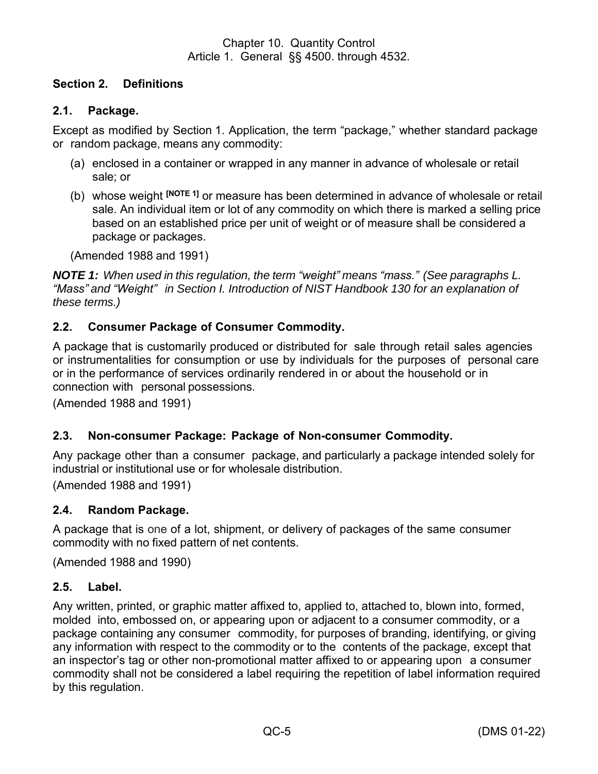# <span id="page-10-0"></span>**Section 2. Definitions**

## <span id="page-10-1"></span>**2.1. Package.**

Except as modified by Section 1. Application, the term "package," whether standard package or random package, means any commodity:

- (a) enclosed in a container or wrapped in any manner in advance of wholesale or retail sale; or
- (b) whose weight **[NOTE 1]** or measure has been determined in advance of wholesale or retail sale. An individual item or lot of any commodity on which there is marked a selling price based on an established price per unit of weight or of measure shall be considered a package or packages.

(Amended 1988 and 1991)

*NOTE 1: When used in this regulation, the term "weight" means "mass." (See paragraphs L. "Mass" and "Weight" in Section I. Introduction of NIST Handbook 130 for an explanation of these terms.)*

## <span id="page-10-2"></span>**2.2. Consumer Package of Consumer Commodity.**

A package that is customarily produced or distributed for sale through retail sales agencies or instrumentalities for consumption or use by individuals for the purposes of personal care or in the performance of services ordinarily rendered in or about the household or in connection with personal possessions.

(Amended 1988 and 1991)

#### <span id="page-10-3"></span>**2.3. Non-consumer Package: Package of Non-consumer Commodity.**

Any package other than a consumer package, and particularly a package intended solely for industrial or institutional use or for wholesale distribution.

(Amended 1988 and 1991)

#### <span id="page-10-4"></span>**2.4. Random Package.**

A package that is one of a lot, shipment, or delivery of packages of the same consumer commodity with no fixed pattern of net contents.

(Amended 1988 and 1990)

#### <span id="page-10-5"></span>**2.5. Label.**

Any written, printed, or graphic matter affixed to, applied to, attached to, blown into, formed, molded into, embossed on, or appearing upon or adjacent to a consumer commodity, or a package containing any consumer commodity, for purposes of branding, identifying, or giving any information with respect to the commodity or to the contents of the package, except that an inspector's tag or other non-promotional matter affixed to or appearing upon a consumer commodity shall not be considered a label requiring the repetition of label information required by this regulation.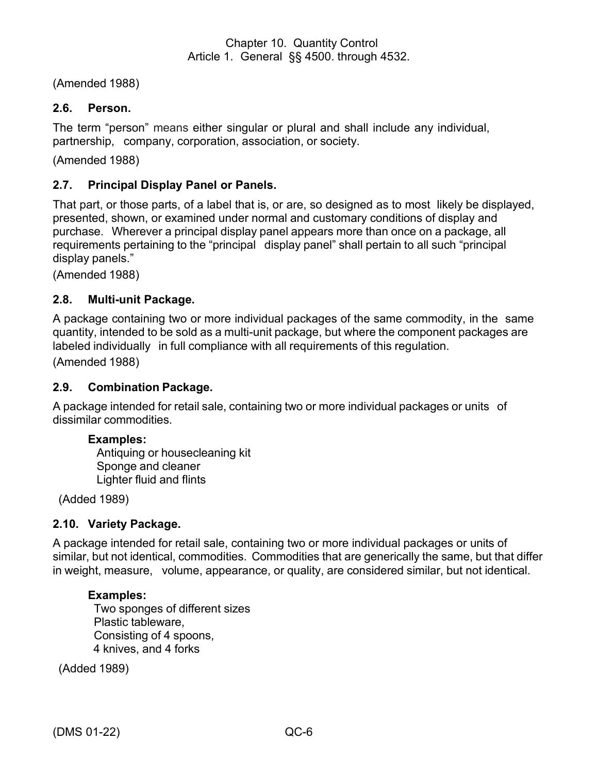(Amended 1988)

## <span id="page-11-0"></span>**2.6. Person.**

The term "person" means either singular or plural and shall include any individual, partnership, company, corporation, association, or society.

(Amended 1988)

## <span id="page-11-1"></span>**2.7. Principal Display Panel or Panels.**

That part, or those parts, of a label that is, or are, so designed as to most likely be displayed, presented, shown, or examined under normal and customary conditions of display and purchase. Wherever a principal display panel appears more than once on a package, all requirements pertaining to the "principal display panel" shall pertain to all such "principal display panels."

(Amended 1988)

#### <span id="page-11-2"></span>**2.8. Multi-unit Package.**

A package containing two or more individual packages of the same commodity, in the same quantity, intended to be sold as a multi-unit package, but where the component packages are labeled individually in full compliance with all requirements of this regulation.

(Amended 1988)

#### <span id="page-11-3"></span>**2.9. Combination Package.**

A package intended for retail sale, containing two or more individual packages or units of dissimilar commodities.

#### **Examples:**

Antiquing or housecleaning kit Sponge and cleaner Lighter fluid and flints

(Added 1989)

#### <span id="page-11-4"></span>**2.10. Variety Package.**

A package intended for retail sale, containing two or more individual packages or units of similar, but not identical, commodities. Commodities that are generically the same, but that differ in weight, measure, volume, appearance, or quality, are considered similar, but not identical.

#### **Examples:**

Two sponges of different sizes Plastic tableware, Consisting of 4 spoons, 4 knives, and 4 forks

(Added 1989)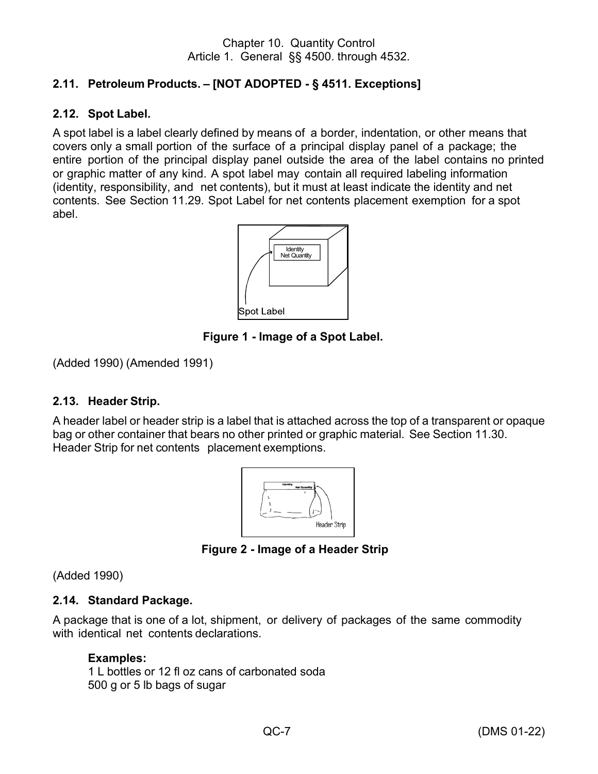# <span id="page-12-0"></span>**2.11. Petroleum Products. – [NOT ADOPTED - § 4511. Exceptions]**

#### <span id="page-12-1"></span>**2.12. Spot Label.**

A spot label is a label clearly defined by means of a border, indentation, or other means that covers only a small portion of the surface of a principal display panel of a package; the entire portion of the principal display panel outside the area of the label contains no printed or graphic matter of any kind. A spot label may contain all required labeling information (identity, responsibility, and net contents), but it must at least indicate the identity and net contents. See Section 11.29. Spot Label for net contents placement exemption for a spot abel.



**Figure 1 - Image of a Spot Label.** 

(Added 1990) (Amended 1991)

#### <span id="page-12-2"></span>**2.13. Header Strip.**

A header label or header strip is a label that is attached across the top of a transparent or opaque bag or other container that bears no other printed or graphic material. See Section 11.30. Header Strip for net contents placement exemptions.



**Figure 2 - Image of a Header Strip** 

(Added 1990)

# <span id="page-12-3"></span>**2.14. Standard Package.**

A package that is one of a lot, shipment, or delivery of packages of the same commodity with identical net contents declarations.

# **Examples:**

1 L bottles or 12 fl oz cans of carbonated soda 500 g or 5 lb bags of sugar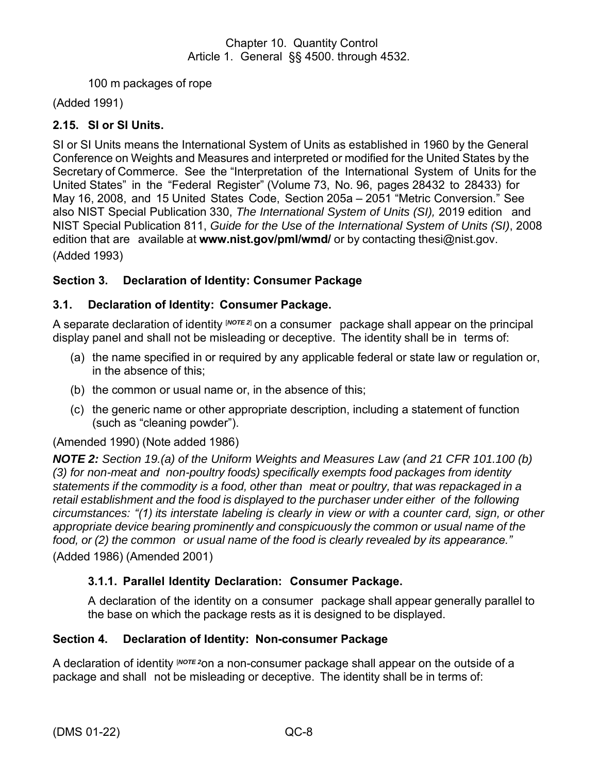100 m packages of rope

(Added 1991)

# <span id="page-13-0"></span>**2.15. SI or SI Units.**

SI or SI Units means the International System of Units as established in 1960 by the General Conference on Weights and Measures and interpreted or modified for the United States by the Secretary of Commerce. See the "Interpretation of the International System of Units for the United States" in the "Federal Register" (Volume 73, No. 96, pages 28432 to 28433) for May 16, 2008, and 15 United States Code, Section 205a – 2051 "Metric Conversion." See also NIST Special Publication 330, *The International System of Units (SI),* 2019 edition and NIST Special Publication 811, *Guide for the Use of the International System of Units (SI)*, 2008 edition that are available at **[www.nist.gov/pml/wmd/](http://www.nist.gov/pml/wmd/)** or by contacting [thesi@nist.gov.](mailto:TheSI@nist.gov) (Added 1993)

## <span id="page-13-1"></span>**Section 3. Declaration of Identity: Consumer Package**

## <span id="page-13-2"></span>**3.1. Declaration of Identity: Consumer Package.**

A separate declaration of identity [*NOTE <sup>2</sup>*] on a consumer package shall appear on the principal display panel and shall not be misleading or deceptive. The identity shall be in terms of:

- (a) the name specified in or required by any applicable federal or state law or regulation or, in the absence of this;
- (b) the common or usual name or, in the absence of this;
- (c) the generic name or other appropriate description, including a statement of function (such as "cleaning powder").

#### (Amended 1990) (Note added 1986)

*NOTE 2: Section 19.(a) of the Uniform Weights and Measures Law (and 21 CFR 101.100 (b) (3) for non-meat and non-poultry foods) specifically exempts food packages from identity statements if the commodity is a food, other than meat or poultry, that was repackaged in a retail establishment and the food is displayed to the purchaser under either of the following circumstances: "(1) its interstate labeling is clearly in view or with a counter card, sign, or other appropriate device bearing prominently and conspicuously the common or usual name of the food, or (2) the common or usual name of the food is clearly revealed by its appearance."* (Added 1986) (Amended 2001)

#### **3.1.1. Parallel Identity Declaration: Consumer Package.**

A declaration of the identity on a consumer package shall appear generally parallel to the base on which the package rests as it is designed to be displayed.

#### <span id="page-13-3"></span>**Section 4. Declaration of Identity: Non-consumer Package**

A declaration of identity [*NOTE <sup>2</sup>*on a non-consumer package shall appear on the outside of a package and shall not be misleading or deceptive. The identity shall be in terms of: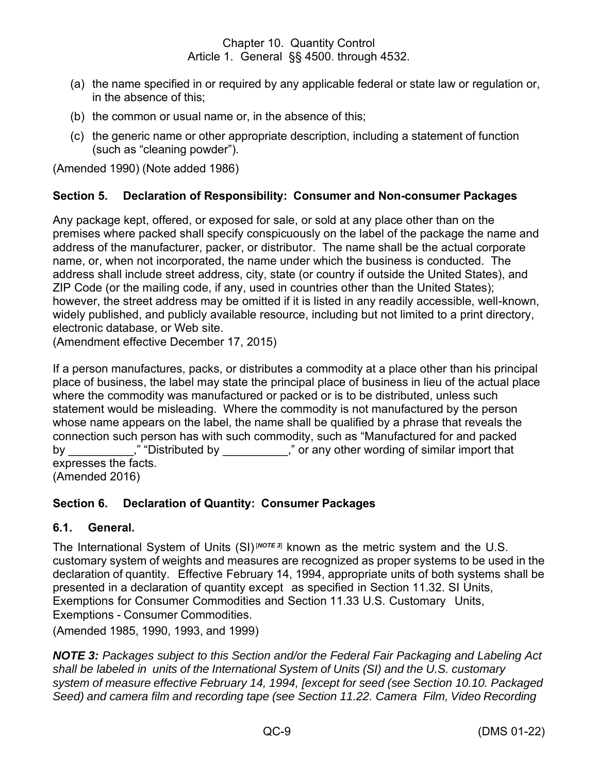- (a) the name specified in or required by any applicable federal or state law or regulation or, in the absence of this;
- (b) the common or usual name or, in the absence of this;
- (c) the generic name or other appropriate description, including a statement of function (such as "cleaning powder").

(Amended 1990) (Note added 1986)

## <span id="page-14-0"></span>**Section 5. Declaration of Responsibility: Consumer and Non-consumer Packages**

Any package kept, offered, or exposed for sale, or sold at any place other than on the premises where packed shall specify conspicuously on the label of the package the name and address of the manufacturer, packer, or distributor. The name shall be the actual corporate name, or, when not incorporated, the name under which the business is conducted. The address shall include street address, city, state (or country if outside the United States), and ZIP Code (or the mailing code, if any, used in countries other than the United States); however, the street address may be omitted if it is listed in any readily accessible, well-known, widely published, and publicly available resource, including but not limited to a print directory, electronic database, or Web site.

(Amendment effective December 17, 2015)

If a person manufactures, packs, or distributes a commodity at a place other than his principal place of business, the label may state the principal place of business in lieu of the actual place where the commodity was manufactured or packed or is to be distributed, unless such statement would be misleading. Where the commodity is not manufactured by the person whose name appears on the label, the name shall be qualified by a phrase that reveals the connection such person has with such commodity, such as "Manufactured for and packed by \_\_\_\_\_\_\_\_\_\_\_," "Distributed by \_\_\_\_\_\_\_\_\_\_\_," or any other wording of similar import that expresses the facts. (Amended 2016)

# <span id="page-14-1"></span>**Section 6. Declaration of Quantity: Consumer Packages**

#### <span id="page-14-2"></span>**6.1. General.**

The International System of Units (SI)<sup>[NOTE 3]</sup> known as the metric system and the U.S. customary system of weights and measures are recognized as proper systems to be used in the declaration of quantity. Effective February 14, 1994, appropriate units of both systems shall be presented in a declaration of quantity except as specified in Section 11.32. SI Units, Exemptions for Consumer Commodities and Section 11.33 U.S. Customary Units, Exemptions - Consumer Commodities.

(Amended 1985, 1990, 1993, and 1999)

*NOTE 3: Packages subject to this Section and/or the Federal Fair Packaging and Labeling Act shall be labeled in units of the International System of Units (SI) and the U.S. customary system of measure effective February 14, 1994, [except for seed (see Section 10.10. Packaged Seed) and camera film and recording tape (see Section 11.22. Camera Film, Video Recording*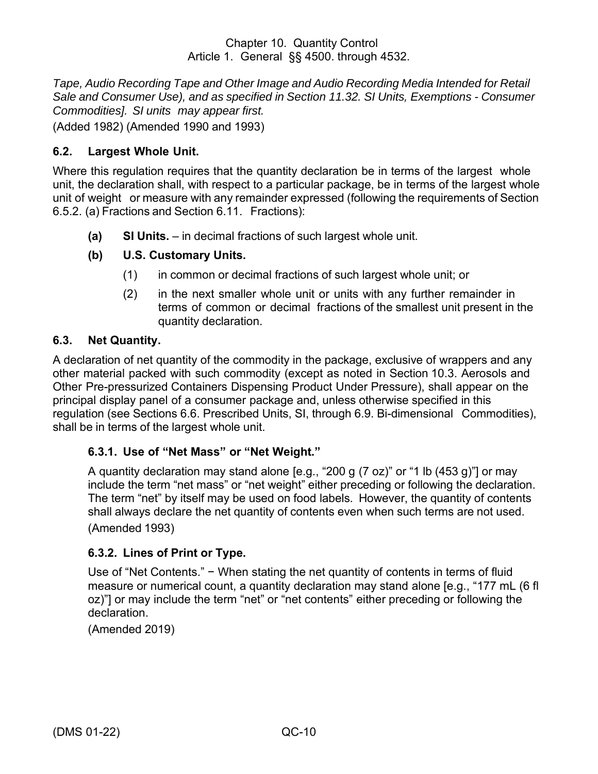*Tape, Audio Recording Tape and Other Image and Audio Recording Media Intended for Retail Sale and Consumer Use), and as specified in Section 11.32. SI Units, Exemptions - Consumer Commodities]. SI units may appear first.*

(Added 1982) (Amended 1990 and 1993)

# <span id="page-15-0"></span>**6.2. Largest Whole Unit.**

Where this regulation requires that the quantity declaration be in terms of the largest whole unit, the declaration shall, with respect to a particular package, be in terms of the largest whole unit of weight or measure with any remainder expressed (following the requirements of Section 6.5.2. (a) Fractions and Section 6.11. Fractions):

**(a) SI Units.** – in decimal fractions of such largest whole unit.

# **(b) U.S. Customary Units.**

- (1) in common or decimal fractions of such largest whole unit; or
- (2) in the next smaller whole unit or units with any further remainder in terms of common or decimal fractions of the smallest unit present in the quantity declaration.

# <span id="page-15-1"></span>**6.3. Net Quantity.**

A declaration of net quantity of the commodity in the package, exclusive of wrappers and any other material packed with such commodity (except as noted in Section 10.3. Aerosols and Other Pre-pressurized Containers Dispensing Product Under Pressure), shall appear on the principal display panel of a consumer package and, unless otherwise specified in this regulation (see Sections 6.6. Prescribed Units, SI, through 6.9. Bi-dimensional Commodities), shall be in terms of the largest whole unit.

#### **6.3.1. Use of "Net Mass" or "Net Weight."**

A quantity declaration may stand alone [e.g., "200 g (7 oz)" or "1 lb (453 g)"] or may include the term "net mass" or "net weight" either preceding or following the declaration. The term "net" by itself may be used on food labels. However, the quantity of contents shall always declare the net quantity of contents even when such terms are not used. (Amended 1993)

#### **6.3.2. Lines of Print or Type.**

Use of "Net Contents." – When stating the net quantity of contents in terms of fluid measure or numerical count, a quantity declaration may stand alone [e.g., "177 mL (6 fl oz)"] or may include the term "net" or "net contents" either preceding or following the declaration.

(Amended 2019)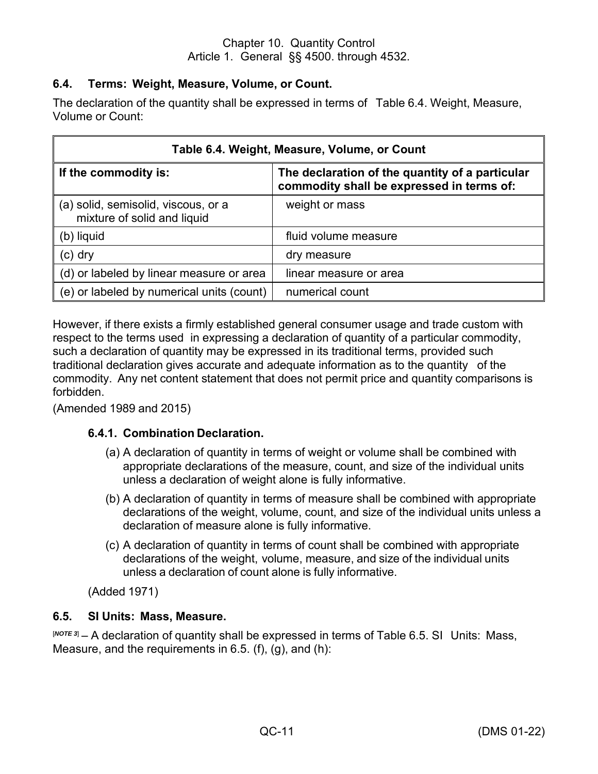# <span id="page-16-0"></span>**6.4. Terms: Weight, Measure, Volume, or Count.**

The declaration of the quantity shall be expressed in terms of Table 6.4. Weight, Measure, Volume or Count:

| Table 6.4. Weight, Measure, Volume, or Count                       |                                                                                              |  |  |
|--------------------------------------------------------------------|----------------------------------------------------------------------------------------------|--|--|
| If the commodity is:                                               | The declaration of the quantity of a particular<br>commodity shall be expressed in terms of: |  |  |
| (a) solid, semisolid, viscous, or a<br>mixture of solid and liquid | weight or mass                                                                               |  |  |
| (b) liquid                                                         | fluid volume measure                                                                         |  |  |
| $(c)$ dry                                                          | dry measure                                                                                  |  |  |
| (d) or labeled by linear measure or area                           | linear measure or area                                                                       |  |  |
| (e) or labeled by numerical units (count)                          | numerical count                                                                              |  |  |

However, if there exists a firmly established general consumer usage and trade custom with respect to the terms used in expressing a declaration of quantity of a particular commodity, such a declaration of quantity may be expressed in its traditional terms, provided such traditional declaration gives accurate and adequate information as to the quantity of the commodity. Any net content statement that does not permit price and quantity comparisons is forbidden.

(Amended 1989 and 2015)

# **6.4.1. Combination Declaration.**

- (a) A declaration of quantity in terms of weight or volume shall be combined with appropriate declarations of the measure, count, and size of the individual units unless a declaration of weight alone is fully informative.
- (b) A declaration of quantity in terms of measure shall be combined with appropriate declarations of the weight, volume, count, and size of the individual units unless a declaration of measure alone is fully informative.
- (c) A declaration of quantity in terms of count shall be combined with appropriate declarations of the weight, volume, measure, and size of the individual units unless a declaration of count alone is fully informative.

(Added 1971)

#### <span id="page-16-1"></span>**6.5. SI Units: Mass, Measure.**

[*NOTE <sup>3</sup>*] – A declaration of quantity shall be expressed in terms of Table 6.5. SI Units: Mass, Measure, and the requirements in  $6.5$ . (f), (g), and (h):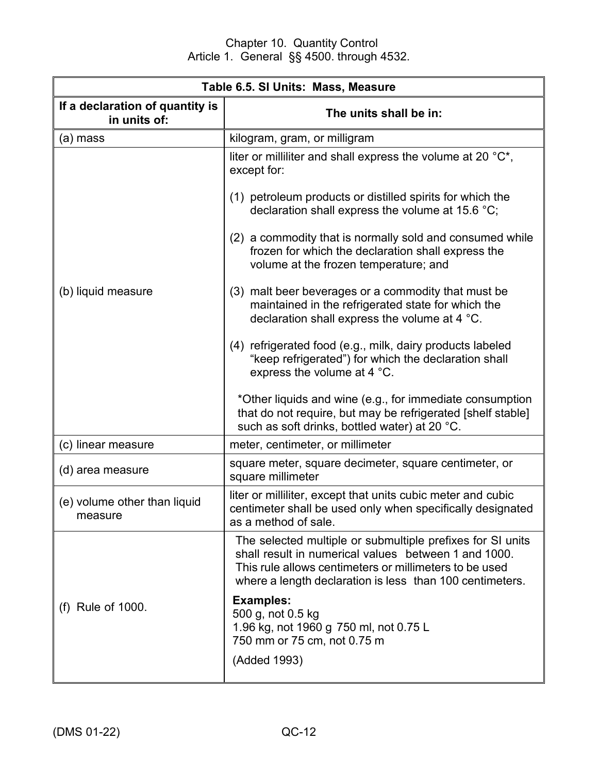| Table 6.5. SI Units: Mass, Measure              |                                                                                                                                                                                                                                          |  |  |  |
|-------------------------------------------------|------------------------------------------------------------------------------------------------------------------------------------------------------------------------------------------------------------------------------------------|--|--|--|
| If a declaration of quantity is<br>in units of: | The units shall be in:                                                                                                                                                                                                                   |  |  |  |
| (a) mass                                        | kilogram, gram, or milligram                                                                                                                                                                                                             |  |  |  |
|                                                 | liter or milliliter and shall express the volume at 20 $\mathrm{C}^*$ ,<br>except for:                                                                                                                                                   |  |  |  |
|                                                 | (1) petroleum products or distilled spirits for which the<br>declaration shall express the volume at 15.6 $^{\circ}$ C;                                                                                                                  |  |  |  |
|                                                 | (2) a commodity that is normally sold and consumed while<br>frozen for which the declaration shall express the<br>volume at the frozen temperature; and                                                                                  |  |  |  |
| (b) liquid measure                              | (3) malt beer beverages or a commodity that must be<br>maintained in the refrigerated state for which the<br>declaration shall express the volume at 4 °C.                                                                               |  |  |  |
|                                                 | (4) refrigerated food (e.g., milk, dairy products labeled<br>"keep refrigerated") for which the declaration shall<br>express the volume at 4 °C.                                                                                         |  |  |  |
|                                                 | *Other liquids and wine (e.g., for immediate consumption<br>that do not require, but may be refrigerated [shelf stable]<br>such as soft drinks, bottled water) at 20 °C.                                                                 |  |  |  |
| (c) linear measure                              | meter, centimeter, or millimeter                                                                                                                                                                                                         |  |  |  |
| (d) area measure                                | square meter, square decimeter, square centimeter, or<br>square millimeter                                                                                                                                                               |  |  |  |
| (e) volume other than liquid<br>measure         | liter or milliliter, except that units cubic meter and cubic<br>centimeter shall be used only when specifically designated<br>as a method of sale.                                                                                       |  |  |  |
|                                                 | The selected multiple or submultiple prefixes for SI units<br>shall result in numerical values between 1 and 1000.<br>This rule allows centimeters or millimeters to be used<br>where a length declaration is less than 100 centimeters. |  |  |  |
| (f) Rule of 1000.                               | <b>Examples:</b><br>500 g, not 0.5 kg<br>1.96 kg, not 1960 g 750 ml, not 0.75 L<br>750 mm or 75 cm, not 0.75 m                                                                                                                           |  |  |  |
|                                                 | (Added 1993)                                                                                                                                                                                                                             |  |  |  |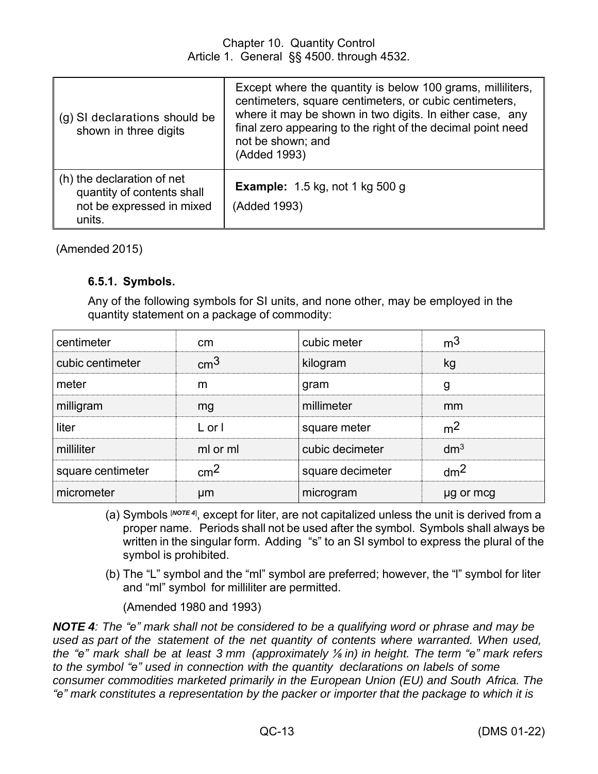| (g) SI declarations should be<br>shown in three digits                                          | Except where the quantity is below 100 grams, milliliters,<br>centimeters, square centimeters, or cubic centimeters,<br>where it may be shown in two digits. In either case, any<br>final zero appearing to the right of the decimal point need<br>not be shown; and<br>(Added 1993) |
|-------------------------------------------------------------------------------------------------|--------------------------------------------------------------------------------------------------------------------------------------------------------------------------------------------------------------------------------------------------------------------------------------|
| (h) the declaration of net<br>quantity of contents shall<br>not be expressed in mixed<br>units. | <b>Example:</b> 1.5 kg, not 1 kg 500 g<br>(Added 1993)                                                                                                                                                                                                                               |

(Amended 2015)

## **6.5.1. Symbols.**

Any of the following symbols for SI units, and none other, may be employed in the quantity statement on a package of commodity:

| centimeter        | <sub>cm</sub>   | cubic meter      | m <sup>3</sup>  |
|-------------------|-----------------|------------------|-----------------|
| cubic centimeter  | $\rm cm^3$      | kilogram         | kg              |
| meter             | m               | gram             | g               |
| milligram         | mg              | millimeter       | mm              |
| liter             | $L$ or $\vert$  | square meter     | m <sup>2</sup>  |
| milliliter        | ml or ml        | cubic decimeter  | dm <sup>3</sup> |
| square centimeter | cm <sup>2</sup> | square decimeter | dm <sup>2</sup> |
| micrometer        | μm              | microgram        | µg or mcg       |

- (a) Symbols [*NOTE <sup>4</sup>*] , except for liter, are not capitalized unless the unit is derived from a proper name. Periods shall not be used after the symbol. Symbols shall always be written in the singular form. Adding "s" to an SI symbol to express the plural of the symbol is prohibited.
- (b) The "L" symbol and the "ml" symbol are preferred; however, the "l" symbol for liter and "ml" symbol for milliliter are permitted.

(Amended 1980 and 1993)

**NOTE 4**: The "e" mark shall not be considered to be a qualifying word or phrase and may be *used as part of the statement of the net quantity of contents where warranted. When used,* the "e" mark shall be at least 3 mm (approximately  $\frac{1}{2}$  in) in height. The term "e" mark refers *to the symbol "e" used in connection with the quantity declarations on labels of some consumer commodities marketed primarily in the European Union (EU) and South Africa. The "e" mark constitutes a representation by the packer or importer that the package to which it is*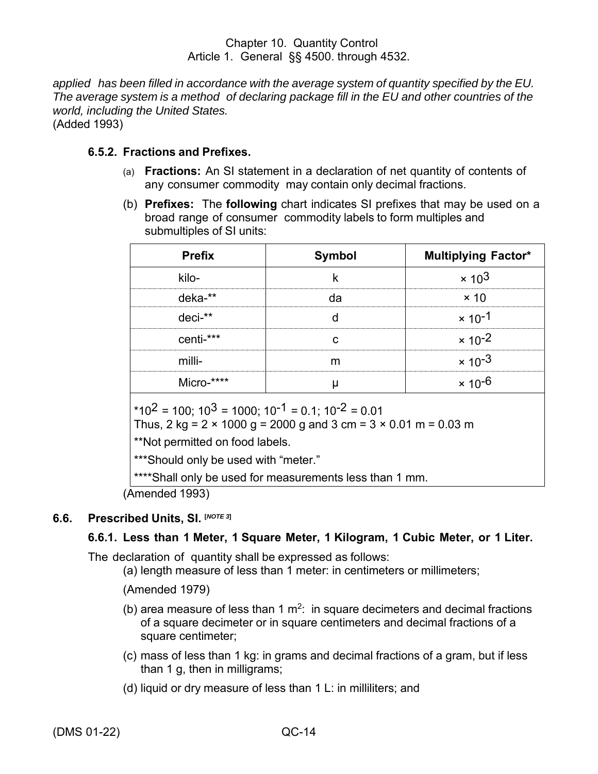*applied has been filled in accordance with the average system of quantity specified by the EU. The average system is a method of declaring package fill in the EU and other countries of the world, including the United States.* (Added 1993)

#### **6.5.2. Fractions and Prefixes.**

- (a) **Fractions:** An SI statement in a declaration of net quantity of contents of any consumer commodity may contain only decimal fractions.
- (b) **Prefixes:** The **following** chart indicates SI prefixes that may be used on a broad range of consumer commodity labels to form multiples and submultiples of SI units:

| <b>Prefix</b> | <b>Symbol</b> | <b>Multiplying Factor*</b> |
|---------------|---------------|----------------------------|
| kilo-         |               | $\times 10^3$              |
| $deka-*$      |               | $\times$ 10                |
| $deci-*$      |               | $\times$ 10 <sup>-1</sup>  |
| centi-***     |               | $\times$ 10 <sup>-2</sup>  |
| milli-        |               | $\times$ 10 <sup>-3</sup>  |
| Micro-****    |               | × 10 <sup>-6</sup>         |

 $*10^2 = 100$ :  $10^3 = 1000$ :  $10^{-1} = 0.1$ :  $10^{-2} = 0.01$ 

Thus, 2 kg =  $2 \times 1000$  g = 2000 g and 3 cm =  $3 \times 0.01$  m = 0.03 m

\*\*Not permitted on food labels.

\*\*\*Should only be used with "meter."

\*\*\*\*Shall only be used for measurements less than 1 mm.

(Amended 1993)

# <span id="page-19-0"></span>**6.6. Prescribed Units, SI. [***NOTE <sup>3</sup>***]**

# **6.6.1. Less than 1 Meter, 1 Square Meter, 1 Kilogram, 1 Cubic Meter, or 1 Liter.**

The declaration of quantity shall be expressed as follows:

(a) length measure of less than 1 meter: in centimeters or millimeters;

(Amended 1979)

- (b) area measure of less than 1  $m^2$ : in square decimeters and decimal fractions of a square decimeter or in square centimeters and decimal fractions of a square centimeter;
- (c) mass of less than 1 kg: in grams and decimal fractions of a gram, but if less than 1 g, then in milligrams;
- (d) liquid or dry measure of less than 1 L: in milliliters; and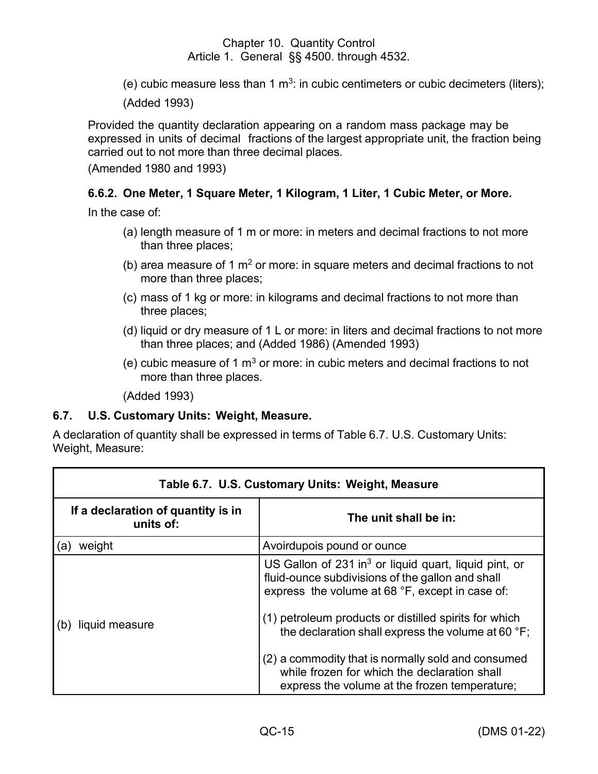(e) cubic measure less than 1  $\text{m}^3$ : in cubic centimeters or cubic decimeters (liters);

(Added 1993)

Provided the quantity declaration appearing on a random mass package may be expressed in units of decimal fractions of the largest appropriate unit, the fraction being carried out to not more than three decimal places.

(Amended 1980 and 1993)

## **6.6.2. One Meter, 1 Square Meter, 1 Kilogram, 1 Liter, 1 Cubic Meter, or More.**

In the case of:

- (a) length measure of 1 m or more: in meters and decimal fractions to not more than three places;
- (b) area measure of 1  $m<sup>2</sup>$  or more: in square meters and decimal fractions to not more than three places;
- (c) mass of 1 kg or more: in kilograms and decimal fractions to not more than three places;
- (d) liquid or dry measure of 1 L or more: in liters and decimal fractions to not more than three places; and (Added 1986) (Amended 1993)
- (e) cubic measure of 1  $m<sup>3</sup>$  or more: in cubic meters and decimal fractions to not more than three places.

(Added 1993)

#### <span id="page-20-0"></span>**6.7. U.S. Customary Units: Weight, Measure.**

A declaration of quantity shall be expressed in terms of Table 6.7. U.S. Customary Units: Weight, Measure:

| Table 6.7. U.S. Customary Units: Weight, Measure |                                                                                                                                                                                                                                                                                                                                                                                                                                                |  |  |
|--------------------------------------------------|------------------------------------------------------------------------------------------------------------------------------------------------------------------------------------------------------------------------------------------------------------------------------------------------------------------------------------------------------------------------------------------------------------------------------------------------|--|--|
| If a declaration of quantity is in<br>units of:  | The unit shall be in:                                                                                                                                                                                                                                                                                                                                                                                                                          |  |  |
| weight<br>(a)                                    | Avoirdupois pound or ounce                                                                                                                                                                                                                                                                                                                                                                                                                     |  |  |
| liquid measure                                   | US Gallon of 231 in <sup>3</sup> or liquid quart, liquid pint, or<br>fluid-ounce subdivisions of the gallon and shall<br>express the volume at 68 °F, except in case of:<br>(1) petroleum products or distilled spirits for which<br>the declaration shall express the volume at 60 °F;<br>(2) a commodity that is normally sold and consumed<br>while frozen for which the declaration shall<br>express the volume at the frozen temperature; |  |  |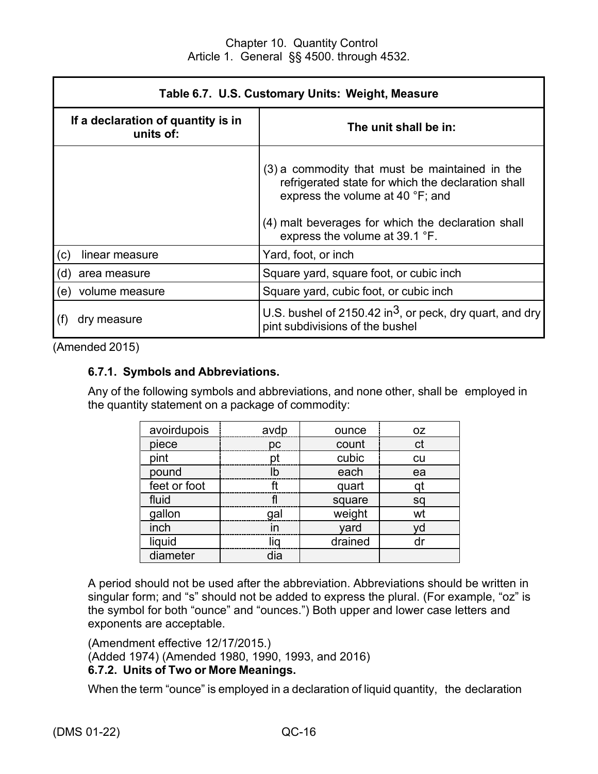| Table 6.7. U.S. Customary Units: Weight, Measure               |                                                                                                                                                                                                                                  |  |  |
|----------------------------------------------------------------|----------------------------------------------------------------------------------------------------------------------------------------------------------------------------------------------------------------------------------|--|--|
| If a declaration of quantity is in<br>units of:                | The unit shall be in:                                                                                                                                                                                                            |  |  |
|                                                                | (3) a commodity that must be maintained in the<br>refrigerated state for which the declaration shall<br>express the volume at 40 °F; and<br>(4) malt beverages for which the declaration shall<br>express the volume at 39.1 °F. |  |  |
| (c)<br>linear measure                                          | Yard, foot, or inch                                                                                                                                                                                                              |  |  |
| Square yard, square foot, or cubic inch<br>(d)<br>area measure |                                                                                                                                                                                                                                  |  |  |
| volume measure<br>(e)                                          | Square yard, cubic foot, or cubic inch                                                                                                                                                                                           |  |  |
| dry measure                                                    | U.S. bushel of 2150.42 in <sup>3</sup> , or peck, dry quart, and dry<br>pint subdivisions of the bushel                                                                                                                          |  |  |

(Amended 2015)

#### **6.7.1. Symbols and Abbreviations.**

Any of the following symbols and abbreviations, and none other, shall be employed in the quantity statement on a package of commodity:

| avoirdupois  | avdp | ounce   | OZ.       |
|--------------|------|---------|-----------|
| piece        | pc   | count   | ct        |
| pint         | pt   | cubic   | <b>cu</b> |
| pound        | lb   | each    | ea        |
| feet or foot | ft   | quart   |           |
| fluid        |      | square  | sq        |
| gallon       | gal  | weight  | wt        |
| inch         | in   | yard    | vd        |
| liquid       | liq  | drained |           |
| diameter     | dia  |         |           |

A period should not be used after the abbreviation. Abbreviations should be written in singular form; and "s" should not be added to express the plural. (For example, "oz" is the symbol for both "ounce" and "ounces.") Both upper and lower case letters and exponents are acceptable.

(Amendment effective 12/17/2015.) (Added 1974) (Amended 1980, 1990, 1993, and 2016) **6.7.2. Units of Two or More Meanings.**

When the term "ounce" is employed in a declaration of liquid quantity, the declaration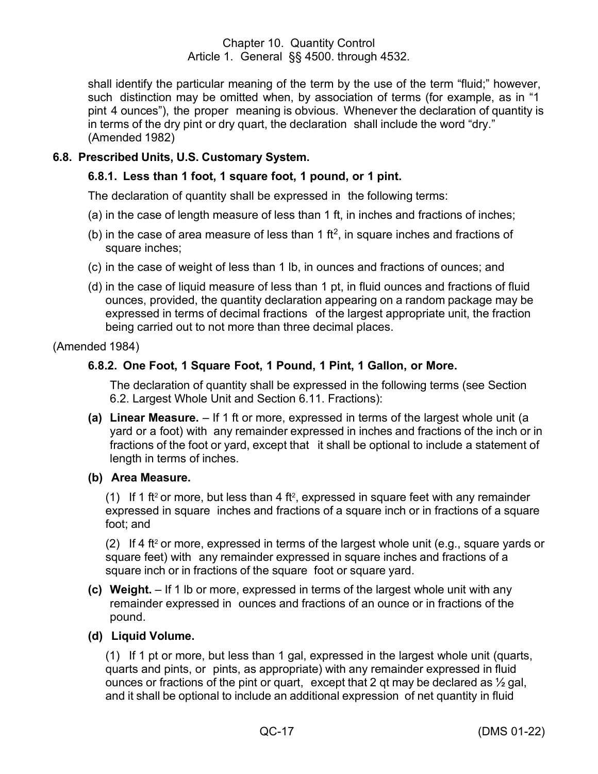shall identify the particular meaning of the term by the use of the term "fluid;" however, such distinction may be omitted when, by association of terms (for example, as in "1 pint 4 ounces"), the proper meaning is obvious. Whenever the declaration of quantity is in terms of the dry pint or dry quart, the declaration shall include the word "dry." (Amended 1982)

## <span id="page-22-0"></span>**6.8. Prescribed Units, U.S. Customary System.**

## **6.8.1. Less than 1 foot, 1 square foot, 1 pound, or 1 pint.**

The declaration of quantity shall be expressed in the following terms:

- (a) in the case of length measure of less than 1 ft, in inches and fractions of inches;
- (b) in the case of area measure of less than 1 ft<sup>2</sup>, in square inches and fractions of square inches;
- (c) in the case of weight of less than 1 lb, in ounces and fractions of ounces; and
- (d) in the case of liquid measure of less than 1 pt, in fluid ounces and fractions of fluid ounces, provided, the quantity declaration appearing on a random package may be expressed in terms of decimal fractions of the largest appropriate unit, the fraction being carried out to not more than three decimal places.

(Amended 1984)

#### **6.8.2. One Foot, 1 Square Foot, 1 Pound, 1 Pint, 1 Gallon, or More.**

The declaration of quantity shall be expressed in the following terms (see Section 6.2. Largest Whole Unit and Section 6.11. Fractions):

- **(a) Linear Measure.** If 1 ft or more, expressed in terms of the largest whole unit (a yard or a foot) with any remainder expressed in inches and fractions of the inch or in fractions of the foot or yard, except that it shall be optional to include a statement of length in terms of inches.
- **(b) Area Measure.**

(1) If 1 ft² or more, but less than 4 ft², expressed in square feet with any remainder expressed in square inches and fractions of a square inch or in fractions of a square foot; and

(2) If 4 ft<sup>2</sup> or more, expressed in terms of the largest whole unit (e.g., square yards or square feet) with any remainder expressed in square inches and fractions of a square inch or in fractions of the square foot or square yard.

**(c) Weight.** – If 1 lb or more, expressed in terms of the largest whole unit with any remainder expressed in ounces and fractions of an ounce or in fractions of the pound.

#### **(d) Liquid Volume.**

(1) If 1 pt or more, but less than 1 gal, expressed in the largest whole unit (quarts, quarts and pints, or pints, as appropriate) with any remainder expressed in fluid ounces or fractions of the pint or quart, except that 2 qt may be declared as  $\frac{1}{2}$  gal, and it shall be optional to include an additional expression of net quantity in fluid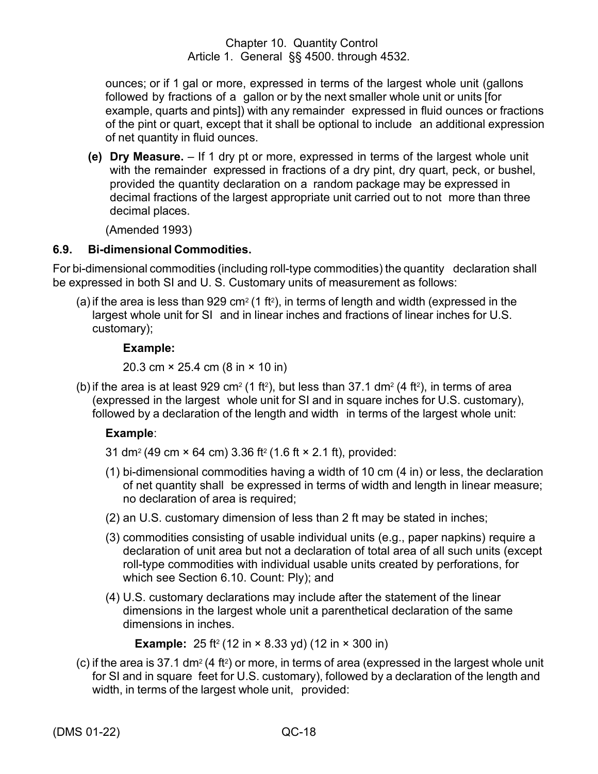ounces; or if 1 gal or more, expressed in terms of the largest whole unit (gallons followed by fractions of a gallon or by the next smaller whole unit or units [for example, quarts and pints]) with any remainder expressed in fluid ounces or fractions of the pint or quart, except that it shall be optional to include an additional expression of net quantity in fluid ounces.

**(e) Dry Measure.** – If 1 dry pt or more, expressed in terms of the largest whole unit with the remainder expressed in fractions of a dry pint, dry quart, peck, or bushel, provided the quantity declaration on a random package may be expressed in decimal fractions of the largest appropriate unit carried out to not more than three decimal places.

(Amended 1993)

#### <span id="page-23-0"></span>**6.9. Bi-dimensional Commodities.**

For bi-dimensional commodities (including roll-type commodities) the quantity declaration shall be expressed in both SI and U. S. Customary units of measurement as follows:

(a) if the area is less than 929 cm² (1 ft²), in terms of length and width (expressed in the largest whole unit for SI and in linear inches and fractions of linear inches for U.S. customary);

#### **Example:**

20.3 cm × 25.4 cm (8 in × 10 in)

(b) if the area is at least 929 cm² (1 ft²), but less than 37.1 dm² (4 ft²), in terms of area (expressed in the largest whole unit for SI and in square inches for U.S. customary), followed by a declaration of the length and width in terms of the largest whole unit:

# **Example**:

- 31 dm<sup>2</sup> (49 cm × 64 cm) 3.36 ft<sup>2</sup> (1.6 ft × 2.1 ft), provided:
- (1) bi-dimensional commodities having a width of 10 cm (4 in) or less, the declaration of net quantity shall be expressed in terms of width and length in linear measure; no declaration of area is required;
- (2) an U.S. customary dimension of less than 2 ft may be stated in inches;
- (3) commodities consisting of usable individual units (e.g., paper napkins) require a declaration of unit area but not a declaration of total area of all such units (except roll-type commodities with individual usable units created by perforations, for which see Section 6.10. Count: Ply); and
- (4) U.S. customary declarations may include after the statement of the linear dimensions in the largest whole unit a parenthetical declaration of the same dimensions in inches.

**Example:** 25 ft<sup>2</sup> (12 in × 8.33 yd) (12 in × 300 in)

(c) if the area is 37.1 dm² (4 ft²) or more, in terms of area (expressed in the largest whole unit for SI and in square feet for U.S. customary), followed by a declaration of the length and width, in terms of the largest whole unit, provided: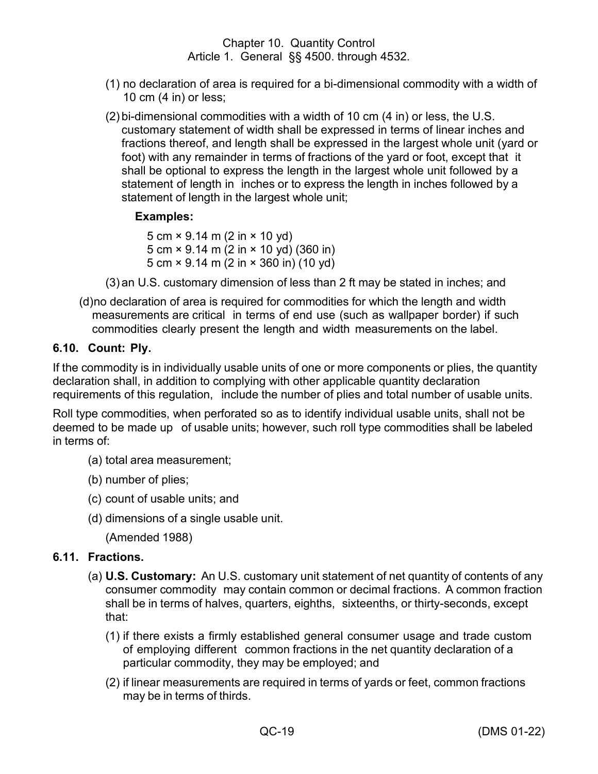- (1) no declaration of area is required for a bi-dimensional commodity with a width of 10 cm (4 in) or less;
- (2) bi-dimensional commodities with a width of 10 cm (4 in) or less, the U.S. customary statement of width shall be expressed in terms of linear inches and fractions thereof, and length shall be expressed in the largest whole unit (yard or foot) with any remainder in terms of fractions of the yard or foot, except that it shall be optional to express the length in the largest whole unit followed by a statement of length in inches or to express the length in inches followed by a statement of length in the largest whole unit;

## **Examples:**

5 cm × 9.14 m (2 in × 10 yd) 5 cm × 9.14 m (2 in × 10 yd) (360 in) 5 cm × 9.14 m (2 in × 360 in) (10 yd)

(3) an U.S. customary dimension of less than 2 ft may be stated in inches; and

(d)no declaration of area is required for commodities for which the length and width measurements are critical in terms of end use (such as wallpaper border) if such commodities clearly present the length and width measurements on the label.

## <span id="page-24-0"></span>**6.10. Count: Ply.**

If the commodity is in individually usable units of one or more components or plies, the quantity declaration shall, in addition to complying with other applicable quantity declaration requirements of this regulation, include the number of plies and total number of usable units.

Roll type commodities, when perforated so as to identify individual usable units, shall not be deemed to be made up of usable units; however, such roll type commodities shall be labeled in terms of:

- (a) total area measurement;
- (b) number of plies;
- (c) count of usable units; and
- (d) dimensions of a single usable unit.

(Amended 1988)

# <span id="page-24-1"></span>**6.11. Fractions.**

- (a) **U.S. Customary:** An U.S. customary unit statement of net quantity of contents of any consumer commodity may contain common or decimal fractions. A common fraction shall be in terms of halves, quarters, eighths, sixteenths, or thirty-seconds, except that:
	- (1) if there exists a firmly established general consumer usage and trade custom of employing different common fractions in the net quantity declaration of a particular commodity, they may be employed; and
	- (2) if linear measurements are required in terms of yards or feet, common fractions may be in terms of thirds.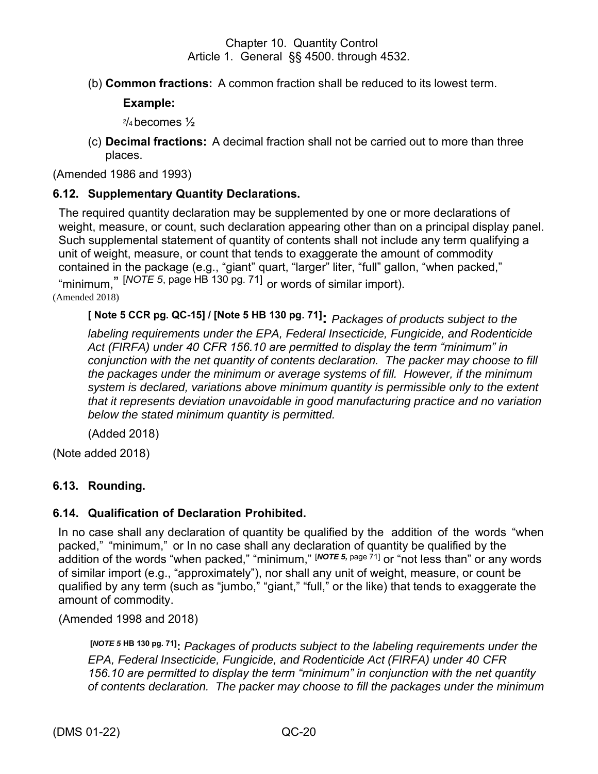(b) **Common fractions:** A common fraction shall be reduced to its lowest term.

## **Example:**

2 /<sup>4</sup> becomes ½

(c) **Decimal fractions:** A decimal fraction shall not be carried out to more than three places.

(Amended 1986 and 1993)

#### <span id="page-25-0"></span>**6.12. Supplementary Quantity Declarations.**

The required quantity declaration may be supplemented by one or more declarations of weight, measure, or count, such declaration appearing other than on a principal display panel. Such supplemental statement of quantity of contents shall not include any term qualifying a unit of weight, measure, or count that tends to exaggerate the amount of commodity contained in the package (e.g., "giant" quart, "larger" liter, "full" gallon, "when packed," "minimum," [*NOTE 5*, page HB 130 pg. 71] or words of similar import). (Amended 2018)

**[ Note 5 CCR pg. QC-15] / [Note 5 HB 130 pg. 71]:** *Packages of products subject to the labeling requirements under the EPA, Federal Insecticide, Fungicide, and Rodenticide Act (FIRFA) under 40 CFR 156.10 are permitted to display the term "minimum" in conjunction with the net quantity of contents declaration. The packer may choose to fill the packages under the minimum or average systems of fill. However, if the minimum system is declared, variations above minimum quantity is permissible only to the extent that it represents deviation unavoidable in good manufacturing practice and no variation below the stated minimum quantity is permitted.*

(Added 2018)

(Note added 2018)

# <span id="page-25-1"></span>**6.13. Rounding.**

#### <span id="page-25-2"></span>**6.14. Qualification of Declaration Prohibited.**

In no case shall any declaration of quantity be qualified by the addition of the words "when packed," "minimum," or In no case shall any declaration of quantity be qualified by the addition of the words "when packed," "minimum," [NOTE 5, page 71] or "not less than" or any words of similar import (e.g., "approximately"), nor shall any unit of weight, measure, or count be qualified by any term (such as "jumbo," "giant," "full," or the like) that tends to exaggerate the amount of commodity.

(Amended 1998 and 2018)

**[***NOTE 5* **HB 130 pg. 71]:** *Packages of products subject to the labeling requirements under the EPA, Federal Insecticide, Fungicide, and Rodenticide Act (FIRFA) under 40 CFR 156.10 are permitted to display the term "minimum" in conjunction with the net quantity of contents declaration. The packer may choose to fill the packages under the minimum*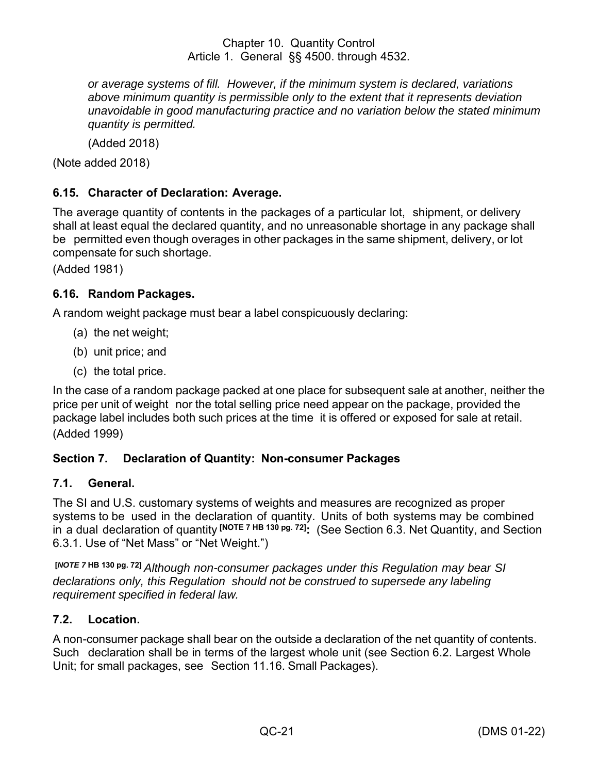*or average systems of fill. However, if the minimum system is declared, variations above minimum quantity is permissible only to the extent that it represents deviation unavoidable in good manufacturing practice and no variation below the stated minimum quantity is permitted.*

(Added 2018)

(Note added 2018)

# <span id="page-26-0"></span>**6.15. Character of Declaration: Average.**

The average quantity of contents in the packages of a particular lot, shipment, or delivery shall at least equal the declared quantity, and no unreasonable shortage in any package shall be permitted even though overages in other packages in the same shipment, delivery, or lot compensate for such shortage.

(Added 1981)

## <span id="page-26-1"></span>**6.16. Random Packages.**

A random weight package must bear a label conspicuously declaring:

- (a) the net weight;
- (b) unit price; and
- (c) the total price.

In the case of a random package packed at one place for subsequent sale at another, neither the price per unit of weight nor the total selling price need appear on the package, provided the package label includes both such prices at the time it is offered or exposed for sale at retail.

(Added 1999)

# <span id="page-26-2"></span>**Section 7. Declaration of Quantity: Non-consumer Packages**

#### <span id="page-26-3"></span>**7.1. General.**

The SI and U.S. customary systems of weights and measures are recognized as proper systems to be used in the declaration of quantity. Units of both systems may be combined in a dual declaration of quantity **[NOTE 7 HB 130 pg. 72] :** (See Section 6.3. Net Quantity, and Section 6.3.1. Use of "Net Mass" or "Net Weight.")

**[***NOTE <sup>7</sup>* **HB 130 pg. 72]** *Although non-consumer packages under this Regulation may bear SI declarations only, this Regulation should not be construed to supersede any labeling requirement specified in federal law.*

#### <span id="page-26-4"></span>**7.2. Location.**

A non-consumer package shall bear on the outside a declaration of the net quantity of contents. Such declaration shall be in terms of the largest whole unit (see Section 6.2. Largest Whole Unit; for small packages, see Section 11.16. Small Packages).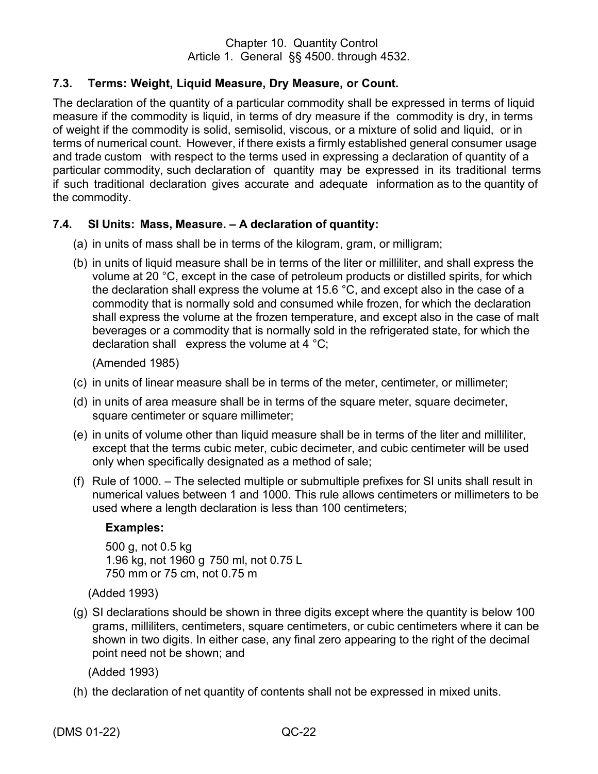## <span id="page-27-0"></span>**7.3. Terms: Weight, Liquid Measure, Dry Measure, or Count.**

The declaration of the quantity of a particular commodity shall be expressed in terms of liquid measure if the commodity is liquid, in terms of dry measure if the commodity is dry, in terms of weight if the commodity is solid, semisolid, viscous, or a mixture of solid and liquid, or in terms of numerical count. However, if there exists a firmly established general consumer usage and trade custom with respect to the terms used in expressing a declaration of quantity of a particular commodity, such declaration of quantity may be expressed in its traditional terms if such traditional declaration gives accurate and adequate information as to the quantity of the commodity.

#### <span id="page-27-1"></span>**7.4. SI Units: Mass, Measure. – A declaration of quantity:**

- (a) in units of mass shall be in terms of the kilogram, gram, or milligram;
- (b) in units of liquid measure shall be in terms of the liter or milliliter, and shall express the volume at 20 °C, except in the case of petroleum products or distilled spirits, for which the declaration shall express the volume at 15.6 °C, and except also in the case of a commodity that is normally sold and consumed while frozen, for which the declaration shall express the volume at the frozen temperature, and except also in the case of malt beverages or a commodity that is normally sold in the refrigerated state, for which the declaration shall express the volume at 4 °C;

(Amended 1985)

- (c) in units of linear measure shall be in terms of the meter, centimeter, or millimeter;
- (d) in units of area measure shall be in terms of the square meter, square decimeter, square centimeter or square millimeter;
- (e) in units of volume other than liquid measure shall be in terms of the liter and milliliter, except that the terms cubic meter, cubic decimeter, and cubic centimeter will be used only when specifically designated as a method of sale;
- (f) Rule of 1000. The selected multiple or submultiple prefixes for SI units shall result in numerical values between 1 and 1000. This rule allows centimeters or millimeters to be used where a length declaration is less than 100 centimeters;

#### **Examples:**

500 g, not 0.5 kg 1.96 kg, not 1960 g 750 ml, not 0.75 L 750 mm or 75 cm, not 0.75 m

(Added 1993)

(g) SI declarations should be shown in three digits except where the quantity is below 100 grams, milliliters, centimeters, square centimeters, or cubic centimeters where it can be shown in two digits. In either case, any final zero appearing to the right of the decimal point need not be shown; and

(Added 1993)

(h) the declaration of net quantity of contents shall not be expressed in mixed units.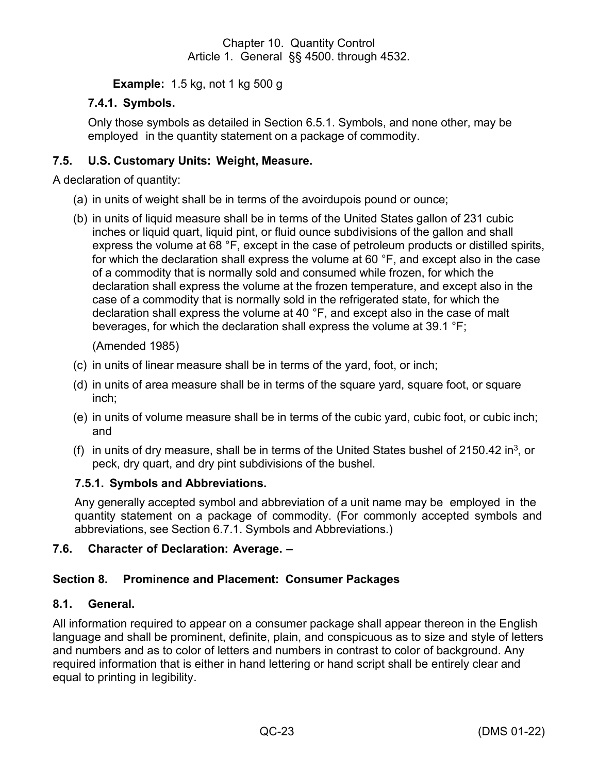**Example:** 1.5 kg, not 1 kg 500 g

# **7.4.1. Symbols.**

Only those symbols as detailed in Section 6.5.1. Symbols, and none other, may be employed in the quantity statement on a package of commodity.

## <span id="page-28-0"></span>**7.5. U.S. Customary Units: Weight, Measure.**

A declaration of quantity:

- (a) in units of weight shall be in terms of the avoirdupois pound or ounce;
- (b) in units of liquid measure shall be in terms of the United States gallon of 231 cubic inches or liquid quart, liquid pint, or fluid ounce subdivisions of the gallon and shall express the volume at 68 °F, except in the case of petroleum products or distilled spirits, for which the declaration shall express the volume at 60 °F, and except also in the case of a commodity that is normally sold and consumed while frozen, for which the declaration shall express the volume at the frozen temperature, and except also in the case of a commodity that is normally sold in the refrigerated state, for which the declaration shall express the volume at 40 °F, and except also in the case of malt beverages, for which the declaration shall express the volume at 39.1 °F;

(Amended 1985)

- (c) in units of linear measure shall be in terms of the yard, foot, or inch;
- (d) in units of area measure shall be in terms of the square yard, square foot, or square inch;
- (e) in units of volume measure shall be in terms of the cubic yard, cubic foot, or cubic inch; and
- (f) in units of dry measure, shall be in terms of the United States bushel of 2150.42 in<sup>3</sup>, or peck, dry quart, and dry pint subdivisions of the bushel.

#### **7.5.1. Symbols and Abbreviations.**

Any generally accepted symbol and abbreviation of a unit name may be employed in the quantity statement on a package of commodity. (For commonly accepted symbols and abbreviations, see Section 6.7.1. Symbols and Abbreviations.)

#### <span id="page-28-1"></span>**7.6.** Character of Declaration: Average.  $-$

# <span id="page-28-2"></span>**Section 8. Prominence and Placement: Consumer Packages**

#### <span id="page-28-3"></span>**8.1. General.**

All information required to appear on a consumer package shall appear thereon in the English language and shall be prominent, definite, plain, and conspicuous as to size and style of letters and numbers and as to color of letters and numbers in contrast to color of background. Any required information that is either in hand lettering or hand script shall be entirely clear and equal to printing in legibility.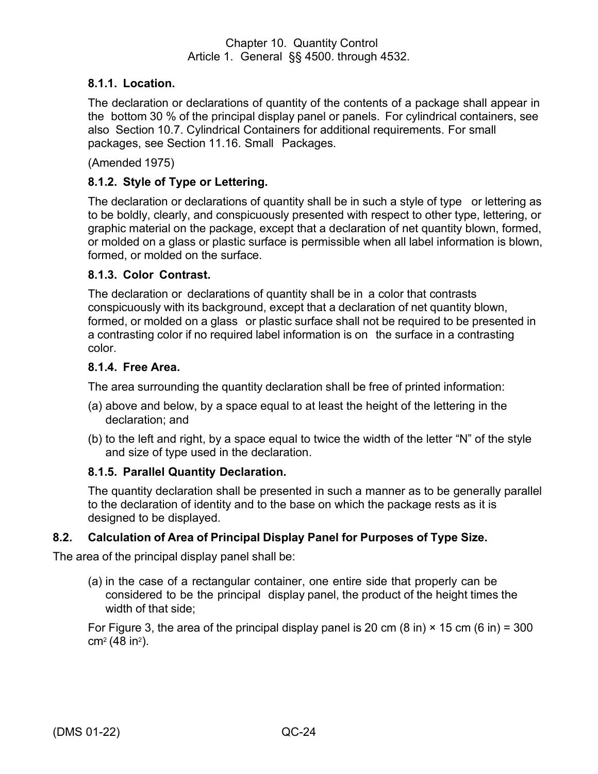## **8.1.1. Location.**

The declaration or declarations of quantity of the contents of a package shall appear in the bottom 30 % of the principal display panel or panels. For cylindrical containers, see also Section 10.7. Cylindrical Containers for additional requirements. For small packages, see Section 11.16. Small Packages.

(Amended 1975)

## **8.1.2. Style of Type or Lettering.**

The declaration or declarations of quantity shall be in such a style of type or lettering as to be boldly, clearly, and conspicuously presented with respect to other type, lettering, or graphic material on the package, except that a declaration of net quantity blown, formed, or molded on a glass or plastic surface is permissible when all label information is blown, formed, or molded on the surface.

#### **8.1.3. Color Contrast.**

The declaration or declarations of quantity shall be in a color that contrasts conspicuously with its background, except that a declaration of net quantity blown, formed, or molded on a glass or plastic surface shall not be required to be presented in a contrasting color if no required label information is on the surface in a contrasting color.

#### **8.1.4. Free Area.**

The area surrounding the quantity declaration shall be free of printed information:

- (a) above and below, by a space equal to at least the height of the lettering in the declaration; and
- (b) to the left and right, by a space equal to twice the width of the letter "N" of the style and size of type used in the declaration.

#### **8.1.5. Parallel Quantity Declaration.**

The quantity declaration shall be presented in such a manner as to be generally parallel to the declaration of identity and to the base on which the package rests as it is designed to be displayed.

#### <span id="page-29-0"></span>**8.2. Calculation of Area of Principal Display Panel for Purposes of Type Size.**

The area of the principal display panel shall be:

(a) in the case of a rectangular container, one entire side that properly can be considered to be the principal display panel, the product of the height times the width of that side;

For Figure 3, the area of the principal display panel is 20 cm (8 in)  $\times$  15 cm (6 in) = 300 cm<sup>2</sup> (48 in<sup>2</sup> ).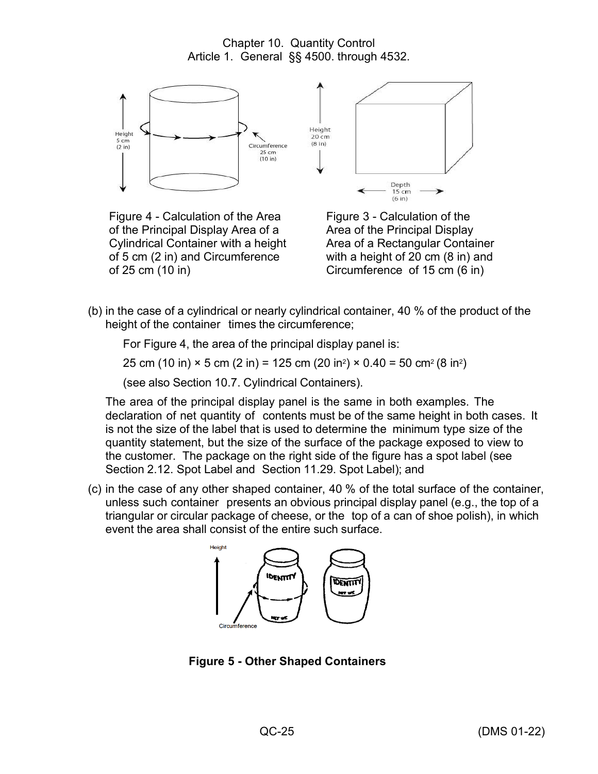

Figure 4 - Calculation of the Area of the Principal Display Area of a Cylindrical Container with a height of 5 cm (2 in) and Circumference of 25 cm (10 in)



Figure 3 - Calculation of the Area of the Principal Display Area of a Rectangular Container with a height of 20 cm (8 in) and Circumference of 15 cm (6 in)

(b) in the case of a cylindrical or nearly cylindrical container, 40 % of the product of the height of the container times the circumference;

For Figure 4, the area of the principal display panel is:

25 cm (10 in) × 5 cm (2 in) = 125 cm (20 in²) × 0.40 = 50 cm² (8 in²)

(see also Section 10.7. Cylindrical Containers).

The area of the principal display panel is the same in both examples. The declaration of net quantity of contents must be of the same height in both cases. It is not the size of the label that is used to determine the minimum type size of the quantity statement, but the size of the surface of the package exposed to view to the customer. The package on the right side of the figure has a spot label (see Section 2.12. Spot Label and Section 11.29. Spot Label); and

(c) in the case of any other shaped container, 40 % of the total surface of the container, unless such container presents an obvious principal display panel (e.g., the top of a triangular or circular package of cheese, or the top of a can of shoe polish), in which event the area shall consist of the entire such surface.



**Figure 5 - Other Shaped Containers**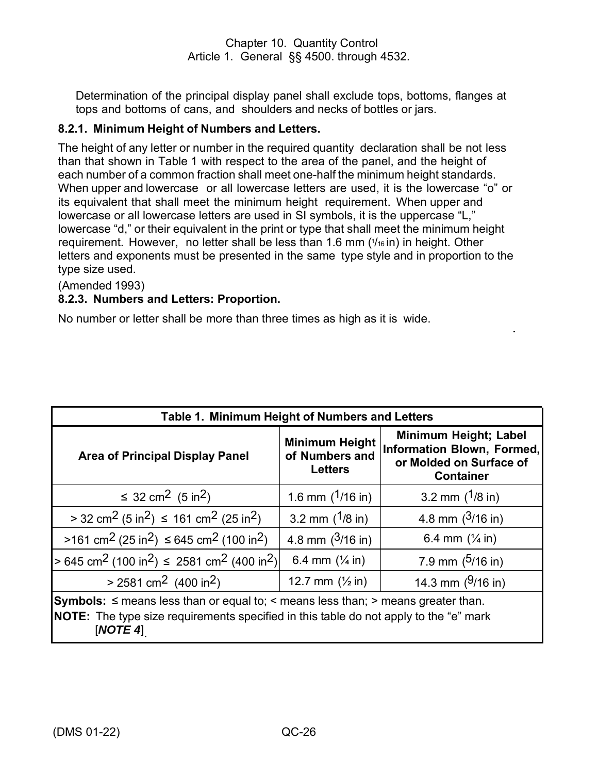Determination of the principal display panel shall exclude tops, bottoms, flanges at tops and bottoms of cans, and shoulders and necks of bottles or jars.

# **8.2.1. Minimum Height of Numbers and Letters.**

The height of any letter or number in the required quantity declaration shall be not less than that shown in Table 1 with respect to the area of the panel, and the height of each number of a common fraction shall meet one-half the minimum height standards. When upper and lowercase or all lowercase letters are used, it is the lowercase "o" or its equivalent that shall meet the minimum height requirement. When upper and lowercase or all lowercase letters are used in SI symbols, it is the uppercase "L," lowercase "d," or their equivalent in the print or type that shall meet the minimum height requirement. However, no letter shall be less than 1.6 mm ( 1 /<sup>16</sup> in) in height. Other letters and exponents must be presented in the same type style and in proportion to the type size used.

(Amended 1993)

# **8.2.3. Numbers and Letters: Proportion.**

No number or letter shall be more than three times as high as it is wide.

| Table 1. Minimum Height of Numbers and Letters                                                                                                                                                                     |                                                           |                                                                                                    |  |
|--------------------------------------------------------------------------------------------------------------------------------------------------------------------------------------------------------------------|-----------------------------------------------------------|----------------------------------------------------------------------------------------------------|--|
| <b>Area of Principal Display Panel</b>                                                                                                                                                                             | <b>Minimum Height</b><br>of Numbers and<br><b>Letters</b> | Minimum Height; Label<br>Information Blown, Formed,<br>or Molded on Surface of<br><b>Container</b> |  |
| ≤ 32 cm <sup>2</sup> (5 in <sup>2</sup> )                                                                                                                                                                          | 1.6 mm $(1/16$ in)                                        | 3.2 mm $(1/8)$ in)                                                                                 |  |
| $>$ 32 cm <sup>2</sup> (5 in <sup>2</sup> ) $\leq$ 161 cm <sup>2</sup> (25 in <sup>2</sup> )                                                                                                                       | 3.2 mm $(1/8)$ in)                                        | 4.8 mm $(3/16 \text{ in})$                                                                         |  |
| $>161$ cm <sup>2</sup> (25 in <sup>2</sup> ) $\leq$ 645 cm <sup>2</sup> (100 in <sup>2</sup> )                                                                                                                     | 4.8 mm $(3/16)$ in)                                       | 6.4 mm $(\frac{1}{4}$ in)                                                                          |  |
| $> 645$ cm <sup>2</sup> (100 in <sup>2</sup> ) $\leq$ 2581 cm <sup>2</sup> (400 in <sup>2</sup> )                                                                                                                  | 6.4 mm $(\frac{1}{4}$ in)                                 | 7.9 mm $(5/16)$ in)                                                                                |  |
| $> 2581$ cm <sup>2</sup> (400 in <sup>2</sup> )<br>14.3 mm $(9/16)$ in)<br>12.7 mm $(\frac{1}{2}$ in)                                                                                                              |                                                           |                                                                                                    |  |
| <b>Symbols:</b> $\leq$ means less than or equal to; $\leq$ means less than; $\geq$ means greater than.<br><b>NOTE:</b> The type size requirements specified in this table do not apply to the "e" mark<br>[NOTE 4] |                                                           |                                                                                                    |  |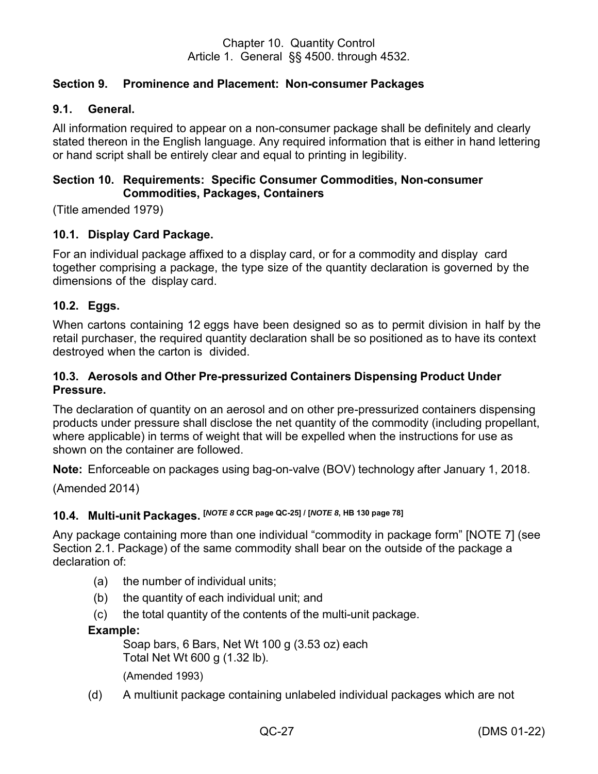# <span id="page-32-0"></span>**Section 9. Prominence and Placement: Non-consumer Packages**

#### <span id="page-32-1"></span>**9.1. General.**

All information required to appear on a non-consumer package shall be definitely and clearly stated thereon in the English language. Any required information that is either in hand lettering or hand script shall be entirely clear and equal to printing in legibility.

## <span id="page-32-2"></span>**Section 10. Requirements: Specific Consumer Commodities, Non-consumer Commodities, Packages, Containers**

(Title amended 1979)

## <span id="page-32-3"></span>**10.1. Display Card Package.**

For an individual package affixed to a display card, or for a commodity and display card together comprising a package, the type size of the quantity declaration is governed by the dimensions of the display card.

#### <span id="page-32-4"></span>**10.2. Eggs.**

When cartons containing 12 eggs have been designed so as to permit division in half by the retail purchaser, the required quantity declaration shall be so positioned as to have its context destroyed when the carton is divided.

## <span id="page-32-5"></span>**10.3. Aerosols and Other Pre-pressurized Containers Dispensing Product Under Pressure.**

The declaration of quantity on an aerosol and on other pre-pressurized containers dispensing products under pressure shall disclose the net quantity of the commodity (including propellant, where applicable) in terms of weight that will be expelled when the instructions for use as shown on the container are followed.

**Note:** Enforceable on packages using bag-on-valve (BOV) technology after January 1, 2018.

(Amended 2014)

# <span id="page-32-6"></span>**10.4. Multi-unit Packages. [***NOTE <sup>8</sup>* **CCR page QC-25] / [***NOTE 8***, HB 130 page 78]**

Any package containing more than one individual "commodity in package form" [NOTE 7] (see Section 2.1. Package) of the same commodity shall bear on the outside of the package a declaration of:

- (a) the number of individual units;
- (b) the quantity of each individual unit; and
- (c) the total quantity of the contents of the multi-unit package.

#### **Example:**

Soap bars, 6 Bars, Net Wt 100 g (3.53 oz) each Total Net Wt 600 g (1.32 lb). (Amended 1993)

(d) A multiunit package containing unlabeled individual packages which are not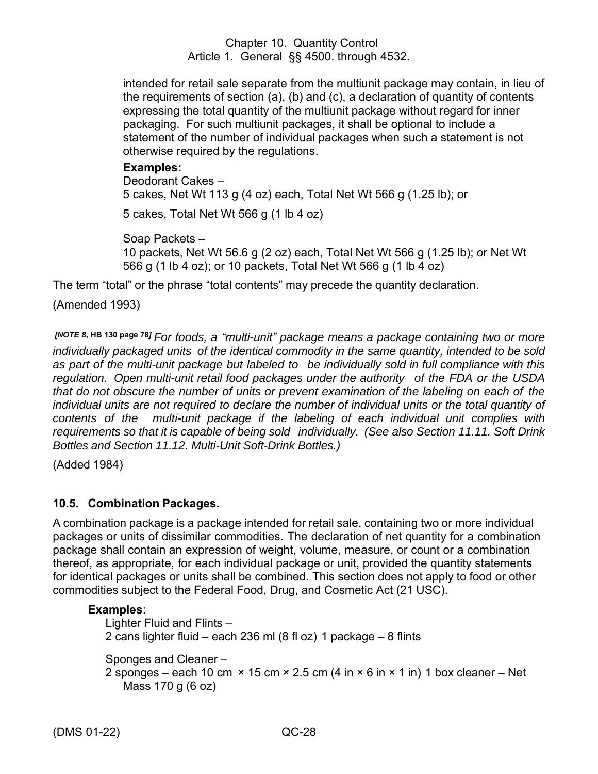intended for retail sale separate from the multiunit package may contain, in lieu of the requirements of section (a), (b) and (c), a declaration of quantity of contents expressing the total quantity of the multiunit package without regard for inner packaging. For such multiunit packages, it shall be optional to include a statement of the number of individual packages when such a statement is not otherwise required by the regulations.

## **Examples:**

Deodorant Cakes – 5 cakes, Net Wt 113 g (4 oz) each, Total Net Wt 566 g (1.25 lb); or 5 cakes, Total Net Wt 566 g (1 lb 4 oz)

Soap Packets – 10 packets, Net Wt 56.6 g (2 oz) each, Total Net Wt 566 g (1.25 lb); or Net Wt 566 g (1 lb 4 oz); or 10 packets, Total Net Wt 566 g (1 lb 4 oz)

The term "total" or the phrase "total contents" may precede the quantity declaration.

(Amended 1993)

*[NOTE <sup>8</sup>***, HB 130 page <sup>78</sup>***] For foods, a "multi-unit" package means a package containing two or more individually packaged units of the identical commodity in the same quantity, intended to be sold as part of the multi-unit package but labeled to be individually sold in full compliance with this regulation. Open multi-unit retail food packages under the authority of the FDA or the USDA that do not obscure the number of units or prevent examination of the labeling on each of the individual units are not required to declare the number of individual units or the total quantity of contents of the multi-unit package if the labeling of each individual unit complies with requirements so that it is capable of being sold individually. (See also Section 11.11. Soft Drink Bottles and Section 11.12. Multi-Unit Soft-Drink Bottles.)*

(Added 1984)

# <span id="page-33-0"></span>**10.5. Combination Packages.**

A combination package is a package intended for retail sale, containing two or more individual packages or units of dissimilar commodities. The declaration of net quantity for a combination package shall contain an expression of weight, volume, measure, or count or a combination thereof, as appropriate, for each individual package or unit, provided the quantity statements for identical packages or units shall be combined. This section does not apply to food or other commodities subject to the Federal Food, Drug, and Cosmetic Act (21 USC).

# **Examples**:

Lighter Fluid and Flints – 2 cans lighter fluid – each 236 ml (8 fl oz) 1 package – 8 flints

Sponges and Cleaner – 2 sponges – each 10 cm  $\times$  15 cm  $\times$  2.5 cm (4 in  $\times$  6 in  $\times$  1 in) 1 box cleaner – Net Mass 170 g (6 oz)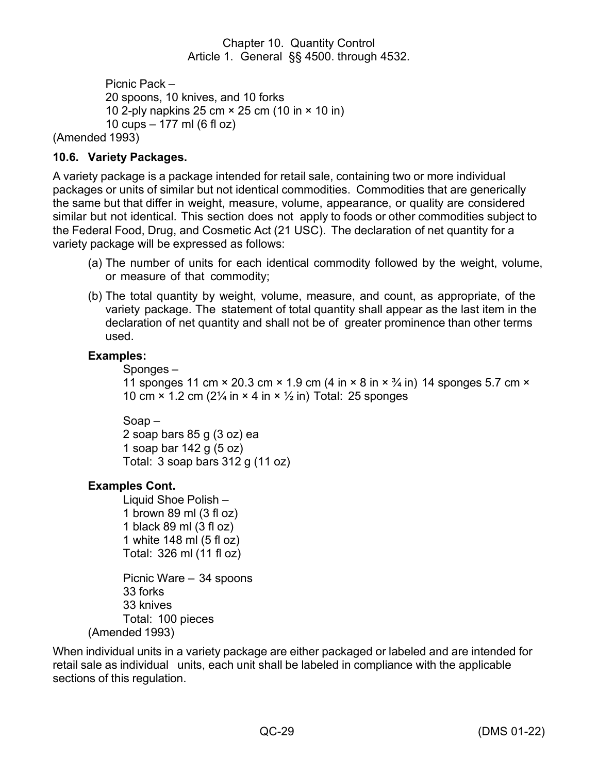```
Picnic Pack –
          20 spoons, 10 knives, and 10 forks
          10 2-ply napkins 25 cm × 25 cm (10 in × 10 in)
          10 cups – 177 ml (6 fl oz)
(Amended 1993)
```
## <span id="page-34-0"></span>**10.6. Variety Packages.**

A variety package is a package intended for retail sale, containing two or more individual packages or units of similar but not identical commodities. Commodities that are generically the same but that differ in weight, measure, volume, appearance, or quality are considered similar but not identical. This section does not apply to foods or other commodities subject to the Federal Food, Drug, and Cosmetic Act (21 USC). The declaration of net quantity for a variety package will be expressed as follows:

- (a) The number of units for each identical commodity followed by the weight, volume, or measure of that commodity;
- (b) The total quantity by weight, volume, measure, and count, as appropriate, of the variety package. The statement of total quantity shall appear as the last item in the declaration of net quantity and shall not be of greater prominence than other terms used.

#### **Examples:**

Sponges – 11 sponges 11 cm  $\times$  20.3 cm  $\times$  1.9 cm (4 in  $\times$  8 in  $\times$   $\frac{3}{4}$  in) 14 sponges 5.7 cm  $\times$ 10 cm  $\times$  1.2 cm (2 $\frac{1}{4}$  in  $\times$  4 in  $\times$   $\frac{1}{2}$  in) Total: 25 sponges

Soap – 2 soap bars 85 g (3 oz) ea 1 soap bar 142 g (5 oz) Total:  $3$  soap bars  $312$  g (11 oz)

# **Examples Cont.**

Liquid Shoe Polish – 1 brown 89 ml (3 fl oz) 1 black 89 ml (3 fl oz) 1 white 148 ml (5 fl oz) Total: 326 ml (11 fl oz)

Picnic Ware – 34 spoons 33 forks 33 knives Total: 100 pieces (Amended 1993)

When individual units in a variety package are either packaged or labeled and are intended for retail sale as individual units, each unit shall be labeled in compliance with the applicable sections of this regulation.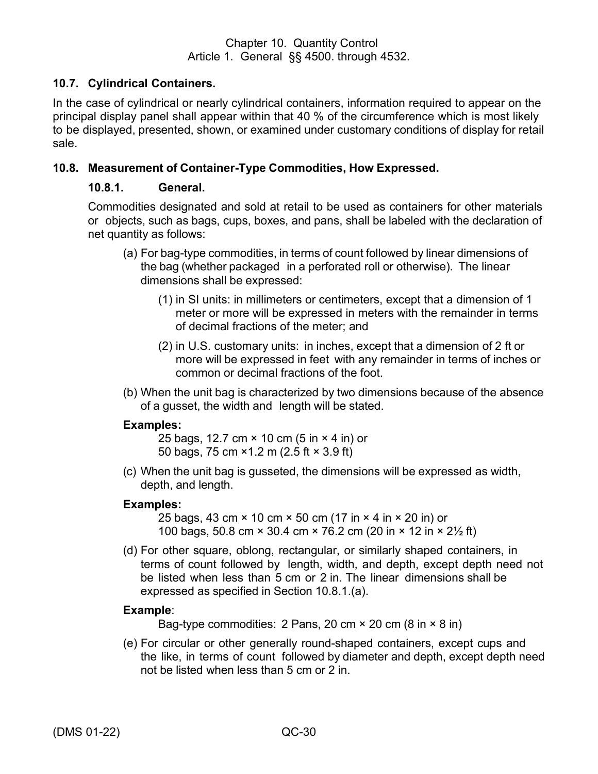# <span id="page-35-0"></span>**10.7. Cylindrical Containers.**

In the case of cylindrical or nearly cylindrical containers, information required to appear on the principal display panel shall appear within that 40 % of the circumference which is most likely to be displayed, presented, shown, or examined under customary conditions of display for retail sale.

#### <span id="page-35-1"></span>**10.8. Measurement of Container-Type Commodities, How Expressed.**

#### **10.8.1. General.**

Commodities designated and sold at retail to be used as containers for other materials or objects, such as bags, cups, boxes, and pans, shall be labeled with the declaration of net quantity as follows:

- (a) For bag-type commodities, in terms of count followed by linear dimensions of the bag (whether packaged in a perforated roll or otherwise). The linear dimensions shall be expressed:
	- (1) in SI units: in millimeters or centimeters, except that a dimension of 1 meter or more will be expressed in meters with the remainder in terms of decimal fractions of the meter; and
	- (2) in U.S. customary units: in inches, except that a dimension of 2 ft or more will be expressed in feet with any remainder in terms of inches or common or decimal fractions of the foot.
- (b) When the unit bag is characterized by two dimensions because of the absence of a gusset, the width and length will be stated.

#### **Examples:**

25 bags, 12.7 cm × 10 cm (5 in × 4 in) or 50 bags, 75 cm ×1.2 m (2.5 ft × 3.9 ft)

(c) When the unit bag is gusseted, the dimensions will be expressed as width, depth, and length.

#### **Examples:**

25 bags, 43 cm × 10 cm × 50 cm (17 in × 4 in × 20 in) or 100 bags, 50.8 cm × 30.4 cm × 76.2 cm (20 in × 12 in × 2½ ft)

(d) For other square, oblong, rectangular, or similarly shaped containers, in terms of count followed by length, width, and depth, except depth need not be listed when less than 5 cm or 2 in. The linear dimensions shall be expressed as specified in Section 10.8.1.(a).

#### **Example**:

Bag-type commodities: 2 Pans, 20 cm  $\times$  20 cm (8 in  $\times$  8 in)

(e) For circular or other generally round-shaped containers, except cups and the like, in terms of count followed by diameter and depth, except depth need not be listed when less than 5 cm or 2 in.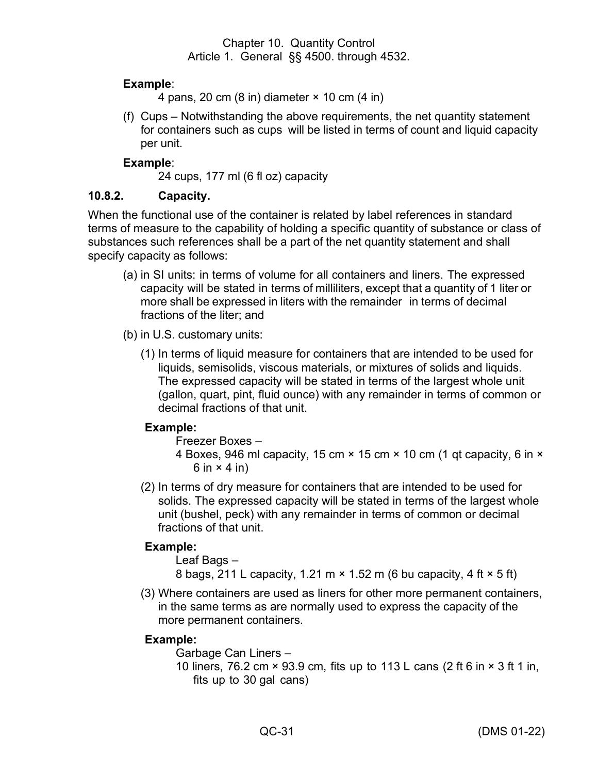## **Example**:

4 pans, 20 cm  $(8 \text{ in})$  diameter  $\times$  10 cm  $(4 \text{ in})$ 

(f) Cups – Notwithstanding the above requirements, the net quantity statement for containers such as cups will be listed in terms of count and liquid capacity per unit.

## **Example**:

24 cups, 177 ml (6 fl oz) capacity

## **10.8.2. Capacity.**

When the functional use of the container is related by label references in standard terms of measure to the capability of holding a specific quantity of substance or class of substances such references shall be a part of the net quantity statement and shall specify capacity as follows:

- (a) in SI units: in terms of volume for all containers and liners. The expressed capacity will be stated in terms of milliliters, except that a quantity of 1 liter or more shall be expressed in liters with the remainder in terms of decimal fractions of the liter; and
- (b) in U.S. customary units:
	- (1) In terms of liquid measure for containers that are intended to be used for liquids, semisolids, viscous materials, or mixtures of solids and liquids. The expressed capacity will be stated in terms of the largest whole unit (gallon, quart, pint, fluid ounce) with any remainder in terms of common or decimal fractions of that unit.

#### **Example:**

Freezer Boxes –

- 4 Boxes, 946 ml capacity, 15 cm × 15 cm × 10 cm (1 qt capacity, 6 in × 6 in  $\times$  4 in)
- (2) In terms of dry measure for containers that are intended to be used for solids. The expressed capacity will be stated in terms of the largest whole unit (bushel, peck) with any remainder in terms of common or decimal fractions of that unit.

# **Example:**

Leaf Bags – 8 bags, 211 L capacity, 1.21 m × 1.52 m (6 bu capacity, 4 ft × 5 ft)

(3) Where containers are used as liners for other more permanent containers, in the same terms as are normally used to express the capacity of the more permanent containers.

#### **Example:**

Garbage Can Liners –

10 liners, 76.2 cm × 93.9 cm, fits up to 113 L cans (2 ft 6 in × 3 ft 1 in, fits up to 30 gal cans)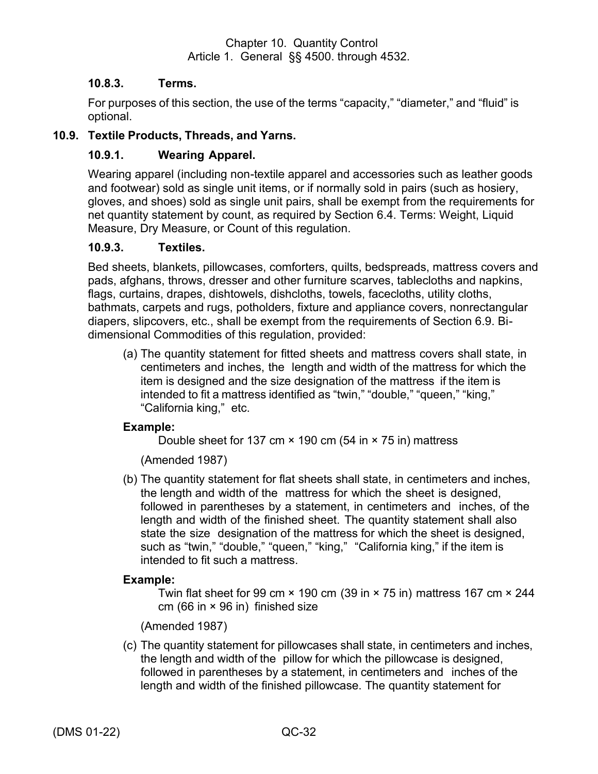## **10.8.3. Terms.**

For purposes of this section, the use of the terms "capacity," "diameter," and "fluid" is optional.

## <span id="page-37-0"></span>**10.9. Textile Products, Threads, and Yarns.**

## **10.9.1. Wearing Apparel.**

Wearing apparel (including non-textile apparel and accessories such as leather goods and footwear) sold as single unit items, or if normally sold in pairs (such as hosiery, gloves, and shoes) sold as single unit pairs, shall be exempt from the requirements for net quantity statement by count, as required by Section 6.4. Terms: Weight, Liquid Measure, Dry Measure, or Count of this regulation.

#### **10.9.3. Textiles.**

Bed sheets, blankets, pillowcases, comforters, quilts, bedspreads, mattress covers and pads, afghans, throws, dresser and other furniture scarves, tablecloths and napkins, flags, curtains, drapes, dishtowels, dishcloths, towels, facecloths, utility cloths, bathmats, carpets and rugs, potholders, fixture and appliance covers, nonrectangular diapers, slipcovers, etc., shall be exempt from the requirements of Section 6.9. Bidimensional Commodities of this regulation, provided:

(a) The quantity statement for fitted sheets and mattress covers shall state, in centimeters and inches, the length and width of the mattress for which the item is designed and the size designation of the mattress if the item is intended to fit a mattress identified as "twin," "double," "queen," "king," "California king," etc.

#### **Example:**

Double sheet for 137 cm  $\times$  190 cm (54 in  $\times$  75 in) mattress

(Amended 1987)

(b) The quantity statement for flat sheets shall state, in centimeters and inches, the length and width of the mattress for which the sheet is designed, followed in parentheses by a statement, in centimeters and inches, of the length and width of the finished sheet. The quantity statement shall also state the size designation of the mattress for which the sheet is designed, such as "twin," "double," "queen," "king," "California king," if the item is intended to fit such a mattress.

#### **Example:**

Twin flat sheet for 99 cm  $\times$  190 cm (39 in  $\times$  75 in) mattress 167 cm  $\times$  244 cm (66 in  $\times$  96 in) finished size

(Amended 1987)

(c) The quantity statement for pillowcases shall state, in centimeters and inches, the length and width of the pillow for which the pillowcase is designed, followed in parentheses by a statement, in centimeters and inches of the length and width of the finished pillowcase. The quantity statement for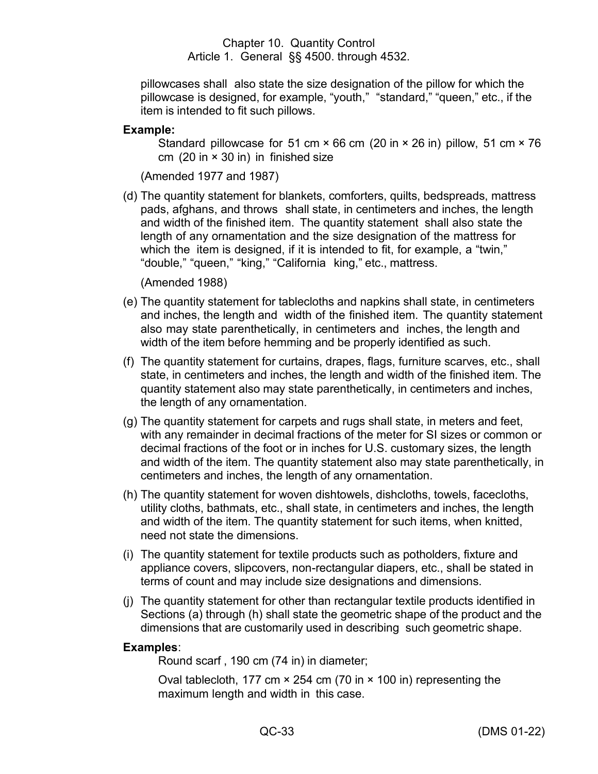pillowcases shall also state the size designation of the pillow for which the pillowcase is designed, for example, "youth," "standard," "queen," etc., if the item is intended to fit such pillows.

#### **Example:**

Standard pillowcase for 51 cm  $\times$  66 cm (20 in  $\times$  26 in) pillow, 51 cm  $\times$  76 cm  $(20 \text{ in} \times 30 \text{ in})$  in finished size

(Amended 1977 and 1987)

(d) The quantity statement for blankets, comforters, quilts, bedspreads, mattress pads, afghans, and throws shall state, in centimeters and inches, the length and width of the finished item. The quantity statement shall also state the length of any ornamentation and the size designation of the mattress for which the item is designed, if it is intended to fit, for example, a "twin," "double," "queen," "king," "California king," etc., mattress.

(Amended 1988)

- (e) The quantity statement for tablecloths and napkins shall state, in centimeters and inches, the length and width of the finished item. The quantity statement also may state parenthetically, in centimeters and inches, the length and width of the item before hemming and be properly identified as such.
- (f) The quantity statement for curtains, drapes, flags, furniture scarves, etc., shall state, in centimeters and inches, the length and width of the finished item. The quantity statement also may state parenthetically, in centimeters and inches, the length of any ornamentation.
- (g) The quantity statement for carpets and rugs shall state, in meters and feet, with any remainder in decimal fractions of the meter for SI sizes or common or decimal fractions of the foot or in inches for U.S. customary sizes, the length and width of the item. The quantity statement also may state parenthetically, in centimeters and inches, the length of any ornamentation.
- (h) The quantity statement for woven dishtowels, dishcloths, towels, facecloths, utility cloths, bathmats, etc., shall state, in centimeters and inches, the length and width of the item. The quantity statement for such items, when knitted, need not state the dimensions.
- (i) The quantity statement for textile products such as potholders, fixture and appliance covers, slipcovers, non-rectangular diapers, etc., shall be stated in terms of count and may include size designations and dimensions.
- (j) The quantity statement for other than rectangular textile products identified in Sections (a) through (h) shall state the geometric shape of the product and the dimensions that are customarily used in describing such geometric shape.

#### **Examples**:

Round scarf , 190 cm (74 in) in diameter;

Oval tablecloth, 177 cm × 254 cm (70 in × 100 in) representing the maximum length and width in this case.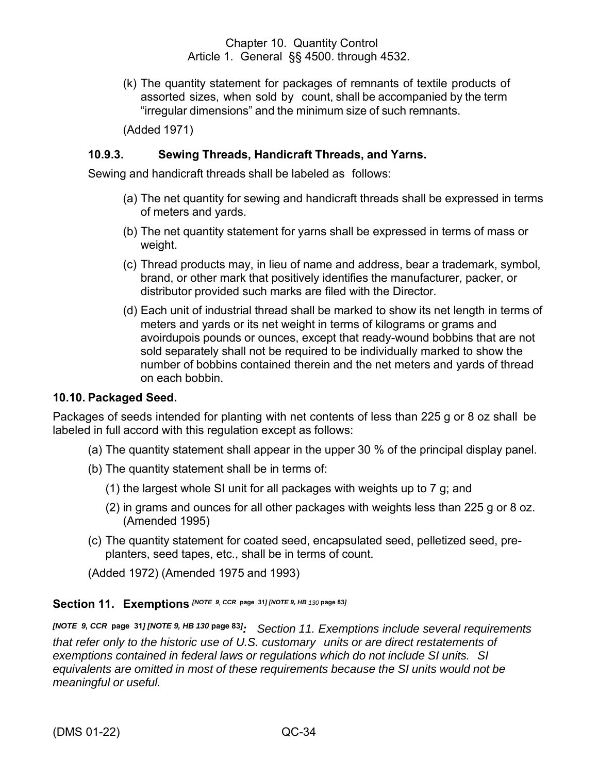(k) The quantity statement for packages of remnants of textile products of assorted sizes, when sold by count, shall be accompanied by the term "irregular dimensions" and the minimum size of such remnants.

(Added 1971)

#### **10.9.3. Sewing Threads, Handicraft Threads, and Yarns.**

Sewing and handicraft threads shall be labeled as follows:

- (a) The net quantity for sewing and handicraft threads shall be expressed in terms of meters and yards.
- (b) The net quantity statement for yarns shall be expressed in terms of mass or weight.
- (c) Thread products may, in lieu of name and address, bear a trademark, symbol, brand, or other mark that positively identifies the manufacturer, packer, or distributor provided such marks are filed with the Director.
- (d) Each unit of industrial thread shall be marked to show its net length in terms of meters and yards or its net weight in terms of kilograms or grams and avoirdupois pounds or ounces, except that ready-wound bobbins that are not sold separately shall not be required to be individually marked to show the number of bobbins contained therein and the net meters and yards of thread on each bobbin.

#### <span id="page-39-0"></span>**10.10. Packaged Seed.**

Packages of seeds intended for planting with net contents of less than 225 g or 8 oz shall be labeled in full accord with this regulation except as follows:

- (a) The quantity statement shall appear in the upper 30 % of the principal display panel.
- (b) The quantity statement shall be in terms of:
	- (1) the largest whole SI unit for all packages with weights up to 7 g; and
	- (2) in grams and ounces for all other packages with weights less than 225 g or 8 oz. (Amended 1995)
- (c) The quantity statement for coated seed, encapsulated seed, pelletized seed, preplanters, seed tapes, etc., shall be in terms of count.

(Added 1972) (Amended 1975 and 1993)

## <span id="page-39-1"></span>**Section 11. Exemptions** *[NOTE 9, CCR* **page 31***] [NOTE 9, HB <sup>130</sup>* **page <sup>83</sup>***]*

*[NOTE 9, CCR* **page 31***] [NOTE 9, HB 130* **page 83***] : Section 11. Exemptions include several requirements that refer only to the historic use of U.S. customary units or are direct restatements of exemptions contained in federal laws or regulations which do not include SI units. SI equivalents are omitted in most of these requirements because the SI units would not be meaningful or useful.*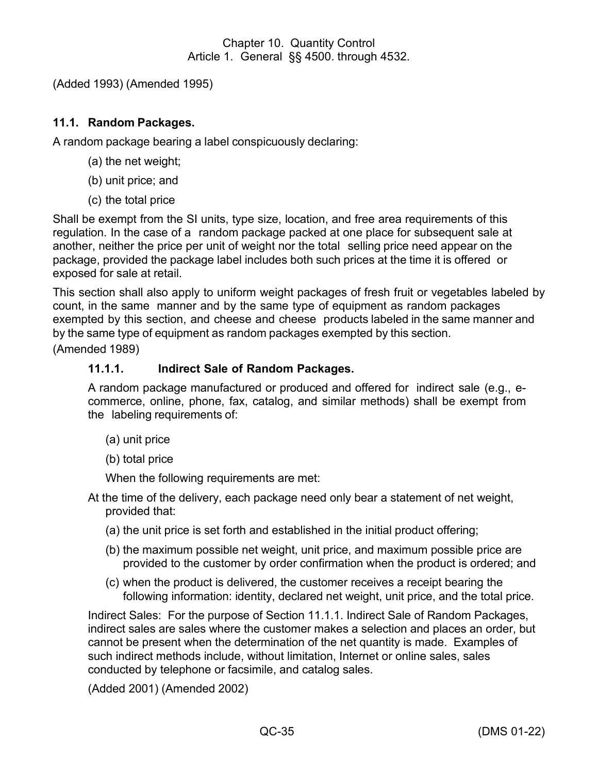(Added 1993) (Amended 1995)

# <span id="page-40-0"></span>**11.1. Random Packages.**

A random package bearing a label conspicuously declaring:

- (a) the net weight;
- (b) unit price; and
- (c) the total price

Shall be exempt from the SI units, type size, location, and free area requirements of this regulation. In the case of a random package packed at one place for subsequent sale at another, neither the price per unit of weight nor the total selling price need appear on the package, provided the package label includes both such prices at the time it is offered or exposed for sale at retail.

This section shall also apply to uniform weight packages of fresh fruit or vegetables labeled by count, in the same manner and by the same type of equipment as random packages exempted by this section, and cheese and cheese products labeled in the same manner and by the same type of equipment as random packages exempted by this section.

(Amended 1989)

#### **11.1.1. Indirect Sale of Random Packages.**

A random package manufactured or produced and offered for indirect sale (e.g., ecommerce, online, phone, fax, catalog, and similar methods) shall be exempt from the labeling requirements of:

- (a) unit price
- (b) total price

When the following requirements are met:

- At the time of the delivery, each package need only bear a statement of net weight, provided that:
	- (a) the unit price is set forth and established in the initial product offering;
	- (b) the maximum possible net weight, unit price, and maximum possible price are provided to the customer by order confirmation when the product is ordered; and
	- (c) when the product is delivered, the customer receives a receipt bearing the following information: identity, declared net weight, unit price, and the total price.

Indirect Sales: For the purpose of Section 11.1.1. Indirect Sale of Random Packages, indirect sales are sales where the customer makes a selection and places an order, but cannot be present when the determination of the net quantity is made. Examples of such indirect methods include, without limitation, Internet or online sales, sales conducted by telephone or facsimile, and catalog sales.

(Added 2001) (Amended 2002)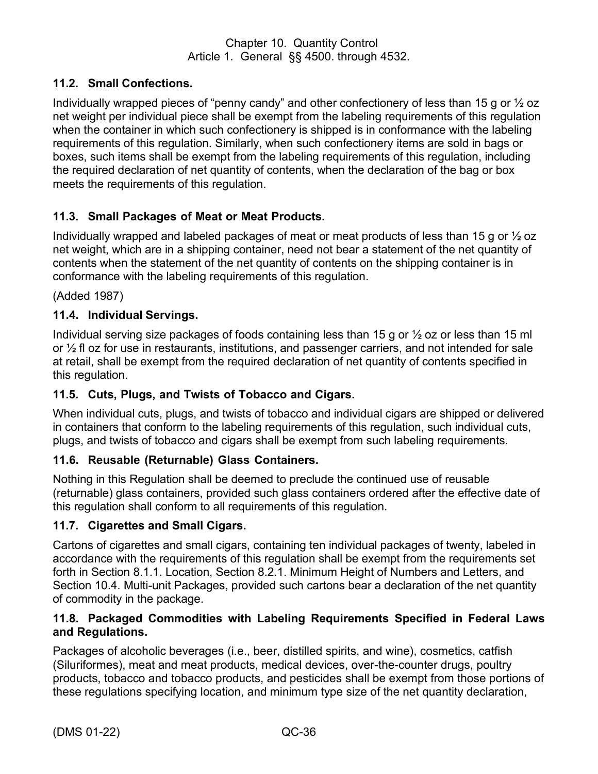# <span id="page-41-0"></span>**11.2. Small Confections.**

Individually wrapped pieces of "penny candy" and other confectionery of less than 15 g or  $\frac{1}{2}$  oz net weight per individual piece shall be exempt from the labeling requirements of this regulation when the container in which such confectionery is shipped is in conformance with the labeling requirements of this regulation. Similarly, when such confectionery items are sold in bags or boxes, such items shall be exempt from the labeling requirements of this regulation, including the required declaration of net quantity of contents, when the declaration of the bag or box meets the requirements of this regulation.

# <span id="page-41-1"></span>**11.3. Small Packages of Meat or Meat Products.**

Individually wrapped and labeled packages of meat or meat products of less than 15 g or ½ oz net weight, which are in a shipping container, need not bear a statement of the net quantity of contents when the statement of the net quantity of contents on the shipping container is in conformance with the labeling requirements of this regulation.

(Added 1987)

#### <span id="page-41-2"></span>**11.4. Individual Servings.**

Individual serving size packages of foods containing less than 15 g or ½ oz or less than 15 ml or ½ fl oz for use in restaurants, institutions, and passenger carriers, and not intended for sale at retail, shall be exempt from the required declaration of net quantity of contents specified in this regulation.

#### <span id="page-41-3"></span>**11.5. Cuts, Plugs, and Twists of Tobacco and Cigars.**

When individual cuts, plugs, and twists of tobacco and individual cigars are shipped or delivered in containers that conform to the labeling requirements of this regulation, such individual cuts, plugs, and twists of tobacco and cigars shall be exempt from such labeling requirements.

#### <span id="page-41-4"></span>**11.6. Reusable (Returnable) Glass Containers.**

Nothing in this Regulation shall be deemed to preclude the continued use of reusable (returnable) glass containers, provided such glass containers ordered after the effective date of this regulation shall conform to all requirements of this regulation.

#### <span id="page-41-5"></span>**11.7. Cigarettes and Small Cigars.**

Cartons of cigarettes and small cigars, containing ten individual packages of twenty, labeled in accordance with the requirements of this regulation shall be exempt from the requirements set forth in Section 8.1.1. Location, Section 8.2.1. Minimum Height of Numbers and Letters, and Section 10.4. Multi-unit Packages, provided such cartons bear a declaration of the net quantity of commodity in the package.

## <span id="page-41-6"></span>**11.8. Packaged Commodities with Labeling Requirements Specified in Federal Laws and Regulations.**

Packages of alcoholic beverages (i.e., beer, distilled spirits, and wine), cosmetics, catfish (Siluriformes), meat and meat products, medical devices, over-the-counter drugs, poultry products, tobacco and tobacco products, and pesticides shall be exempt from those portions of these regulations specifying location, and minimum type size of the net quantity declaration,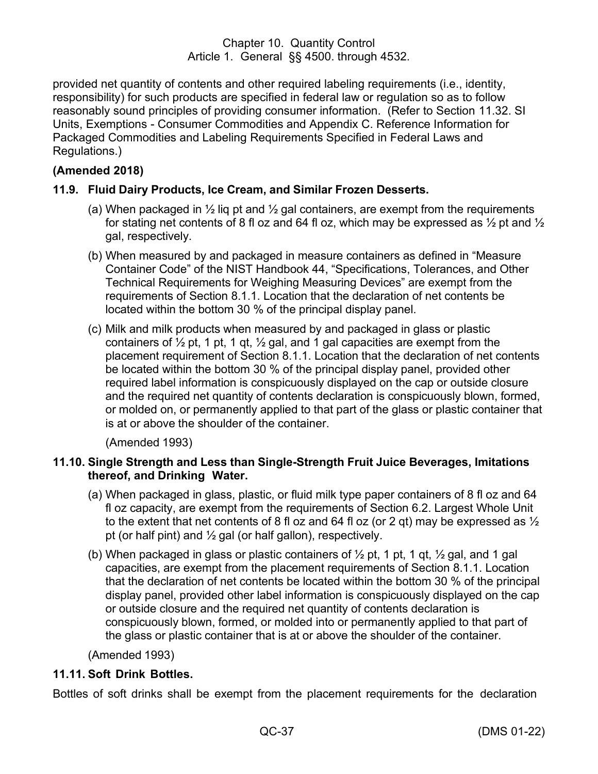provided net quantity of contents and other required labeling requirements (i.e., identity, responsibility) for such products are specified in federal law or regulation so as to follow reasonably sound principles of providing consumer information. (Refer to Section 11.32. SI Units, Exemptions - Consumer Commodities and Appendix C. Reference Information for Packaged Commodities and Labeling Requirements Specified in Federal Laws and Regulations.)

# **(Amended 2018)**

## <span id="page-42-0"></span>**11.9. Fluid Dairy Products, Ice Cream, and Similar Frozen Desserts.**

- (a) When packaged in  $\frac{1}{2}$  lig pt and  $\frac{1}{2}$  gal containers, are exempt from the requirements for stating net contents of 8 fl oz and 64 fl oz, which may be expressed as  $\frac{1}{2}$  pt and  $\frac{1}{2}$ gal, respectively.
- (b) When measured by and packaged in measure containers as defined in "Measure Container Code" of the NIST Handbook 44, "Specifications, Tolerances, and Other Technical Requirements for Weighing Measuring Devices" are exempt from the requirements of Section 8.1.1. Location that the declaration of net contents be located within the bottom 30 % of the principal display panel.
- (c) Milk and milk products when measured by and packaged in glass or plastic containers of  $\frac{1}{2}$  pt, 1 pt, 1 qt,  $\frac{1}{2}$  gal, and 1 gal capacities are exempt from the placement requirement of Section 8.1.1. Location that the declaration of net contents be located within the bottom 30 % of the principal display panel, provided other required label information is conspicuously displayed on the cap or outside closure and the required net quantity of contents declaration is conspicuously blown, formed, or molded on, or permanently applied to that part of the glass or plastic container that is at or above the shoulder of the container.

(Amended 1993)

## <span id="page-42-1"></span>**11.10. Single Strength and Less than Single-Strength Fruit Juice Beverages, Imitations thereof, and Drinking Water.**

- (a) When packaged in glass, plastic, or fluid milk type paper containers of 8 fl oz and 64 fl oz capacity, are exempt from the requirements of Section 6.2. Largest Whole Unit to the extent that net contents of 8 fl oz and 64 fl oz (or 2 gt) may be expressed as  $\frac{1}{2}$ pt (or half pint) and  $\frac{1}{2}$  gal (or half gallon), respectively.
- (b) When packaged in glass or plastic containers of  $\frac{1}{2}$  pt, 1 pt, 1 gt,  $\frac{1}{2}$  gal, and 1 gal capacities, are exempt from the placement requirements of Section 8.1.1. Location that the declaration of net contents be located within the bottom 30 % of the principal display panel, provided other label information is conspicuously displayed on the cap or outside closure and the required net quantity of contents declaration is conspicuously blown, formed, or molded into or permanently applied to that part of the glass or plastic container that is at or above the shoulder of the container.

(Amended 1993)

# <span id="page-42-2"></span>**11.11. Soft Drink Bottles.**

Bottles of soft drinks shall be exempt from the placement requirements for the declaration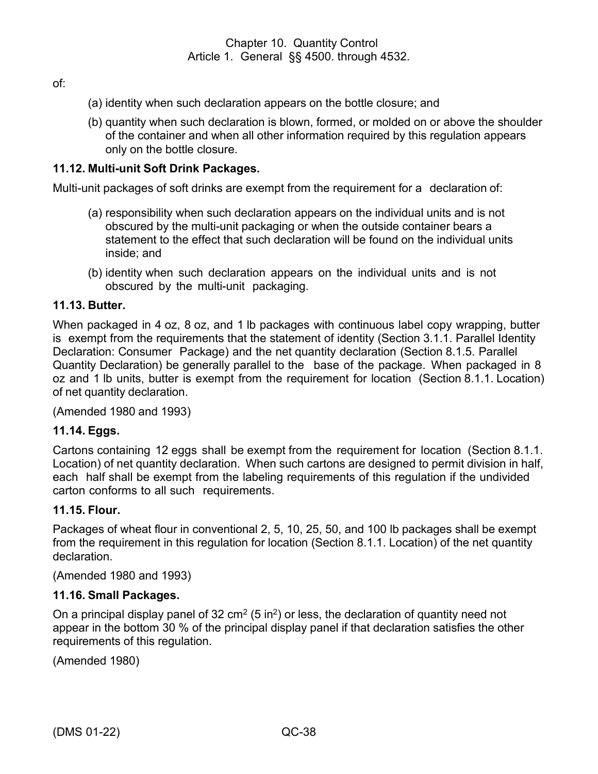of:

- (a) identity when such declaration appears on the bottle closure; and
- (b) quantity when such declaration is blown, formed, or molded on or above the shoulder of the container and when all other information required by this regulation appears only on the bottle closure.

#### <span id="page-43-0"></span>**11.12. Multi-unit Soft Drink Packages.**

Multi-unit packages of soft drinks are exempt from the requirement for a declaration of:

- (a) responsibility when such declaration appears on the individual units and is not obscured by the multi-unit packaging or when the outside container bears a statement to the effect that such declaration will be found on the individual units inside; and
- (b) identity when such declaration appears on the individual units and is not obscured by the multi-unit packaging.

#### <span id="page-43-1"></span>**11.13. Butter.**

When packaged in 4 oz, 8 oz, and 1 lb packages with continuous label copy wrapping, butter is exempt from the requirements that the statement of identity (Section 3.1.1. Parallel Identity Declaration: Consumer Package) and the net quantity declaration (Section 8.1.5. Parallel Quantity Declaration) be generally parallel to the base of the package. When packaged in 8 oz and 1 lb units, butter is exempt from the requirement for location (Section 8.1.1. Location) of net quantity declaration.

(Amended 1980 and 1993)

#### <span id="page-43-2"></span>**11.14. Eggs.**

Cartons containing 12 eggs shall be exempt from the requirement for location (Section 8.1.1. Location) of net quantity declaration. When such cartons are designed to permit division in half, each half shall be exempt from the labeling requirements of this regulation if the undivided carton conforms to all such requirements.

#### <span id="page-43-3"></span>**11.15. Flour.**

Packages of wheat flour in conventional 2, 5, 10, 25, 50, and 100 lb packages shall be exempt from the requirement in this regulation for location (Section 8.1.1. Location) of the net quantity declaration.

(Amended 1980 and 1993)

#### <span id="page-43-4"></span>**11.16. Small Packages.**

On a principal display panel of 32 cm<sup>2</sup> (5 in<sup>2</sup>) or less, the declaration of quantity need not appear in the bottom 30 % of the principal display panel if that declaration satisfies the other requirements of this regulation.

(Amended 1980)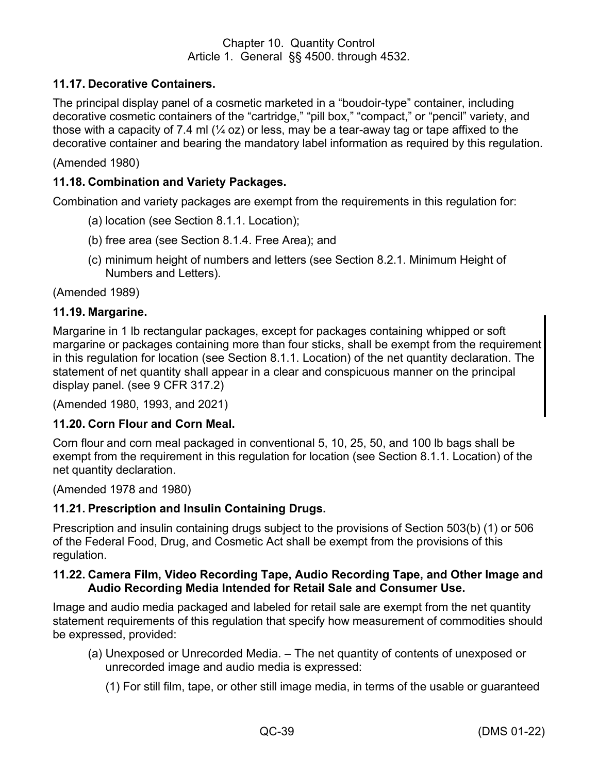# <span id="page-44-0"></span>**11.17. Decorative Containers.**

The principal display panel of a cosmetic marketed in a "boudoir-type" container, including decorative cosmetic containers of the "cartridge," "pill box," "compact," or "pencil" variety, and those with a capacity of 7.4 ml  $(\frac{1}{4}$  oz) or less, may be a tear-away tag or tape affixed to the decorative container and bearing the mandatory label information as required by this regulation.

(Amended 1980)

#### <span id="page-44-1"></span>**11.18. Combination and Variety Packages.**

Combination and variety packages are exempt from the requirements in this regulation for:

- (a) location (see Section 8.1.1. Location);
- (b) free area (see Section 8.1.4. Free Area); and
- (c) minimum height of numbers and letters (see Section 8.2.1. Minimum Height of Numbers and Letters).

(Amended 1989)

#### **11.19. Margarine.**

<span id="page-44-2"></span>Margarine in 1 lb rectangular packages, except for packages containing whipped or soft margarine or packages containing more than four sticks, shall be exempt from the requirement in this regulation for location (see Section 8.1.1. Location) of the net quantity declaration. The statement of net quantity shall appear in a clear and conspicuous manner on the principal display panel. (see 9 CFR 317.2)

(Amended 1980, 1993, and 2021)

#### <span id="page-44-3"></span>**11.20. Corn Flour and Corn Meal.**

Corn flour and corn meal packaged in conventional 5, 10, 25, 50, and 100 lb bags shall be exempt from the requirement in this regulation for location (see Section 8.1.1. Location) of the net quantity declaration.

(Amended 1978 and 1980)

#### <span id="page-44-4"></span>**11.21. Prescription and Insulin Containing Drugs.**

Prescription and insulin containing drugs subject to the provisions of Section 503(b) (1) or 506 of the Federal Food, Drug, and Cosmetic Act shall be exempt from the provisions of this regulation.

#### <span id="page-44-5"></span>**11.22. Camera Film, Video Recording Tape, Audio Recording Tape, and Other Image and Audio Recording Media Intended for Retail Sale and Consumer Use.**

Image and audio media packaged and labeled for retail sale are exempt from the net quantity statement requirements of this regulation that specify how measurement of commodities should be expressed, provided:

- (a) Unexposed or Unrecorded Media. The net quantity of contents of unexposed or unrecorded image and audio media is expressed:
	- (1) For still film, tape, or other still image media, in terms of the usable or guaranteed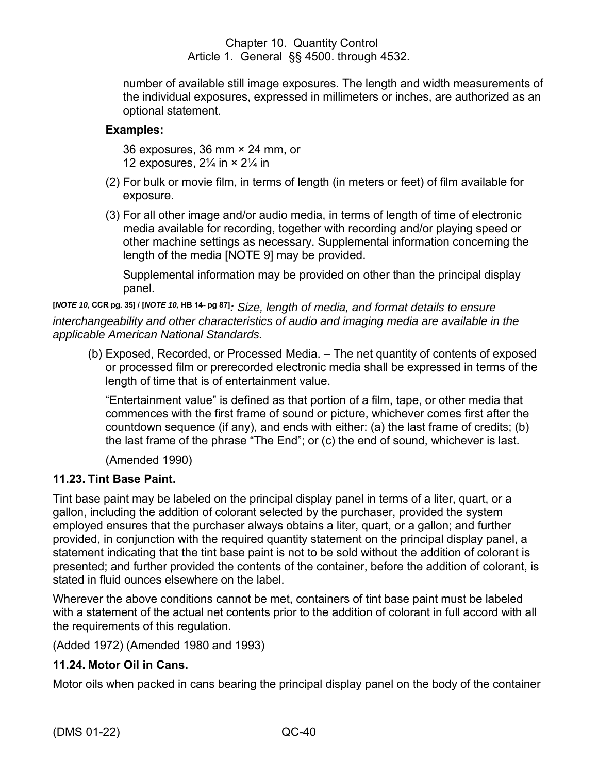number of available still image exposures. The length and width measurements of the individual exposures, expressed in millimeters or inches, are authorized as an optional statement.

# **Examples:**

36 exposures, 36 mm × 24 mm, or 12 exposures,  $2\frac{1}{4}$  in  $\times$   $2\frac{1}{4}$  in

- (2) For bulk or movie film, in terms of length (in meters or feet) of film available for exposure.
- (3) For all other image and/or audio media, in terms of length of time of electronic media available for recording, together with recording and/or playing speed or other machine settings as necessary. Supplemental information concerning the length of the media [NOTE 9] may be provided.

Supplemental information may be provided on other than the principal display panel.

**[***NOTE 10,* **CCR pg. 35] / [***NOTE 10,* **HB 14- pg 87]***: Size, length of media, and format details to ensure interchangeability and other characteristics of audio and imaging media are available in the applicable American National Standards.*

(b) Exposed, Recorded, or Processed Media. – The net quantity of contents of exposed or processed film or prerecorded electronic media shall be expressed in terms of the length of time that is of entertainment value.

"Entertainment value" is defined as that portion of a film, tape, or other media that commences with the first frame of sound or picture, whichever comes first after the countdown sequence (if any), and ends with either: (a) the last frame of credits; (b) the last frame of the phrase "The End"; or (c) the end of sound, whichever is last.

(Amended 1990)

# <span id="page-45-0"></span>**11.23. Tint Base Paint.**

Tint base paint may be labeled on the principal display panel in terms of a liter, quart, or a gallon, including the addition of colorant selected by the purchaser, provided the system employed ensures that the purchaser always obtains a liter, quart, or a gallon; and further provided, in conjunction with the required quantity statement on the principal display panel, a statement indicating that the tint base paint is not to be sold without the addition of colorant is presented; and further provided the contents of the container, before the addition of colorant, is stated in fluid ounces elsewhere on the label.

Wherever the above conditions cannot be met, containers of tint base paint must be labeled with a statement of the actual net contents prior to the addition of colorant in full accord with all the requirements of this regulation.

(Added 1972) (Amended 1980 and 1993)

# <span id="page-45-1"></span>**11.24. Motor Oil in Cans.**

Motor oils when packed in cans bearing the principal display panel on the body of the container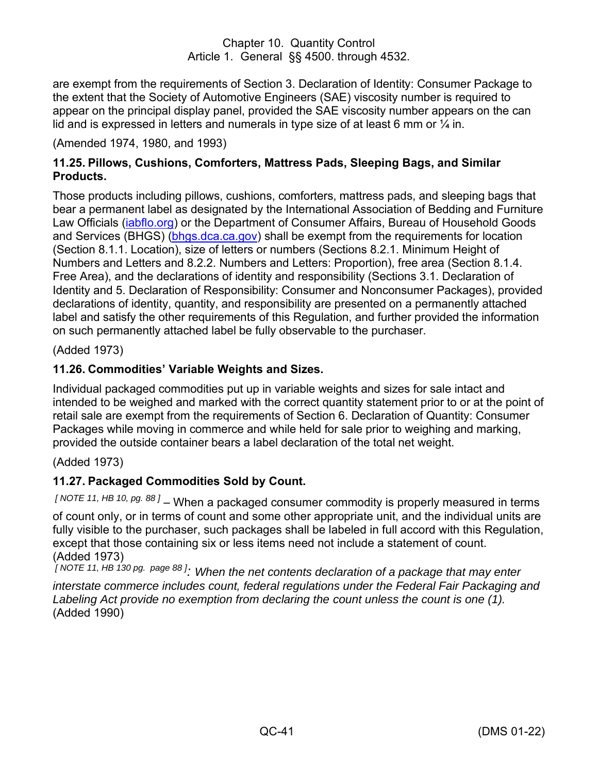are exempt from the requirements of Section 3. Declaration of Identity: Consumer Package to the extent that the Society of Automotive Engineers (SAE) viscosity number is required to appear on the principal display panel, provided the SAE viscosity number appears on the can lid and is expressed in letters and numerals in type size of at least 6 mm or  $\frac{1}{4}$  in.

#### (Amended 1974, 1980, and 1993)

## <span id="page-46-0"></span>**11.25. Pillows, Cushions, Comforters, Mattress Pads, Sleeping Bags, and Similar Products.**

Those products including pillows, cushions, comforters, mattress pads, and sleeping bags that bear a permanent label as designated by the International Association of Bedding and Furniture Law Officials [\(iabflo.org\)](http://iabflo.org/) or the Department of Consumer Affairs, Bureau of Household Goods and Services (BHGS) [\(bhgs.dca.ca.gov\)](https://bhgs.dca.ca.gov/) shall be exempt from the requirements for location (Section 8.1.1. Location), size of letters or numbers (Sections 8.2.1. Minimum Height of Numbers and Letters and 8.2.2. Numbers and Letters: Proportion), free area (Section 8.1.4. Free Area), and the declarations of identity and responsibility (Sections 3.1. Declaration of Identity and 5. Declaration of Responsibility: Consumer and Nonconsumer Packages), provided declarations of identity, quantity, and responsibility are presented on a permanently attached label and satisfy the other requirements of this Regulation, and further provided the information on such permanently attached label be fully observable to the purchaser.

(Added 1973)

## <span id="page-46-1"></span>**11.26. Commodities' Variable Weights and Sizes.**

Individual packaged commodities put up in variable weights and sizes for sale intact and intended to be weighed and marked with the correct quantity statement prior to or at the point of retail sale are exempt from the requirements of Section 6. Declaration of Quantity: Consumer Packages while moving in commerce and while held for sale prior to weighing and marking, provided the outside container bears a label declaration of the total net weight.

#### (Added 1973)

#### <span id="page-46-2"></span>**11.27. Packaged Commodities Sold by Count.**

*[ NOTE 11, HB 10, pg. 88 ]* – When a packaged consumer commodity is properly measured in terms of count only, or in terms of count and some other appropriate unit, and the individual units are fully visible to the purchaser, such packages shall be labeled in full accord with this Regulation, except that those containing six or less items need not include a statement of count. (Added 1973)

*[ NOTE 11, HB 130 pg. page 88 ]: When the net contents declaration of a package that may enter interstate commerce includes count, federal regulations under the Federal Fair Packaging and Labeling Act provide no exemption from declaring the count unless the count is one (1).* (Added 1990)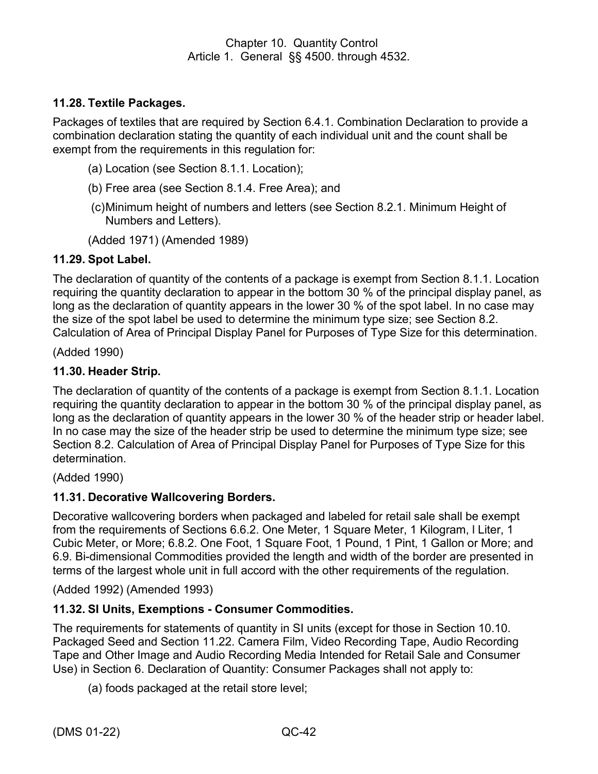# <span id="page-47-0"></span>**11.28. Textile Packages.**

Packages of textiles that are required by Section 6.4.1. Combination Declaration to provide a combination declaration stating the quantity of each individual unit and the count shall be exempt from the requirements in this regulation for:

- (a) Location (see Section 8.1.1. Location);
- (b) Free area (see Section 8.1.4. Free Area); and
- (c)Minimum height of numbers and letters (see Section 8.2.1. Minimum Height of Numbers and Letters).
- (Added 1971) (Amended 1989)

## <span id="page-47-1"></span>**11.29. Spot Label.**

The declaration of quantity of the contents of a package is exempt from Section 8.1.1. Location requiring the quantity declaration to appear in the bottom 30 % of the principal display panel, as long as the declaration of quantity appears in the lower 30 % of the spot label. In no case may the size of the spot label be used to determine the minimum type size; see Section 8.2. Calculation of Area of Principal Display Panel for Purposes of Type Size for this determination.

(Added 1990)

## <span id="page-47-2"></span>**11.30. Header Strip.**

The declaration of quantity of the contents of a package is exempt from Section 8.1.1. Location requiring the quantity declaration to appear in the bottom 30 % of the principal display panel, as long as the declaration of quantity appears in the lower 30 % of the header strip or header label. In no case may the size of the header strip be used to determine the minimum type size; see Section 8.2. Calculation of Area of Principal Display Panel for Purposes of Type Size for this determination.

(Added 1990)

#### <span id="page-47-3"></span>**11.31. Decorative Wallcovering Borders.**

Decorative wallcovering borders when packaged and labeled for retail sale shall be exempt from the requirements of Sections 6.6.2. One Meter, 1 Square Meter, 1 Kilogram, l Liter, 1 Cubic Meter, or More; 6.8.2. One Foot, 1 Square Foot, 1 Pound, 1 Pint, 1 Gallon or More; and 6.9. Bi-dimensional Commodities provided the length and width of the border are presented in terms of the largest whole unit in full accord with the other requirements of the regulation.

(Added 1992) (Amended 1993)

# <span id="page-47-4"></span>**11.32. SI Units, Exemptions - Consumer Commodities.**

The requirements for statements of quantity in SI units (except for those in Section 10.10. Packaged Seed and Section 11.22. Camera Film, Video Recording Tape, Audio Recording Tape and Other Image and Audio Recording Media Intended for Retail Sale and Consumer Use) in Section 6. Declaration of Quantity: Consumer Packages shall not apply to:

(a) foods packaged at the retail store level;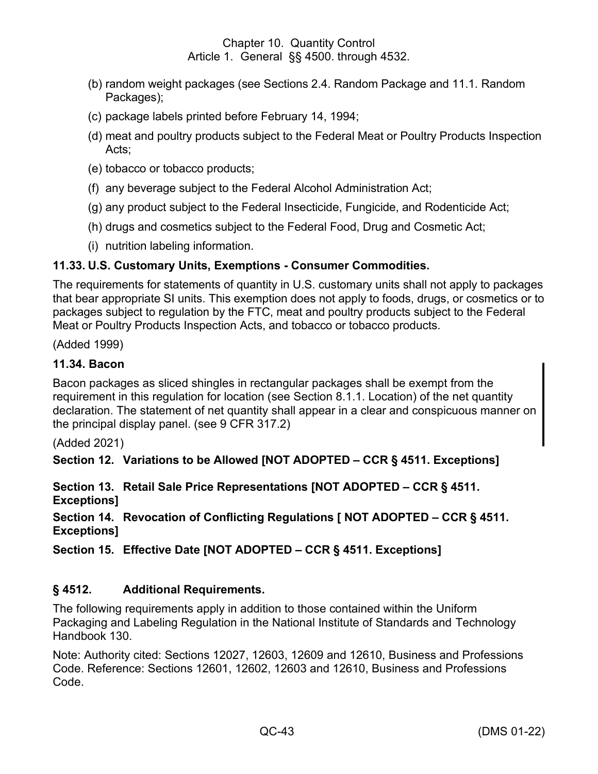- (b) random weight packages (see Sections 2.4. Random Package and 11.1. Random Packages);
- (c) package labels printed before February 14, 1994;
- (d) meat and poultry products subject to the Federal Meat or Poultry Products Inspection Acts;
- (e) tobacco or tobacco products;
- (f) any beverage subject to the Federal Alcohol Administration Act;
- (g) any product subject to the Federal Insecticide, Fungicide, and Rodenticide Act;
- (h) drugs and cosmetics subject to the Federal Food, Drug and Cosmetic Act;
- (i) nutrition labeling information.

# <span id="page-48-0"></span>**11.33. U.S. Customary Units, Exemptions - Consumer Commodities.**

The requirements for statements of quantity in U.S. customary units shall not apply to packages that bear appropriate SI units. This exemption does not apply to foods, drugs, or cosmetics or to packages subject to regulation by the FTC, meat and poultry products subject to the Federal Meat or Poultry Products Inspection Acts, and tobacco or tobacco products.

(Added 1999)

## <span id="page-48-1"></span>**11.34. Bacon**

Bacon packages as sliced shingles in rectangular packages shall be exempt from the requirement in this regulation for location (see Section 8.1.1. Location) of the net quantity declaration. The statement of net quantity shall appear in a clear and conspicuous manner on the principal display panel. (see 9 CFR 317.2)

(Added 2021)

<span id="page-48-2"></span>**Section 12. Variations to be Allowed [NOT ADOPTED – CCR § 4511. Exceptions]** 

<span id="page-48-3"></span>**Section 13. Retail Sale Price Representations [NOT ADOPTED – CCR § 4511.**   $Exceptions$ ]

<span id="page-48-4"></span>**Section 14. Revocation of Conflicting Regulations [ NOT ADOPTED – CCR § 4511.**   $Exceptions]$ 

<span id="page-48-5"></span>**Section 15. Effective Date [NOT ADOPTED – CCR § 4511. Exceptions]** 

# <span id="page-48-6"></span>**§ 4512. Additional Requirements.**

The following requirements apply in addition to those contained within the Uniform Packaging and Labeling Regulation in the National Institute of Standards and Technology Handbook 130.

Note: Authority cited: Sections 12027, 12603, 12609 and 12610, Business and Professions Code. Reference: Sections 12601, 12602, 12603 and 12610, Business and Professions Code.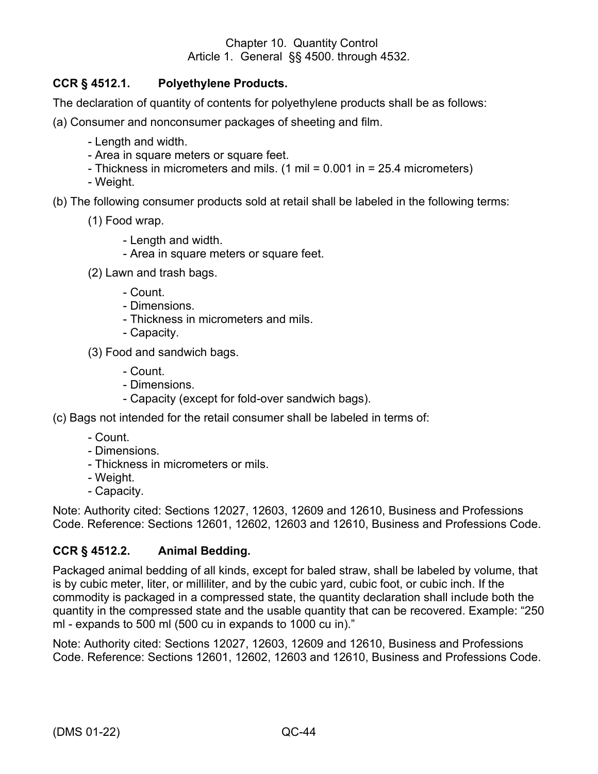# <span id="page-49-0"></span>**CCR § 4512.1. Polyethylene Products.**

The declaration of quantity of contents for polyethylene products shall be as follows:

(a) Consumer and nonconsumer packages of sheeting and film.

- Length and width.
- Area in square meters or square feet.
- Thickness in micrometers and mils. (1 mil = 0.001 in = 25.4 micrometers)
- Weight.

(b) The following consumer products sold at retail shall be labeled in the following terms:

- (1) Food wrap.
	- Length and width.
	- Area in square meters or square feet.
- (2) Lawn and trash bags.
	- Count.
	- Dimensions.
	- Thickness in micrometers and mils.
	- Capacity.
- (3) Food and sandwich bags.
	- Count.
	- Dimensions.
	- Capacity (except for fold-over sandwich bags).

(c) Bags not intended for the retail consumer shall be labeled in terms of:

- Count.
- Dimensions.
- Thickness in micrometers or mils.
- Weight.
- Capacity.

Note: Authority cited: Sections 12027, 12603, 12609 and 12610, Business and Professions Code. Reference: Sections 12601, 12602, 12603 and 12610, Business and Professions Code.

# <span id="page-49-1"></span>**CCR § 4512.2. Animal Bedding.**

Packaged animal bedding of all kinds, except for baled straw, shall be labeled by volume, that is by cubic meter, liter, or milliliter, and by the cubic yard, cubic foot, or cubic inch. If the commodity is packaged in a compressed state, the quantity declaration shall include both the quantity in the compressed state and the usable quantity that can be recovered. Example: "250 ml - expands to 500 ml (500 cu in expands to 1000 cu in)."

Note: Authority cited: Sections 12027, 12603, 12609 and 12610, Business and Professions Code. Reference: Sections 12601, 12602, 12603 and 12610, Business and Professions Code.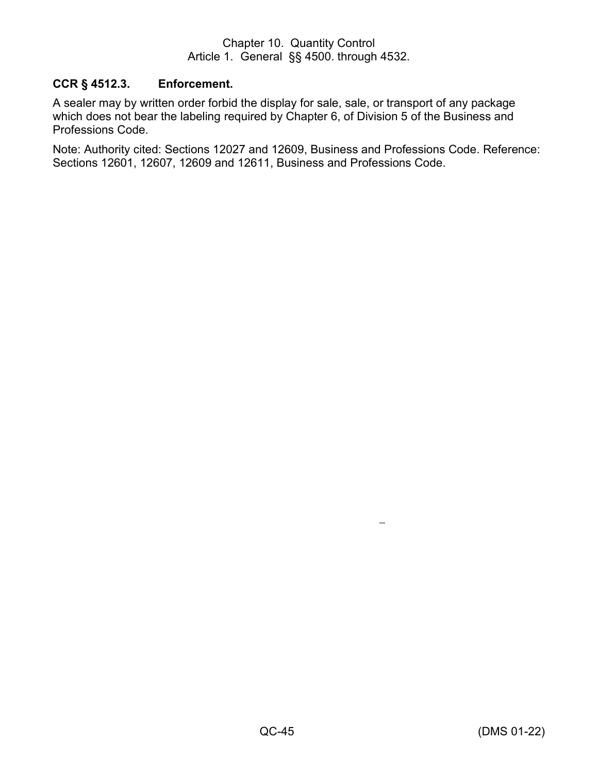# <span id="page-50-0"></span>**CCR § 4512.3. Enforcement.**

A sealer may by written order forbid the display for sale, sale, or transport of any package which does not bear the labeling required by Chapter 6, of Division 5 of the Business and Professions Code.

Note: Authority cited: Sections 12027 and 12609, Business and Professions Code. Reference: Sections 12601, 12607, 12609 and 12611, Business and Professions Code.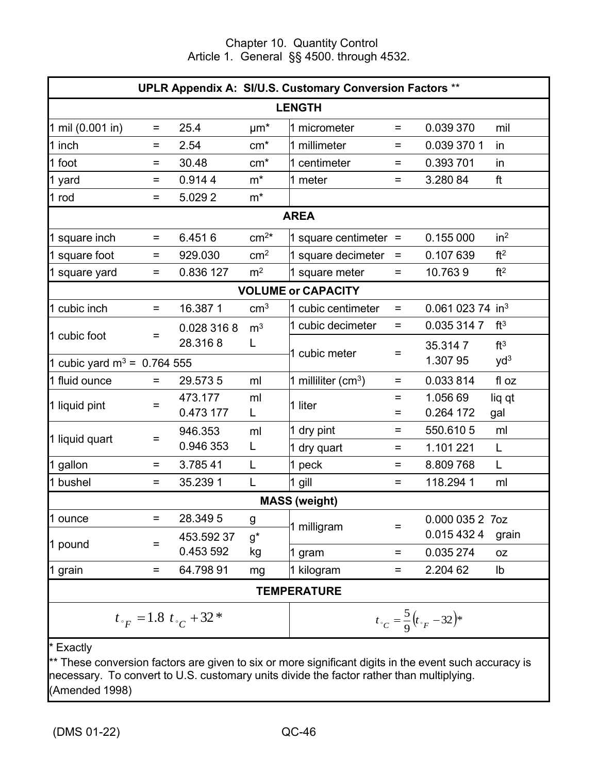<span id="page-51-0"></span>

| <b>UPLR Appendix A: SI/U.S. Customary Conversion Factors **</b> |                   |                                      |                      |                           |          |                                             |                 |
|-----------------------------------------------------------------|-------------------|--------------------------------------|----------------------|---------------------------|----------|---------------------------------------------|-----------------|
| <b>LENGTH</b>                                                   |                   |                                      |                      |                           |          |                                             |                 |
| 1 mil (0.001 in)                                                | $=$               | 25.4                                 | $\mu$ m <sup>*</sup> | 1 micrometer              | $=$      | 0.039 370                                   | mil             |
| 1 inch                                                          | $=$               | 2.54                                 | $cm*$                | 1 millimeter              | Ξ        | 0.039 370 1                                 | in              |
| 1 foot                                                          | $=$               | 30.48                                | $cm*$                | 1 centimeter              | $=$      | 0.393 701                                   | in              |
| 1 yard                                                          | Ξ                 | 0.9144                               | $m^*$                | 1 meter                   | $=$      | 3.280 84                                    | ft              |
| 1 rod                                                           | $=$               | 5.0292                               | $m^*$                |                           |          |                                             |                 |
|                                                                 |                   |                                      |                      | <b>AREA</b>               |          |                                             |                 |
| 1 square inch                                                   | $=$               | 6.4516                               | $cm2*$               | 1 square centimeter $=$   |          | 0.155 000                                   | in <sup>2</sup> |
| 1 square foot                                                   | $=$               | 929.030                              | cm <sup>2</sup>      | 1 square decimeter        | Ξ        | 0.107 639                                   | ft <sup>2</sup> |
| 1 square yard                                                   | $=$               | 0.836 127                            | m <sup>2</sup>       | 1 square meter            | $=$      | 10.7639                                     | ft <sup>2</sup> |
|                                                                 |                   |                                      |                      | <b>VOLUME or CAPACITY</b> |          |                                             |                 |
| 1 cubic inch                                                    | $\qquad \qquad =$ | 16.3871                              | cm <sup>3</sup>      | 1 cubic centimeter        | $\equiv$ | 0.061 023 74 in <sup>3</sup>                |                 |
|                                                                 |                   | 0.028 316 8                          | m <sup>3</sup>       | 1 cubic decimeter         | Ξ        | 0.035 314 7                                 | ft <sup>3</sup> |
| 1 cubic foot                                                    | Ξ                 | 28.3168                              | L                    |                           |          | 35.3147                                     | ft <sup>3</sup> |
| 1 cubic yard $m^3 = 0.764555$                                   |                   |                                      |                      | 1 cubic meter             | =        | 1.307 95                                    | yd <sup>3</sup> |
| 1 fluid ounce                                                   | $=$               | 29.5735                              | ml                   | 1 milliliter ( $cm3$ )    | $=$      | 0.033814                                    | fl oz           |
|                                                                 | $=$               | 473.177                              | ml                   | 1 liter                   | Ξ        | 1.056 69                                    | liq qt          |
| 1 liquid pint                                                   |                   | 0.473 177                            | L                    |                           | $=$      | 0.264 172                                   | gal             |
| 1 liquid quart                                                  | $=$               | 946.353                              | ml                   | 1 dry pint                | $=$      | 550.6105                                    | ml              |
|                                                                 |                   | 0.946 353                            | L                    | 1 dry quart               | Ξ        | 1.101 221                                   | L               |
| 1 gallon                                                        | Ξ                 | 3.78541                              | L                    | 1 peck                    | Ξ        | 8.809768                                    | L               |
| 1 bushel                                                        | $=$               | 35.239 1                             | L                    | 1 gill                    | Ξ        | 118.2941                                    | ml              |
|                                                                 |                   |                                      |                      | <b>MASS</b> (weight)      |          |                                             |                 |
| 1 ounce                                                         | Ξ                 | 28.3495                              | g                    | 1 milligram               | $=$      | 0.000 035 2 7oz                             |                 |
| 1 pound                                                         | $=$               | 453.59237                            | $g^*$                |                           |          | 0.015 432 4                                 | grain           |
|                                                                 |                   | 0.453 592                            | kg                   | 1 gram                    | $=$      | 0.035 274                                   | 0Z              |
| 1 grain                                                         | $=$               | 64.79891                             | mg                   | 1 kilogram                | Ξ        | 2.204 62                                    | lb              |
| <b>TEMPERATURE</b>                                              |                   |                                      |                      |                           |          |                                             |                 |
|                                                                 |                   | $t_{\gamma} = 1.8 t_{\gamma} + 32$ * |                      |                           |          | $t_{\circ}C = \frac{5}{9}(t_{\circ} - 32)*$ |                 |
| * Exactly                                                       |                   |                                      |                      |                           |          |                                             |                 |

These conversion factors are given to six or more significant digits in the event such accuracy is necessary. To convert to U.S. customary units divide the factor rather than multiplying. (Amended 1998)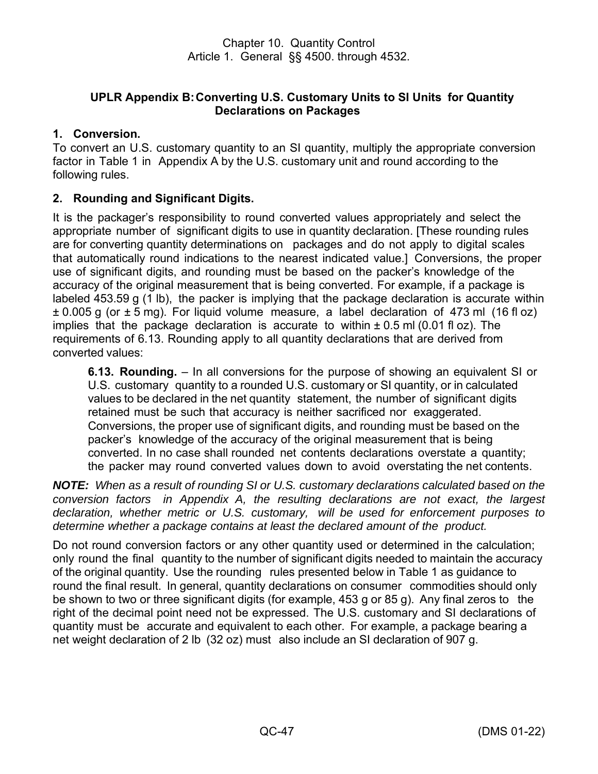# **UPLR Appendix B:Converting U.S. Customary Units to SI Units for Quantity Declarations on Packages**

# <span id="page-52-0"></span>**1. Conversion.**

To convert an U.S. customary quantity to an SI quantity, multiply the appropriate conversion factor in Table 1 in Appendix A by the U.S. customary unit and round according to the following rules.

# **2. Rounding and Significant Digits.**

It is the packager's responsibility to round converted values appropriately and select the appropriate number of significant digits to use in quantity declaration. [These rounding rules are for converting quantity determinations on packages and do not apply to digital scales that automatically round indications to the nearest indicated value.] Conversions, the proper use of significant digits, and rounding must be based on the packer's knowledge of the accuracy of the original measurement that is being converted. For example, if a package is labeled 453.59 g (1 lb), the packer is implying that the package declaration is accurate within  $\pm$  0.005 g (or  $\pm$  5 mg). For liquid volume measure, a label declaration of 473 ml (16 fl oz) implies that the package declaration is accurate to within  $\pm$  0.5 ml (0.01 fl oz). The requirements of 6.13. Rounding apply to all quantity declarations that are derived from converted values:

**6.13. Rounding.** – In all conversions for the purpose of showing an equivalent SI or U.S. customary quantity to a rounded U.S. customary or SI quantity, or in calculated values to be declared in the net quantity statement, the number of significant digits retained must be such that accuracy is neither sacrificed nor exaggerated. Conversions, the proper use of significant digits, and rounding must be based on the packer's knowledge of the accuracy of the original measurement that is being converted. In no case shall rounded net contents declarations overstate a quantity; the packer may round converted values down to avoid overstating the net contents.

*NOTE: When as a result of rounding SI or U.S. customary declarations calculated based on the conversion factors in Appendix A, the resulting declarations are not exact, the largest declaration, whether metric or U.S. customary, will be used for enforcement purposes to determine whether a package contains at least the declared amount of the product.*

Do not round conversion factors or any other quantity used or determined in the calculation; only round the final quantity to the number of significant digits needed to maintain the accuracy of the original quantity. Use the rounding rules presented below in Table 1 as guidance to round the final result. In general, quantity declarations on consumer commodities should only be shown to two or three significant digits (for example, 453 g or 85 g). Any final zeros to the right of the decimal point need not be expressed. The U.S. customary and SI declarations of quantity must be accurate and equivalent to each other. For example, a package bearing a net weight declaration of 2 lb (32 oz) must also include an SI declaration of 907 g.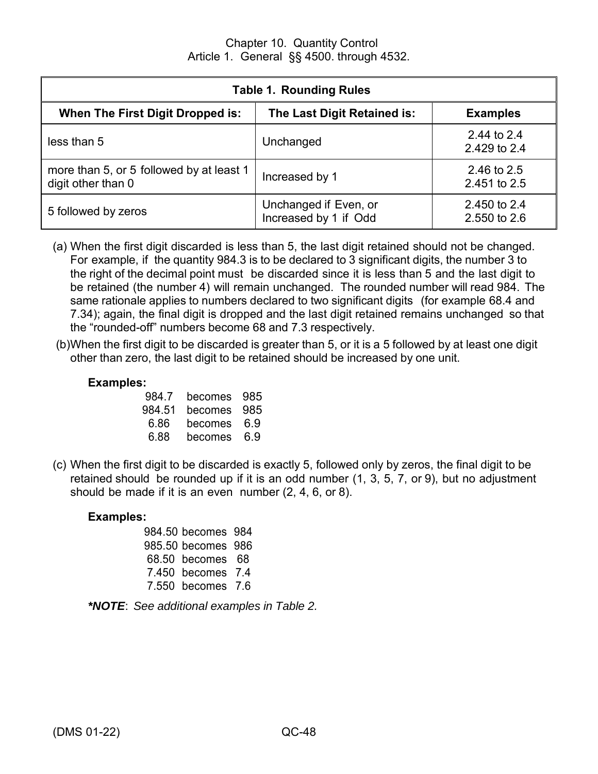| <b>Table 1. Rounding Rules</b>                                 |                                                |                              |  |
|----------------------------------------------------------------|------------------------------------------------|------------------------------|--|
| When The First Digit Dropped is:                               | The Last Digit Retained is:                    | <b>Examples</b>              |  |
| less than 5                                                    | Unchanged                                      | 2.44 to 2.4<br>2.429 to 2.4  |  |
| more than 5, or 5 followed by at least 1<br>digit other than 0 | Increased by 1                                 | 2.46 to 2.5<br>2.451 to 2.5  |  |
| 5 followed by zeros                                            | Unchanged if Even, or<br>Increased by 1 if Odd | 2.450 to 2.4<br>2.550 to 2.6 |  |

- (a) When the first digit discarded is less than 5, the last digit retained should not be changed. For example, if the quantity 984.3 is to be declared to 3 significant digits, the number 3 to the right of the decimal point must be discarded since it is less than 5 and the last digit to be retained (the number 4) will remain unchanged. The rounded number will read 984. The same rationale applies to numbers declared to two significant digits (for example 68.4 and 7.34); again, the final digit is dropped and the last digit retained remains unchanged so that the "rounded-off" numbers become 68 and 7.3 respectively.
- (b)When the first digit to be discarded is greater than 5, or it is a 5 followed by at least one digit other than zero, the last digit to be retained should be increased by one unit.

# **Examples:**

| 984.7  | becomes | 985 |
|--------|---------|-----|
| 984.51 | becomes | 985 |
| 6.86   | becomes | 6.9 |
| 6.88   | becomes | 6 Զ |

(c) When the first digit to be discarded is exactly 5, followed only by zeros, the final digit to be retained should be rounded up if it is an odd number (1, 3, 5, 7, or 9), but no adjustment should be made if it is an even number (2, 4, 6, or 8).

#### **Examples:**

984.50 becomes 984 985.50 becomes 986 68.50 becomes 68 7.450 becomes 7.4 7.550 becomes 7.6

|  | *NOTE: See additional examples in Table 2. |  |  |
|--|--------------------------------------------|--|--|
|--|--------------------------------------------|--|--|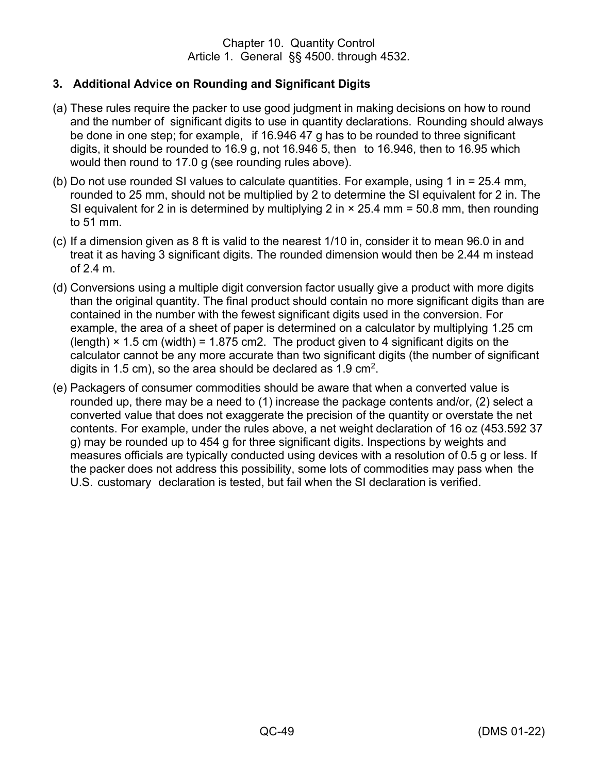# **3. Additional Advice on Rounding and Significant Digits**

- (a) These rules require the packer to use good judgment in making decisions on how to round and the number of significant digits to use in quantity declarations. Rounding should always be done in one step; for example, if 16.946 47 g has to be rounded to three significant digits, it should be rounded to 16.9 g, not 16.946 5, then to 16.946, then to 16.95 which would then round to 17.0 g (see rounding rules above).
- (b) Do not use rounded SI values to calculate quantities. For example, using 1 in = 25.4 mm, rounded to 25 mm, should not be multiplied by 2 to determine the SI equivalent for 2 in. The SI equivalent for 2 in is determined by multiplying 2 in  $\times$  25.4 mm = 50.8 mm, then rounding to 51 mm.
- (c) If a dimension given as 8 ft is valid to the nearest 1/10 in, consider it to mean 96.0 in and treat it as having 3 significant digits. The rounded dimension would then be 2.44 m instead of 2.4 m.
- (d) Conversions using a multiple digit conversion factor usually give a product with more digits than the original quantity. The final product should contain no more significant digits than are contained in the number with the fewest significant digits used in the conversion. For example, the area of a sheet of paper is determined on a calculator by multiplying 1.25 cm (length)  $\times$  1.5 cm (width) = 1.875 cm2. The product given to 4 significant digits on the calculator cannot be any more accurate than two significant digits (the number of significant digits in 1.5 cm), so the area should be declared as 1.9 cm $^2$ .
- (e) Packagers of consumer commodities should be aware that when a converted value is rounded up, there may be a need to (1) increase the package contents and/or, (2) select a converted value that does not exaggerate the precision of the quantity or overstate the net contents. For example, under the rules above, a net weight declaration of 16 oz (453.592 37 g) may be rounded up to 454 g for three significant digits. Inspections by weights and measures officials are typically conducted using devices with a resolution of 0.5 g or less. If the packer does not address this possibility, some lots of commodities may pass when the U.S. customary declaration is tested, but fail when the SI declaration is verified.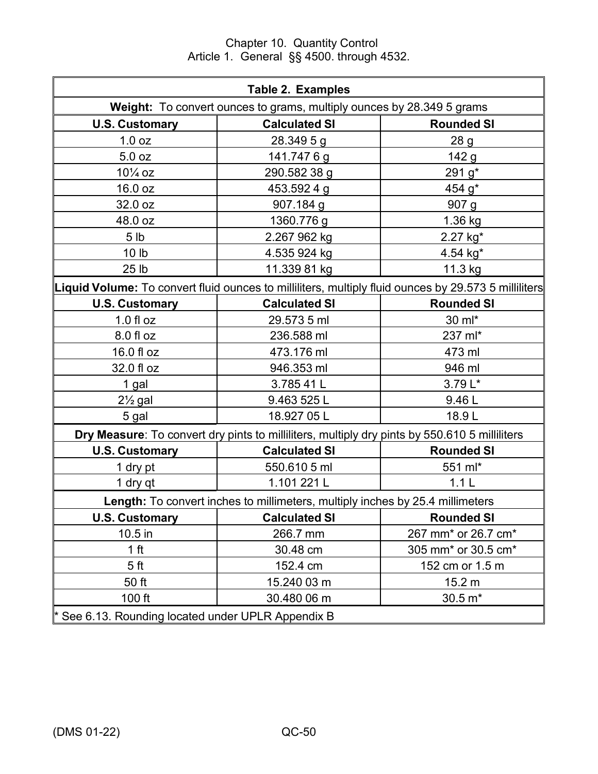Chapter 10. Quantity Control Article 1. General §§ 4500. through 4532.

| <b>Table 2. Examples</b>                                                                             |                                                                                               |                                             |  |
|------------------------------------------------------------------------------------------------------|-----------------------------------------------------------------------------------------------|---------------------------------------------|--|
| Weight: To convert ounces to grams, multiply ounces by 28.349 5 grams                                |                                                                                               |                                             |  |
| <b>U.S. Customary</b>                                                                                | <b>Calculated SI</b>                                                                          | <b>Rounded SI</b>                           |  |
| 1.0 oz                                                                                               | 28.349 5 g                                                                                    | 28 <sub>g</sub>                             |  |
| 5.0 <sub>oz</sub>                                                                                    | 141.7476g                                                                                     | 142 <sub>g</sub>                            |  |
| $10\frac{1}{4}$ oz                                                                                   | 290.582 38 g                                                                                  | 291 g*                                      |  |
| 16.0 oz                                                                                              | 453.592 4 g                                                                                   | 454 g*                                      |  |
| 32.0 oz                                                                                              | 907.184 g                                                                                     | 907 g                                       |  |
| 48.0 oz                                                                                              | 1360.776 g                                                                                    | 1.36 kg                                     |  |
| 5 <sub>lb</sub>                                                                                      | 2.267 962 kg                                                                                  | 2.27 kg*                                    |  |
| 10 <sub>lb</sub>                                                                                     | 4.535 924 kg                                                                                  | 4.54 kg*                                    |  |
| 25 <sub>1b</sub>                                                                                     | 11.339 81 kg                                                                                  | 11.3 kg                                     |  |
| Liquid Volume: To convert fluid ounces to milliliters, multiply fluid ounces by 29.573 5 milliliters |                                                                                               |                                             |  |
| <b>U.S. Customary</b>                                                                                | <b>Calculated SI</b>                                                                          | <b>Rounded SI</b>                           |  |
| $1.0 f$ l oz                                                                                         | 29.573 5 ml                                                                                   | 30 ml*                                      |  |
| 8.0 fl oz                                                                                            | 236.588 ml                                                                                    | 237 ml*                                     |  |
| 16.0 fl oz                                                                                           | 473.176 ml                                                                                    | 473 ml                                      |  |
| 32.0 fl oz                                                                                           | 946.353 ml                                                                                    | 946 ml                                      |  |
| 1 gal                                                                                                | 3.785 41 L                                                                                    | 3.79 L*                                     |  |
| $2\frac{1}{2}$ gal                                                                                   | 9.463 525 L                                                                                   | 9.46L                                       |  |
| 5 gal                                                                                                | 18.927 05 L                                                                                   | 18.9L                                       |  |
|                                                                                                      | Dry Measure: To convert dry pints to milliliters, multiply dry pints by 550.610 5 milliliters |                                             |  |
| <b>U.S. Customary</b>                                                                                | <b>Calculated SI</b>                                                                          | <b>Rounded SI</b>                           |  |
| 1 dry pt                                                                                             | 550.610 5 ml                                                                                  | 551 ml*                                     |  |
| 1 dry qt                                                                                             | 1.101 221 L                                                                                   | 1.1L                                        |  |
| Length: To convert inches to millimeters, multiply inches by 25.4 millimeters                        |                                                                                               |                                             |  |
| <b>U.S. Customary</b>                                                                                | <b>Calculated SI</b>                                                                          | <b>Rounded SI</b>                           |  |
| 10.5 in                                                                                              | 266.7 mm                                                                                      | 267 mm <sup>*</sup> or 26.7 cm <sup>*</sup> |  |
| 1 <sub>ft</sub>                                                                                      | 30.48 cm                                                                                      | 305 mm <sup>*</sup> or 30.5 cm <sup>*</sup> |  |
| 5 <sub>ft</sub>                                                                                      | 152.4 cm                                                                                      | 152 cm or 1.5 m                             |  |
| 50 ft                                                                                                | 15.240 03 m                                                                                   | 15.2 m                                      |  |
| 100 ft                                                                                               | 30.480 06 m                                                                                   | $30.5 m*$                                   |  |
| * See 6.13. Rounding located under UPLR Appendix B                                                   |                                                                                               |                                             |  |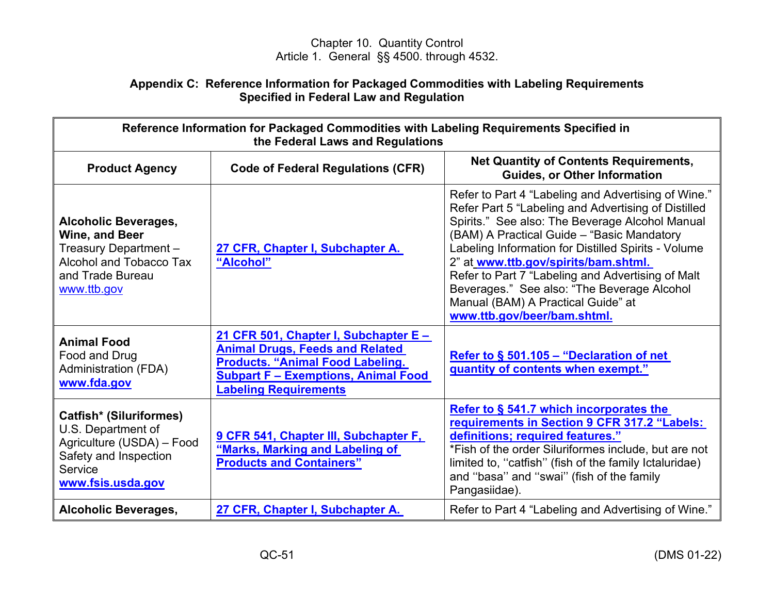## **Appendix C: Reference Information for Packaged Commodities with Labeling Requirements Specified in Federal Law and Regulation**

<span id="page-56-0"></span>

| Reference Information for Packaged Commodities with Labeling Requirements Specified in<br>the Federal Laws and Regulations                 |                                                                                                                                                                                                          |                                                                                                                                                                                                                                                                                                                                                                                                                                                                                     |
|--------------------------------------------------------------------------------------------------------------------------------------------|----------------------------------------------------------------------------------------------------------------------------------------------------------------------------------------------------------|-------------------------------------------------------------------------------------------------------------------------------------------------------------------------------------------------------------------------------------------------------------------------------------------------------------------------------------------------------------------------------------------------------------------------------------------------------------------------------------|
| <b>Product Agency</b>                                                                                                                      | <b>Code of Federal Regulations (CFR)</b>                                                                                                                                                                 | <b>Net Quantity of Contents Requirements,</b><br><b>Guides, or Other Information</b>                                                                                                                                                                                                                                                                                                                                                                                                |
| <b>Alcoholic Beverages,</b><br>Wine, and Beer<br>Treasury Department -<br>Alcohol and Tobacco Tax<br>and Trade Bureau<br>www.ttb.gov       | 27 CFR, Chapter I, Subchapter A.<br>"Alcohol"                                                                                                                                                            | Refer to Part 4 "Labeling and Advertising of Wine."<br>Refer Part 5 "Labeling and Advertising of Distilled<br>Spirits." See also: The Beverage Alcohol Manual<br>(BAM) A Practical Guide - "Basic Mandatory<br>Labeling Information for Distilled Spirits - Volume<br>2" at www.ttb.gov/spirits/bam.shtml.<br>Refer to Part 7 "Labeling and Advertising of Malt<br>Beverages." See also: "The Beverage Alcohol<br>Manual (BAM) A Practical Guide" at<br>www.ttb.gov/beer/bam.shtml. |
| <b>Animal Food</b><br>Food and Drug<br><b>Administration (FDA)</b><br>www.fda.gov                                                          | 21 CFR 501, Chapter I, Subchapter E -<br><b>Animal Drugs, Feeds and Related</b><br><b>Products. "Animal Food Labeling.</b><br><b>Subpart F - Exemptions, Animal Food</b><br><b>Labeling Requirements</b> | Refer to $\S$ 501.105 – "Declaration of net<br>quantity of contents when exempt."                                                                                                                                                                                                                                                                                                                                                                                                   |
| <b>Catfish* (Siluriformes)</b><br>U.S. Department of<br>Agriculture (USDA) - Food<br>Safety and Inspection<br>Service<br>www.fsis.usda.gov | 9 CFR 541, Chapter III, Subchapter F,<br>"Marks, Marking and Labeling of<br><b>Products and Containers"</b>                                                                                              | Refer to § 541.7 which incorporates the<br>requirements in Section 9 CFR 317.2 "Labels:<br>definitions; required features."<br>*Fish of the order Siluriformes include, but are not<br>limited to, "catfish" (fish of the family Ictaluridae)<br>and "basa" and "swai" (fish of the family<br>Pangasiidae).                                                                                                                                                                         |
| <b>Alcoholic Beverages,</b>                                                                                                                | 27 CFR, Chapter I, Subchapter A.                                                                                                                                                                         | Refer to Part 4 "Labeling and Advertising of Wine."                                                                                                                                                                                                                                                                                                                                                                                                                                 |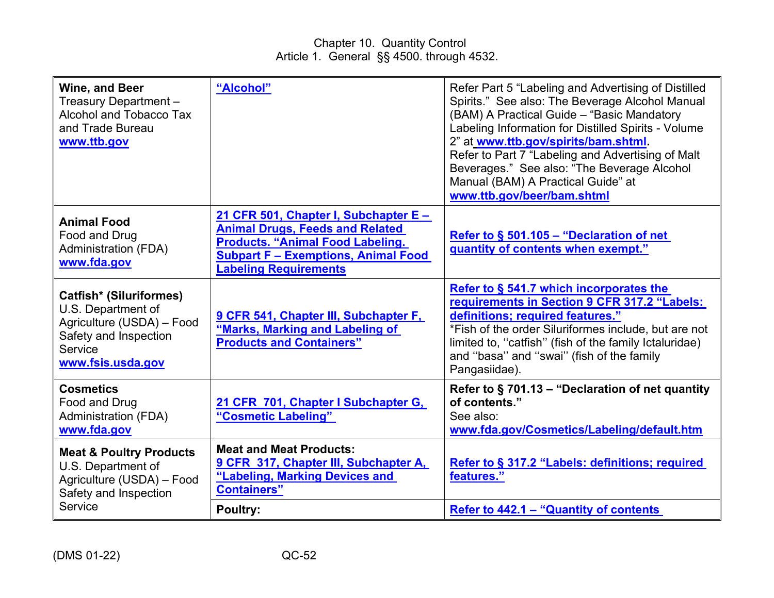| Wine, and Beer<br>Treasury Department -<br>Alcohol and Tobacco Tax<br>and Trade Bureau<br>www.ttb.gov                                      | "Alcohol"                                                                                                                                                                                                | Refer Part 5 "Labeling and Advertising of Distilled<br>Spirits." See also: The Beverage Alcohol Manual<br>(BAM) A Practical Guide - "Basic Mandatory<br>Labeling Information for Distilled Spirits - Volume<br>2" at www.ttb.gov/spirits/bam.shtml.<br>Refer to Part 7 "Labeling and Advertising of Malt<br>Beverages." See also: "The Beverage Alcohol<br>Manual (BAM) A Practical Guide" at<br>www.ttb.gov/beer/bam.shtml |
|--------------------------------------------------------------------------------------------------------------------------------------------|----------------------------------------------------------------------------------------------------------------------------------------------------------------------------------------------------------|-----------------------------------------------------------------------------------------------------------------------------------------------------------------------------------------------------------------------------------------------------------------------------------------------------------------------------------------------------------------------------------------------------------------------------|
| <b>Animal Food</b><br>Food and Drug<br><b>Administration (FDA)</b><br>www.fda.gov                                                          | 21 CFR 501, Chapter I, Subchapter E -<br><b>Animal Drugs, Feeds and Related</b><br><b>Products. "Animal Food Labeling.</b><br><b>Subpart F - Exemptions, Animal Food</b><br><b>Labeling Requirements</b> | Refer to § 501.105 - "Declaration of net<br>quantity of contents when exempt."                                                                                                                                                                                                                                                                                                                                              |
| <b>Catfish* (Siluriformes)</b><br>U.S. Department of<br>Agriculture (USDA) - Food<br>Safety and Inspection<br>Service<br>www.fsis.usda.gov | 9 CFR 541, Chapter III, Subchapter F,<br>"Marks, Marking and Labeling of<br><b>Products and Containers"</b>                                                                                              | Refer to § 541.7 which incorporates the<br>requirements in Section 9 CFR 317.2 "Labels:<br>definitions; required features."<br>*Fish of the order Siluriformes include, but are not<br>limited to, "catfish" (fish of the family Ictaluridae)<br>and "basa" and "swai" (fish of the family<br>Pangasiidae).                                                                                                                 |
| <b>Cosmetics</b><br>Food and Drug<br><b>Administration (FDA)</b><br>www.fda.gov                                                            | 21 CFR 701, Chapter I Subchapter G,<br>"Cosmetic Labeling"                                                                                                                                               | Refer to $\S$ 701.13 – "Declaration of net quantity<br>of contents."<br>See also:<br>www.fda.gov/Cosmetics/Labeling/default.htm                                                                                                                                                                                                                                                                                             |
| <b>Meat &amp; Poultry Products</b><br>U.S. Department of<br>Agriculture (USDA) - Food<br>Safety and Inspection                             | <b>Meat and Meat Products:</b><br>9 CFR 317, Chapter III, Subchapter A,<br>"Labeling, Marking Devices and<br><b>Containers</b> "                                                                         | Refer to § 317.2 "Labels: definitions; required<br>features."                                                                                                                                                                                                                                                                                                                                                               |
| Service                                                                                                                                    | <b>Poultry:</b>                                                                                                                                                                                          | Refer to 442.1 – "Quantity of contents"                                                                                                                                                                                                                                                                                                                                                                                     |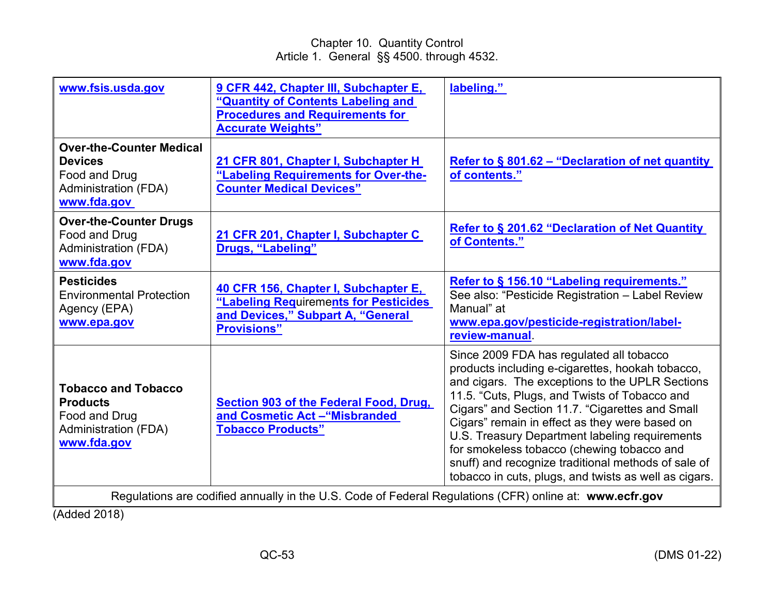| www.fsis.usda.gov                                                                                                | 9 CFR 442, Chapter III, Subchapter E,<br>"Quantity of Contents Labeling and<br><b>Procedures and Requirements for</b><br><b>Accurate Weights"</b> | labeling."                                                                                                                                                                                                                                                                                                                                                                                                                                                                                                            |
|------------------------------------------------------------------------------------------------------------------|---------------------------------------------------------------------------------------------------------------------------------------------------|-----------------------------------------------------------------------------------------------------------------------------------------------------------------------------------------------------------------------------------------------------------------------------------------------------------------------------------------------------------------------------------------------------------------------------------------------------------------------------------------------------------------------|
| <b>Over-the-Counter Medical</b><br><b>Devices</b><br>Food and Drug<br><b>Administration (FDA)</b><br>www.fda.gov | 21 CFR 801, Chapter I, Subchapter H<br>"Labeling Requirements for Over-the-<br><b>Counter Medical Devices"</b>                                    | Refer to § 801.62 - "Declaration of net quantity<br>of contents."                                                                                                                                                                                                                                                                                                                                                                                                                                                     |
| <b>Over-the-Counter Drugs</b><br>Food and Drug<br><b>Administration (FDA)</b><br>www.fda.gov                     | 21 CFR 201, Chapter I, Subchapter C<br>Drugs, "Labeling"                                                                                          | <b>Refer to § 201.62 "Declaration of Net Quantity</b><br>of Contents."                                                                                                                                                                                                                                                                                                                                                                                                                                                |
| <b>Pesticides</b><br><b>Environmental Protection</b><br>Agency (EPA)<br>www.epa.gov                              | 40 CFR 156, Chapter I, Subchapter E,<br>"Labeling Requirements for Pesticides<br>and Devices," Subpart A, "General<br><b>Provisions"</b>          | Refer to § 156.10 "Labeling requirements."<br>See also: "Pesticide Registration - Label Review<br>Manual" at<br>www.epa.gov/pesticide-registration/label-<br>review-manual                                                                                                                                                                                                                                                                                                                                            |
| <b>Tobacco and Tobacco</b><br><b>Products</b><br>Food and Drug<br><b>Administration (FDA)</b><br>www.fda.gov     | <b>Section 903 of the Federal Food, Drug,</b><br>and Cosmetic Act - "Misbranded<br><b>Tobacco Products"</b>                                       | Since 2009 FDA has regulated all tobacco<br>products including e-cigarettes, hookah tobacco,<br>and cigars. The exceptions to the UPLR Sections<br>11.5. "Cuts, Plugs, and Twists of Tobacco and<br>Cigars" and Section 11.7. "Cigarettes and Small<br>Cigars" remain in effect as they were based on<br>U.S. Treasury Department labeling requirements<br>for smokeless tobacco (chewing tobacco and<br>snuff) and recognize traditional methods of sale of<br>tobacco in cuts, plugs, and twists as well as cigars. |
| Regulations are codified annually in the U.S. Code of Federal Regulations (CFR) online at: www.ecfr.gov          |                                                                                                                                                   |                                                                                                                                                                                                                                                                                                                                                                                                                                                                                                                       |

(Added 2018)